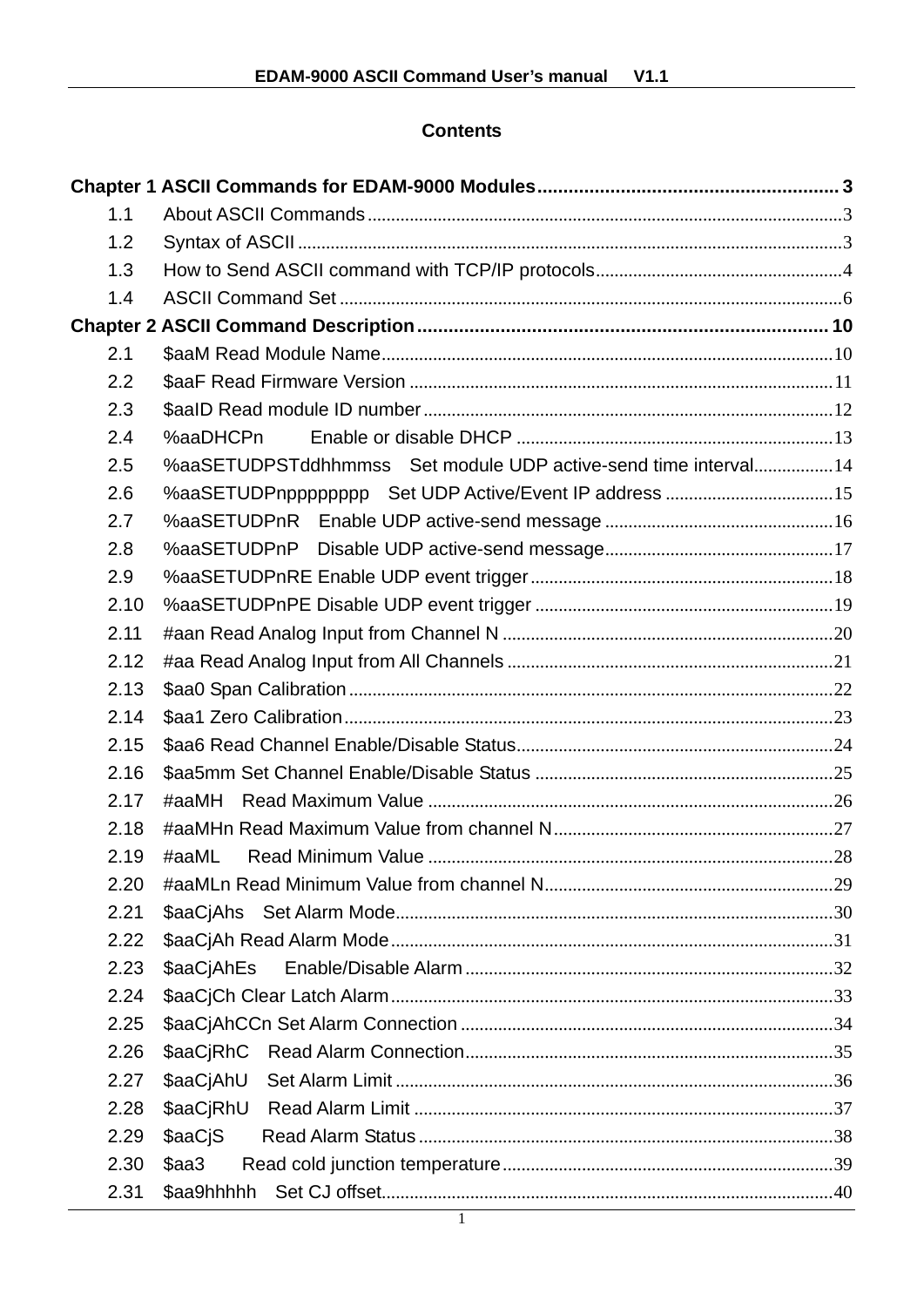# **Contents**

| 1.1  |                                                                |  |
|------|----------------------------------------------------------------|--|
| 1.2  |                                                                |  |
| 1.3  |                                                                |  |
| 1.4  |                                                                |  |
|      |                                                                |  |
| 2.1  |                                                                |  |
| 2.2  |                                                                |  |
| 2.3  |                                                                |  |
| 2.4  | %aaDHCPn                                                       |  |
| 2.5  | %aaSETUDPSTddhhmmss Set module UDP active-send time interval14 |  |
| 2.6  | %aaSETUDPnpppppppp Set UDP Active/Event IP address 15          |  |
| 2.7  |                                                                |  |
| 2.8  |                                                                |  |
| 2.9  |                                                                |  |
| 2.10 |                                                                |  |
| 2.11 |                                                                |  |
| 2.12 |                                                                |  |
| 2.13 |                                                                |  |
| 2.14 |                                                                |  |
| 2.15 |                                                                |  |
| 2.16 |                                                                |  |
| 2.17 |                                                                |  |
| 2.18 |                                                                |  |
| 2.19 | #aaML                                                          |  |
| 2.20 |                                                                |  |
| 2.21 |                                                                |  |
| 2.22 |                                                                |  |
| 2.23 | \$aaCjAhEs                                                     |  |
| 2.24 |                                                                |  |
| 2.25 |                                                                |  |
| 2.26 |                                                                |  |
| 2.27 |                                                                |  |
| 2.28 |                                                                |  |
| 2.29 | \$aaCjS                                                        |  |
| 2.30 | \$aa3                                                          |  |
| 2.31 |                                                                |  |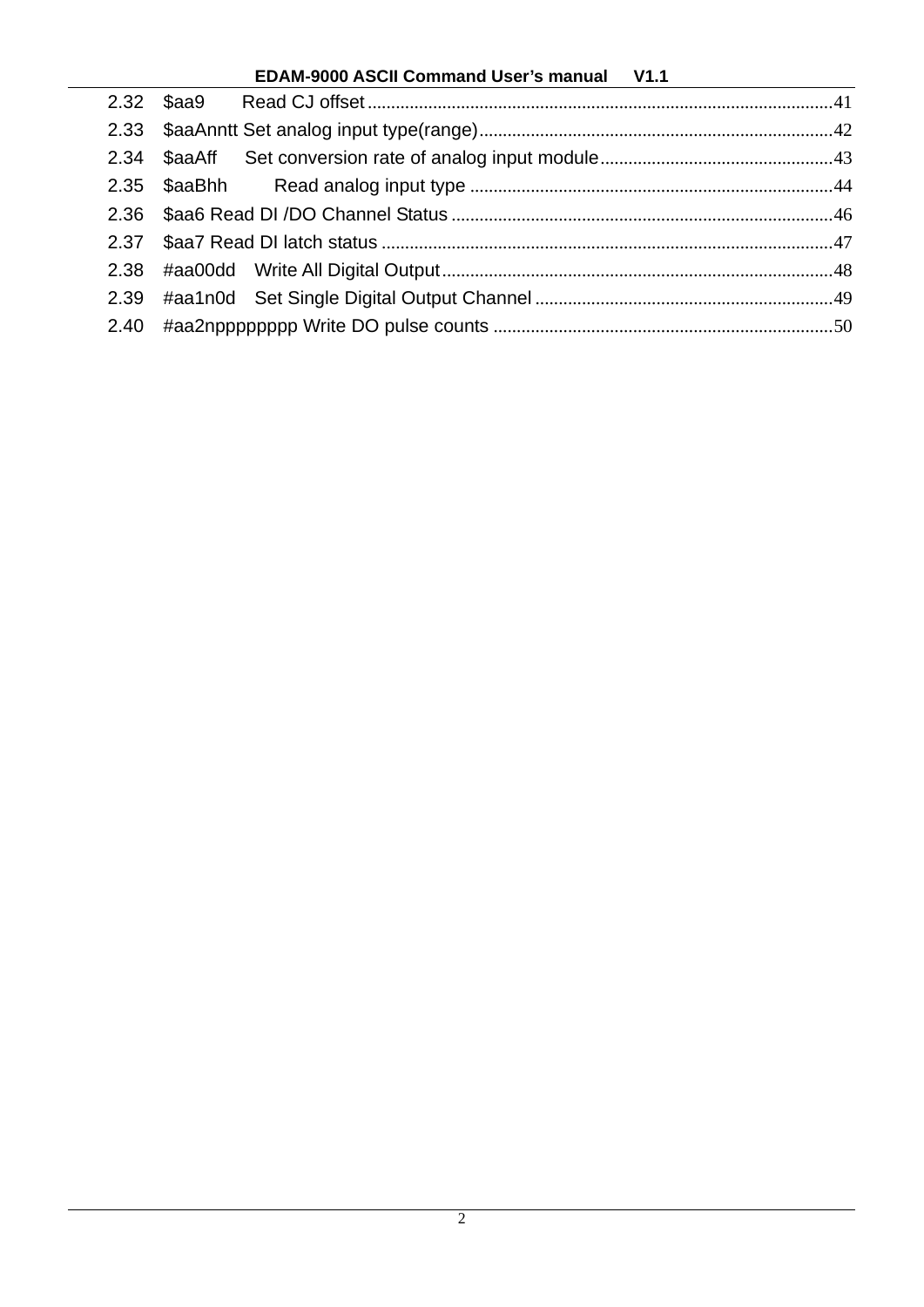# **EDAM-9000 ASCII Command User's manual V1.1**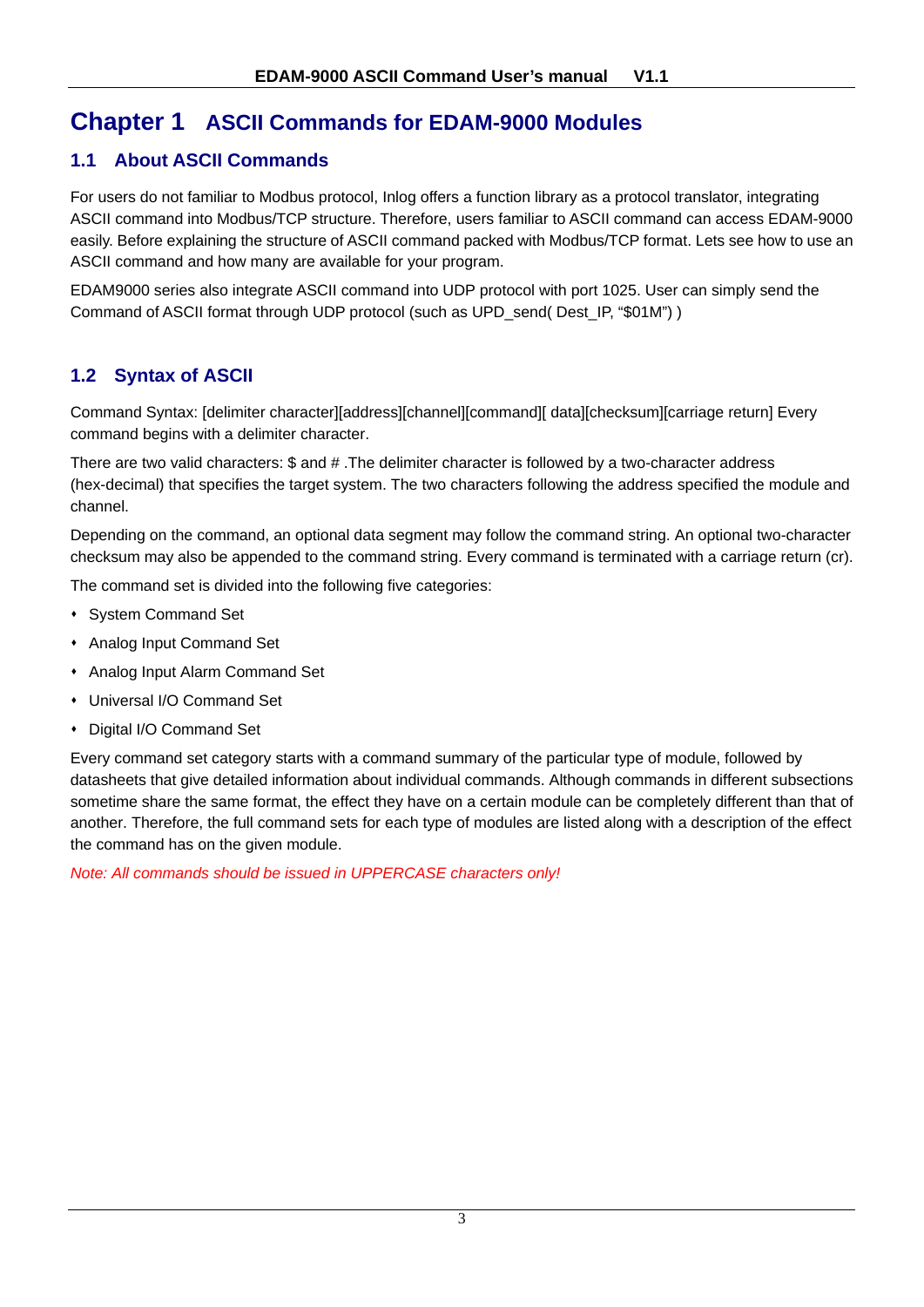# **Chapter 1 ASCII Commands for EDAM-9000 Modules**

# **1.1 About ASCII Commands**

For users do not familiar to Modbus protocol, Inlog offers a function library as a protocol translator, integrating ASCII command into Modbus/TCP structure. Therefore, users familiar to ASCII command can access EDAM-9000 easily. Before explaining the structure of ASCII command packed with Modbus/TCP format. Lets see how to use an ASCII command and how many are available for your program.

EDAM9000 series also integrate ASCII command into UDP protocol with port 1025. User can simply send the Command of ASCII format through UDP protocol (such as UPD\_send( Dest\_IP, "\$01M") )

# **1.2 Syntax of ASCII**

Command Syntax: [delimiter character][address][channel][command][ data][checksum][carriage return] Every command begins with a delimiter character.

There are two valid characters: \$ and # .The delimiter character is followed by a two-character address (hex-decimal) that specifies the target system. The two characters following the address specified the module and channel.

Depending on the command, an optional data segment may follow the command string. An optional two-character checksum may also be appended to the command string. Every command is terminated with a carriage return (cr).

The command set is divided into the following five categories:

- System Command Set
- Analog Input Command Set
- Analog Input Alarm Command Set
- Universal I/O Command Set
- Digital I/O Command Set

Every command set category starts with a command summary of the particular type of module, followed by datasheets that give detailed information about individual commands. Although commands in different subsections sometime share the same format, the effect they have on a certain module can be completely different than that of another. Therefore, the full command sets for each type of modules are listed along with a description of the effect the command has on the given module.

*Note: All commands should be issued in UPPERCASE characters only!*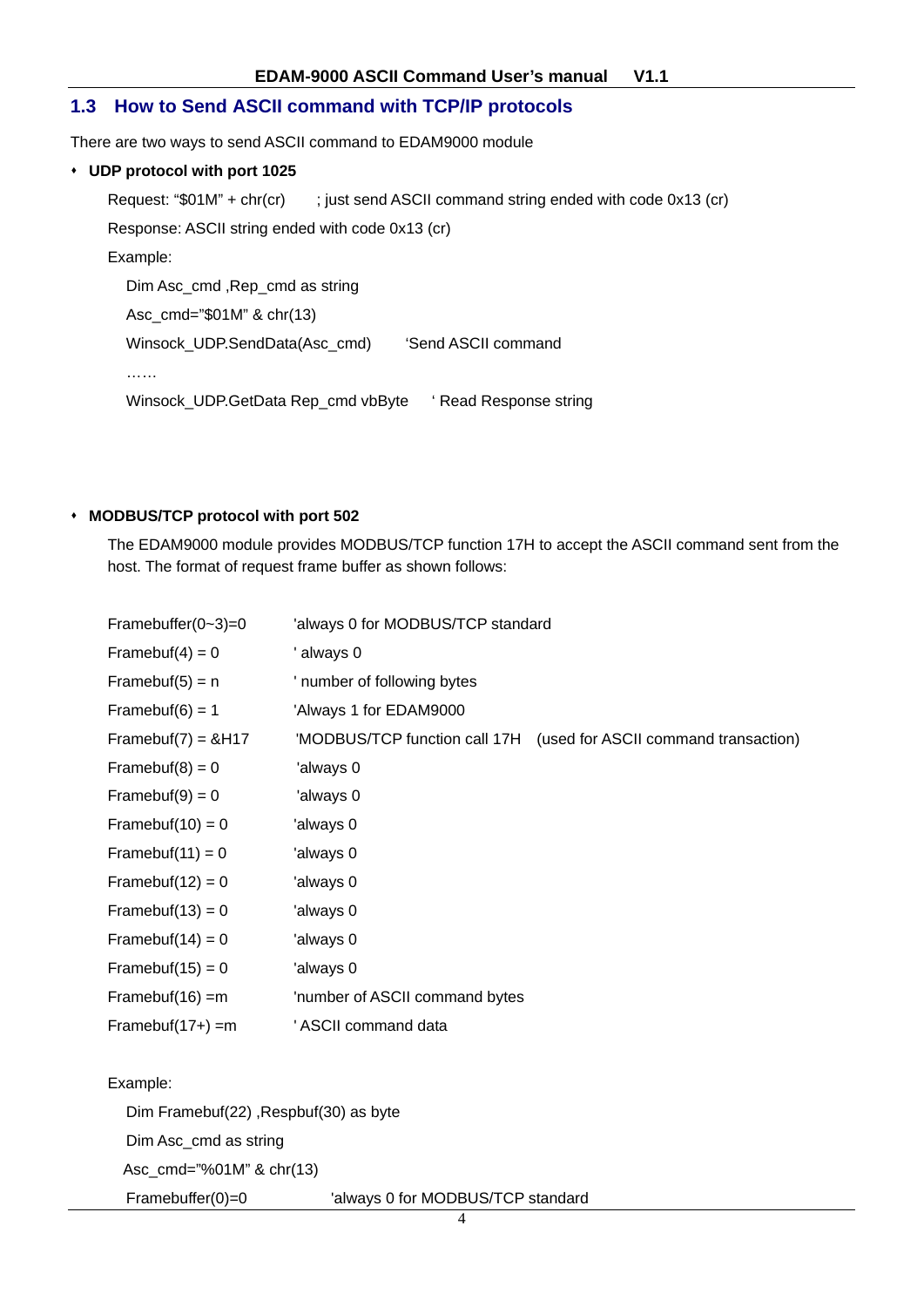#### **1.3 How to Send ASCII command with TCP/IP protocols**

There are two ways to send ASCII command to EDAM9000 module

#### **UDP protocol with port 1025**

```
Request: "$01M" + chr(cr) ; just send ASCII command string ended with code 0x13 (cr)
Response: ASCII string ended with code 0x13 (cr) 
Example: 
  Dim Asc_cmd ,Rep_cmd as string 
  Asc_cmd="$01M" & chr(13) 
  Winsock_UDP.SendData(Asc_cmd) 'Send ASCII command
  …… 
  Winsock UDP.GetData Rep_cmd vbByte ' Read Response string
```
#### **MODBUS/TCP protocol with port 502**

The EDAM9000 module provides MODBUS/TCP function 17H to accept the ASCII command sent from the host. The format of request frame buffer as shown follows:

| Framebuffer( $0 - 3$ )=0              | 'always 0 for MODBUS/TCP standard |                                                                    |
|---------------------------------------|-----------------------------------|--------------------------------------------------------------------|
| Framebuf(4) = $0$                     | ' always 0                        |                                                                    |
| Framebuf(5) = $n$                     | ' number of following bytes       |                                                                    |
| Framebuf(6) = $1$                     | 'Always 1 for EDAM9000            |                                                                    |
| Framebuf(7) = $8H17$                  |                                   | 'MODBUS/TCP function call 17H (used for ASCII command transaction) |
| Framebuf(8) = $0$                     | 'always 0                         |                                                                    |
| Framebuf(9) = $0$                     | 'always 0                         |                                                                    |
| Framebuf(10) = $0$                    | 'always 0                         |                                                                    |
| Framebuf(11) = $0$                    | 'always 0                         |                                                                    |
| Framebuf(12) = $0$                    | 'always 0                         |                                                                    |
| Framebuf(13) = $0$                    | 'always 0                         |                                                                    |
| Framebuf(14) = $0$                    | 'always 0                         |                                                                    |
| Framebuf( $15$ ) = 0                  | 'always 0                         |                                                                    |
| Framebuf(16) = $m$                    | 'number of ASCII command bytes    |                                                                    |
| Framebuf( $17+$ ) =m                  | ' ASCII command data              |                                                                    |
|                                       |                                   |                                                                    |
| Example:                              |                                   |                                                                    |
| Dim Framebuf(22), Respbuf(30) as byte |                                   |                                                                    |
| Dim Asc_cmd as string                 |                                   |                                                                    |
| Asc_cmd="%01M" & chr(13)              |                                   |                                                                    |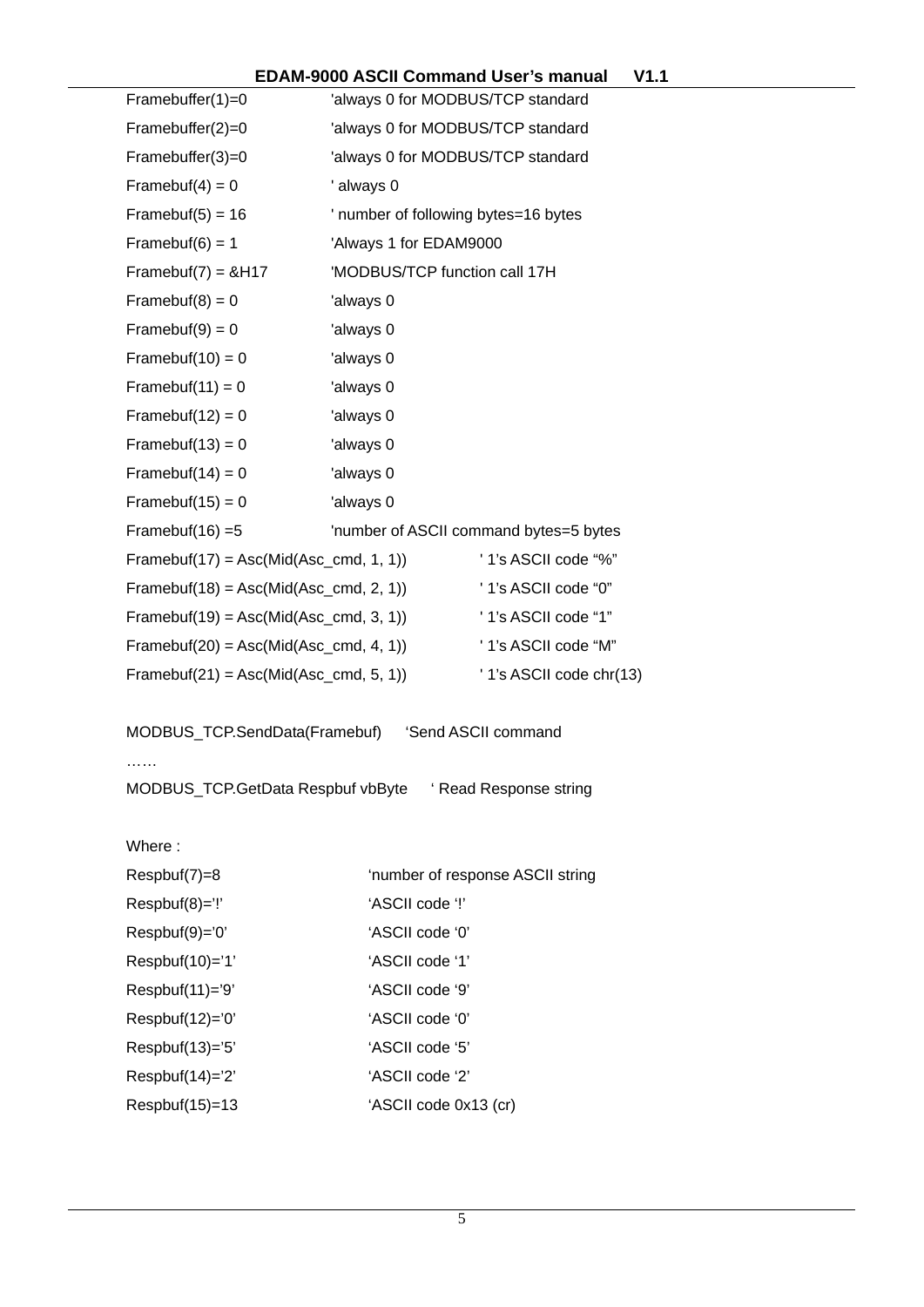# **EDAM-9000 ASCII Command User's manual V1.1**

| Framebuffer $(1)=0$                                  | 'always 0 for MODBUS/TCP standard    |                                        |  |
|------------------------------------------------------|--------------------------------------|----------------------------------------|--|
| Framebuffer(2)=0                                     | 'always 0 for MODBUS/TCP standard    |                                        |  |
| Framebuffer(3)=0                                     | 'always 0 for MODBUS/TCP standard    |                                        |  |
| Framebuf(4) = $0$                                    | ' always 0                           |                                        |  |
| Framebuf(5) = $16$                                   | ' number of following bytes=16 bytes |                                        |  |
| Framebuf(6) = $1$                                    | 'Always 1 for EDAM9000               |                                        |  |
| Framebuf(7) = $&H17$                                 | 'MODBUS/TCP function call 17H        |                                        |  |
| Framebuf(8) = $0$                                    | 'always 0                            |                                        |  |
| Framebuf(9) = $0$                                    | 'always 0                            |                                        |  |
| Framebuf(10) = $0$                                   | 'always 0                            |                                        |  |
| Framebuf(11) = $0$                                   | 'always 0                            |                                        |  |
| Framebuf(12) = $0$                                   | 'always 0                            |                                        |  |
| Framebuf(13) = $0$                                   | 'always 0                            |                                        |  |
| Framebuf(14) = $0$                                   | 'always 0                            |                                        |  |
| Framebuf(15) = $0$                                   | 'always 0                            |                                        |  |
| Framebuf(16) = $5$                                   |                                      | 'number of ASCII command bytes=5 bytes |  |
| Framebuf(17) = Asc(Mid(Asc_cmd, 1, 1))               |                                      | '1's ASCII code "%"                    |  |
| Framebuf(18) = $Asc(Mid(Asc\_cmd, 2, 1))$            |                                      | '1's ASCII code "0"                    |  |
| Framebuf(19) = $Asc(Mid(Asc\_cmd, 3, 1))$            |                                      | '1's ASCII code "1"                    |  |
| Framebuf(20) = $Asc(Mid(Asc\_cmd, 4, 1))$            |                                      | '1's ASCII code "M"                    |  |
| Framebuf(21) = $Asc(Mid(Asc\_cmd, 5, 1))$            |                                      | ' 1's ASCII code chr(13)               |  |
| MODBUS_TCP.SendData(Framebuf)<br>'Send ASCII command |                                      |                                        |  |
|                                                      |                                      |                                        |  |
| .<br>MODBUS_TCP.GetData Respbuf vbByte               |                                      | ' Read Response string                 |  |
|                                                      |                                      |                                        |  |
| Where:                                               |                                      |                                        |  |
| Respbuf(7)=8                                         |                                      | 'number of response ASCII string       |  |
| Respbuf(8)='!'                                       | 'ASCII code '!'                      |                                        |  |
| Respbuf(9)='0'                                       | 'ASCII code '0'                      |                                        |  |
| Respbuf(10)='1'                                      | 'ASCII code '1'                      |                                        |  |
| Respbuf(11)='9'                                      | 'ASCII code '9'                      |                                        |  |
| Respbuf(12)='0'                                      | 'ASCII code '0'                      |                                        |  |
| Respbuf(13)='5'                                      | 'ASCII code '5'                      |                                        |  |
| Respbuf(14)='2'                                      | 'ASCII code '2'                      |                                        |  |
| Respbuf(15)=13                                       | 'ASCII code 0x13 (cr)                |                                        |  |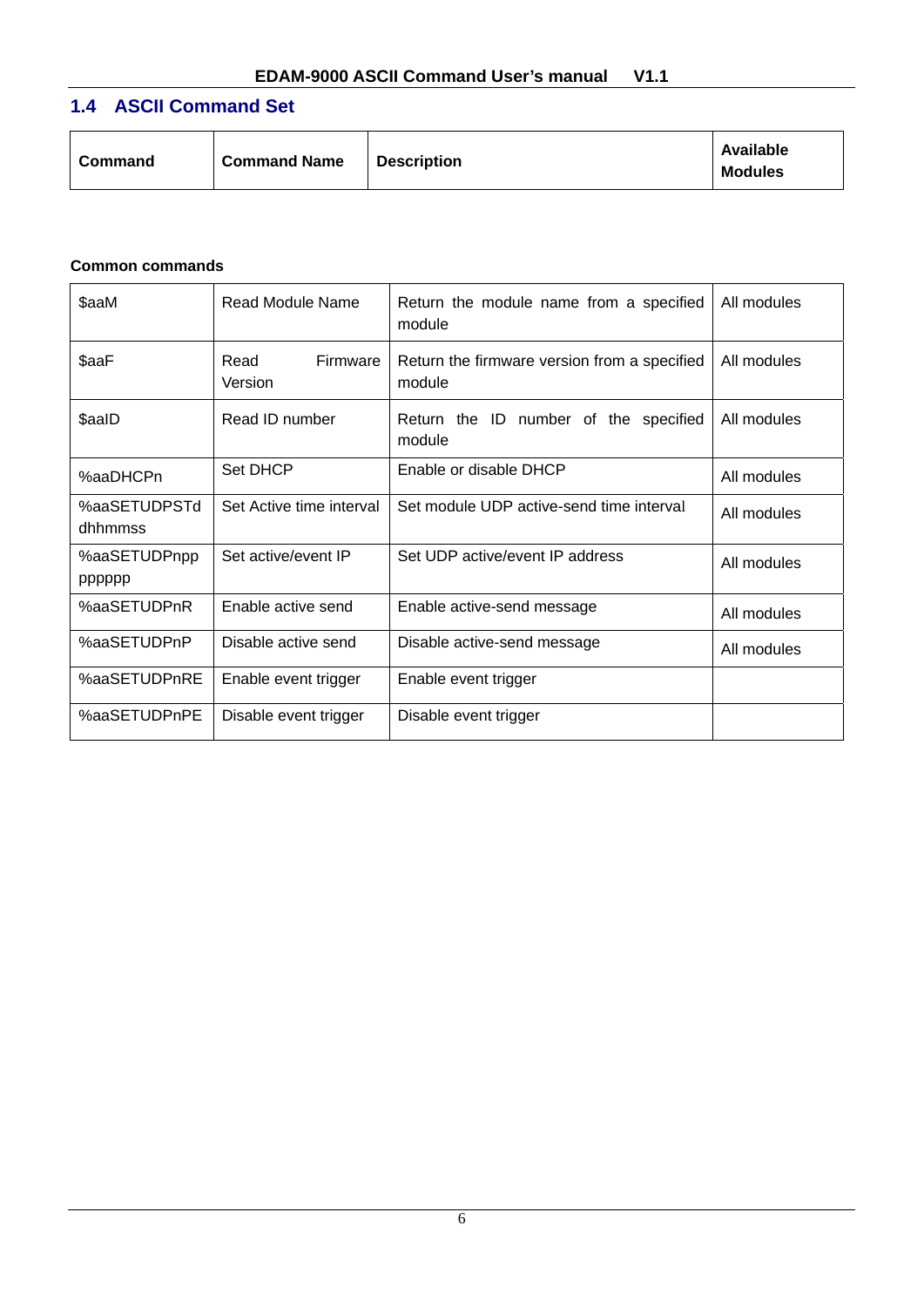# **1.4 ASCII Command Set**

| <b>Command Name</b><br>Command | <b>Description</b> | Available<br><b>Modules</b> |
|--------------------------------|--------------------|-----------------------------|
|--------------------------------|--------------------|-----------------------------|

#### **Common commands**

| \$aaM                   | Read Module Name            | Return the module name from a specified<br>module      | All modules |
|-------------------------|-----------------------------|--------------------------------------------------------|-------------|
| \$aaF                   | Read<br>Firmware<br>Version | Return the firmware version from a specified<br>module | All modules |
| \$aalD                  | Read ID number              | Return the ID number of the specified<br>module        | All modules |
| %aaDHCPn                | Set DHCP                    | Enable or disable DHCP                                 | All modules |
| %aaSETUDPSTd<br>dhhmmss | Set Active time interval    | Set module UDP active-send time interval               | All modules |
| %aaSETUDPnpp<br>pppppp  | Set active/event IP         | Set UDP active/event IP address                        | All modules |
| %aaSETUDPnR             | Enable active send          | Enable active-send message                             | All modules |
| %aaSETUDPnP             | Disable active send         | Disable active-send message                            | All modules |
| %aaSETUDPnRE            | Enable event trigger        | Enable event trigger                                   |             |
| %aaSETUDPnPE            | Disable event trigger       | Disable event trigger                                  |             |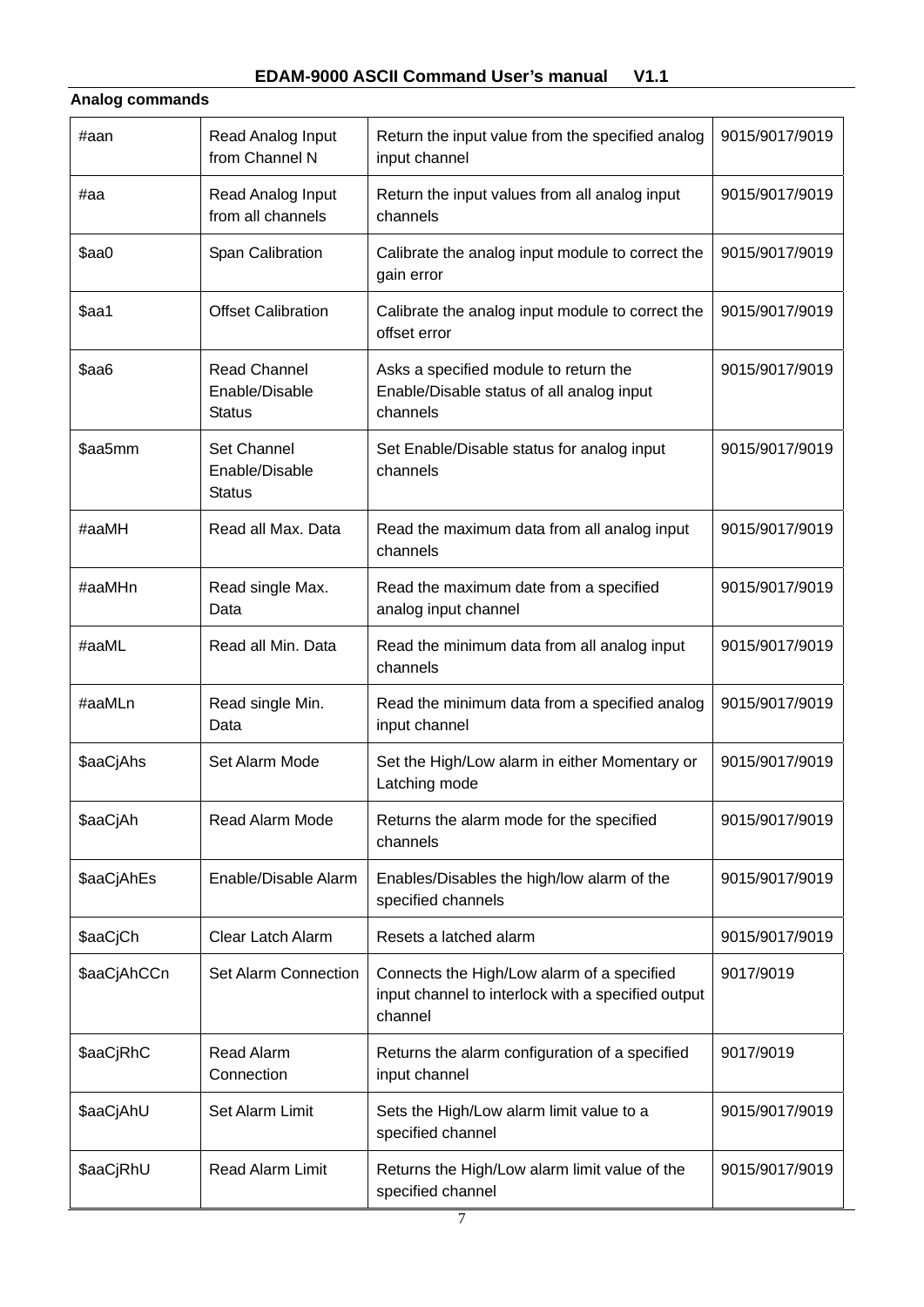**Analog commands**

#### #aan Read Analog Input from Channel N Return the input value from the specified analog input channel 9015/9017/9019 #aa Read Analog Input from all channels Return the input values from all analog input channels 9015/9017/9019 \$aa0 Span Calibration | Calibrate the analog input module to correct the gain error 9015/9017/9019 \$aa1 **Offset Calibration** Calibrate the analog input module to correct the offset error 9015/9017/9019 \$aa6 Read Channel Enable/Disable **Status** Asks a specified module to return the Enable/Disable status of all analog input channels 9015/9017/9019 \$aa5mm Set Channel Enable/Disable **Status** Set Enable/Disable status for analog input channels 9015/9017/9019  $\#$ aaMH Read all Max. Data Read the maximum data from all analog input channels 9015/9017/9019 #aaMHn Read single Max. Data Read the maximum date from a specified analog input channel 9015/9017/9019  $\#$ aaML Read all Min. Data Read the minimum data from all analog input channels 9015/9017/9019  $\#$ aaMLn  $\|$  Read single Min. Data Read the minimum data from a specified analog input channel 9015/9017/9019  $\frac{1}{2}$  Set Alarm Mode  $\frac{1}{2}$  Set the High/Low alarm in either Momentary or Latching mode 9015/9017/9019 \$aaCiAh Read Alarm Mode Returns the alarm mode for the specified channels 9015/9017/9019  $\frac{1}{2}$  Enable/Disable Alarm  $\left| \frac{1}{2}$  Enables/Disables the high/low alarm of the specified channels 9015/9017/9019 \$aaCiCh Clear Latch Alarm Resets a latched alarm 9015/9017/9019 \$aaCjAhCCn | Set Alarm Connection | Connects the High/Low alarm of a specified input channel to interlock with a specified output channel 9017/9019 \$aaCjRhC Read Alarm **Connection** Returns the alarm configuration of a specified input channel 9017/9019 \$aaCjAhU Set Alarm Limit Sets the High/Low alarm limit value to a specified channel 9015/9017/9019  $\frac{1}{2}$  Read Alarm Limit Returns the High/Low alarm limit value of the specified channel 9015/9017/9019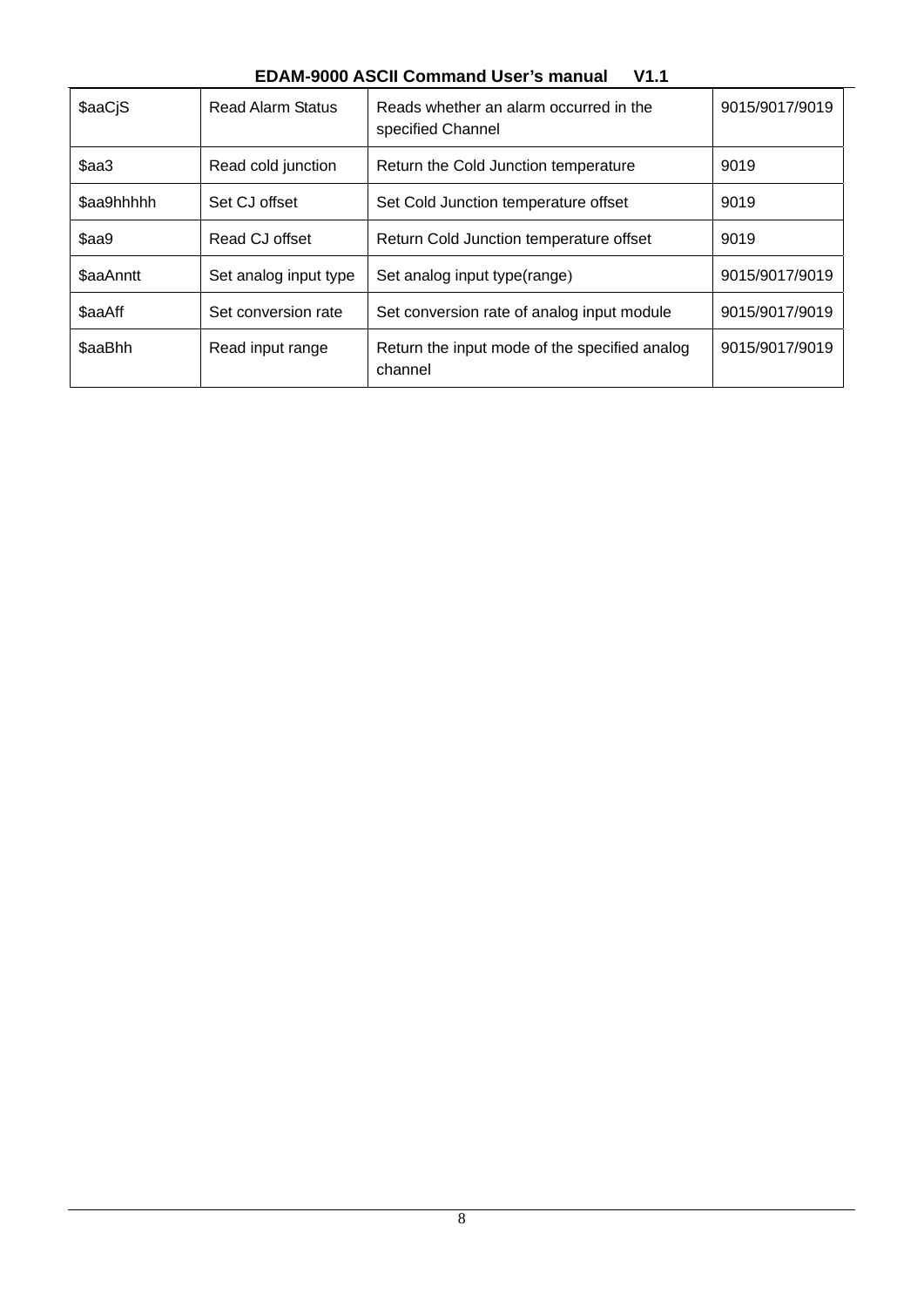## **EDAM-9000 ASCII Command User's manual V1.1**

| \$aaCjS    | <b>Read Alarm Status</b> | Reads whether an alarm occurred in the<br>specified Channel | 9015/9017/9019 |
|------------|--------------------------|-------------------------------------------------------------|----------------|
| \$aa3      | Read cold junction       | Return the Cold Junction temperature                        | 9019           |
| \$aa9hhhhh | Set CJ offset            | Set Cold Junction temperature offset                        | 9019           |
| \$aa9      | Read CJ offset           | Return Cold Junction temperature offset                     | 9019           |
| \$aaAnntt  | Set analog input type    | Set analog input type(range)                                | 9015/9017/9019 |
| \$aaAff    | Set conversion rate      | Set conversion rate of analog input module                  | 9015/9017/9019 |
| \$aaBhh    | Read input range         | Return the input mode of the specified analog<br>channel    | 9015/9017/9019 |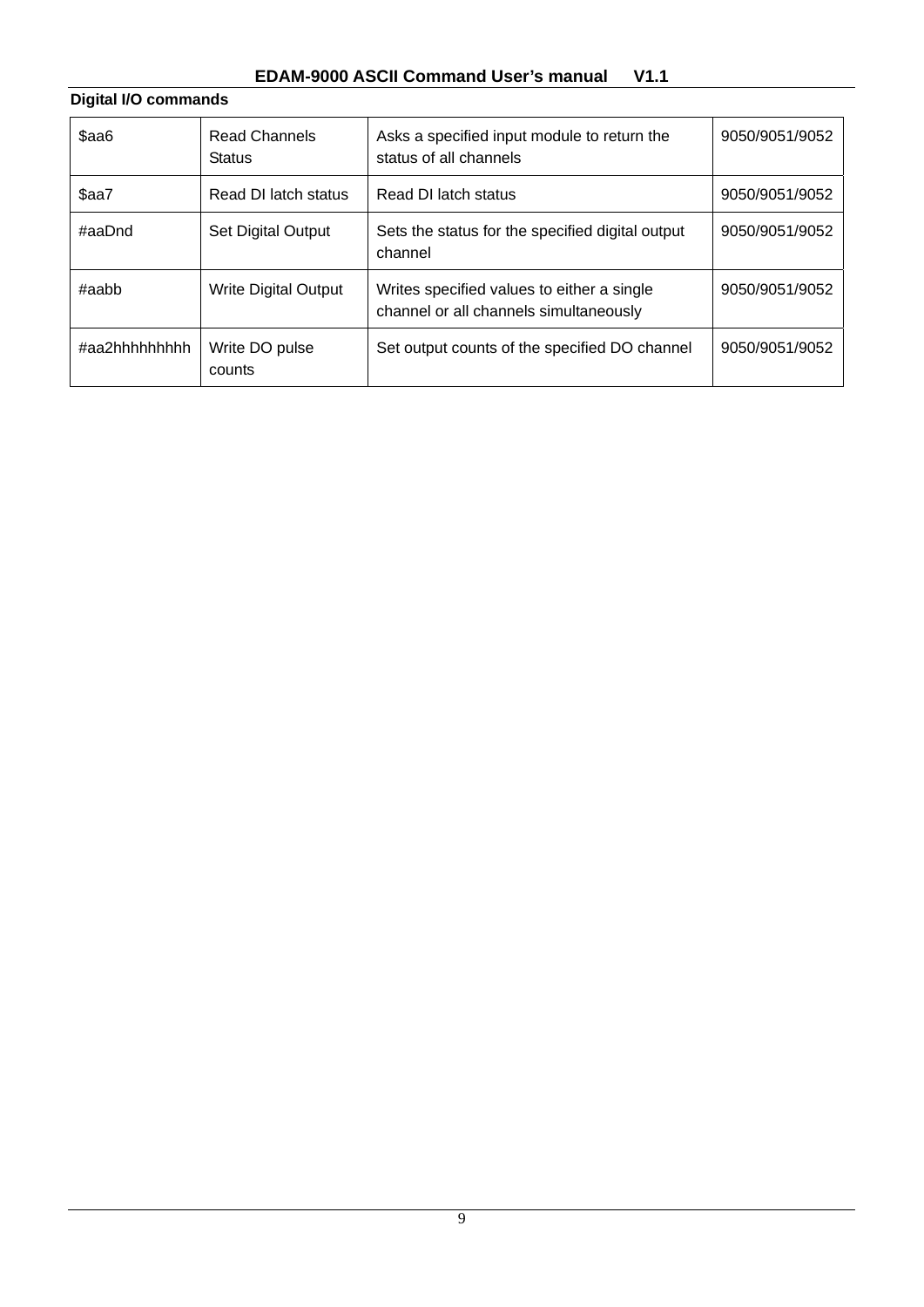# **EDAM-9000 ASCII Command User's manual V1.1**

| Digital I/O commands |                                       |                                                                                      |                |
|----------------------|---------------------------------------|--------------------------------------------------------------------------------------|----------------|
| \$aa6                | <b>Read Channels</b><br><b>Status</b> | Asks a specified input module to return the<br>status of all channels                | 9050/9051/9052 |
| \$aa7                | Read DI latch status                  | Read DI latch status                                                                 | 9050/9051/9052 |
| #aaDnd               | <b>Set Digital Output</b>             | Sets the status for the specified digital output<br>channel                          | 9050/9051/9052 |
| $\#$ aabb            | <b>Write Digital Output</b>           | Writes specified values to either a single<br>channel or all channels simultaneously | 9050/9051/9052 |
| #aa2hhhhhhhhh        | Write DO pulse<br>counts              | Set output counts of the specified DO channel                                        | 9050/9051/9052 |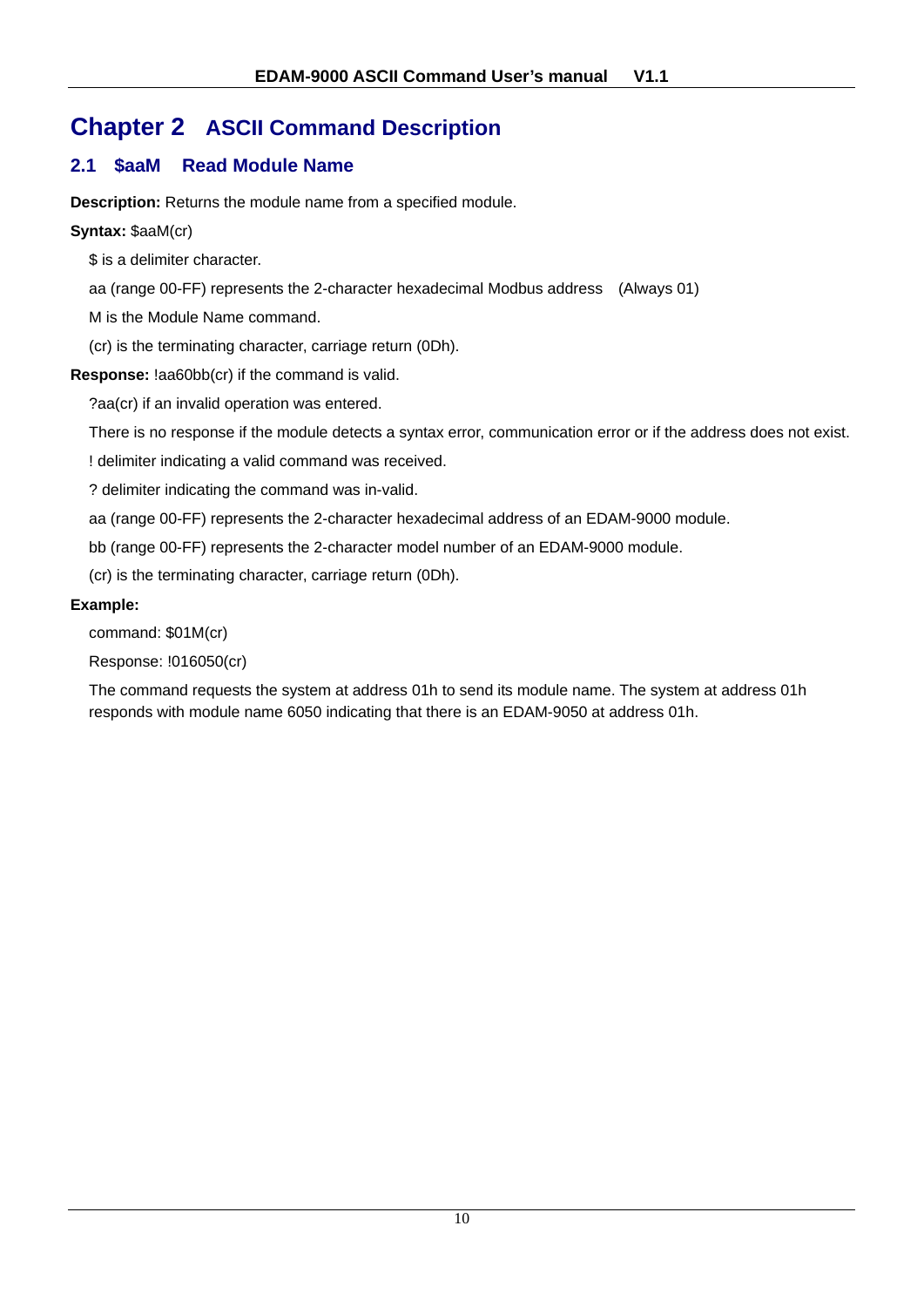# **Chapter 2 ASCII Command Description**

# **2.1 \$aaM Read Module Name**

**Description:** Returns the module name from a specified module.

**Syntax:** \$aaM(cr)

\$ is a delimiter character.

aa (range 00-FF) represents the 2-character hexadecimal Modbus address (Always 01)

M is the Module Name command.

(cr) is the terminating character, carriage return (0Dh).

**Response:** !aa60bb(cr) if the command is valid.

?aa(cr) if an invalid operation was entered.

There is no response if the module detects a syntax error, communication error or if the address does not exist.

! delimiter indicating a valid command was received.

? delimiter indicating the command was in-valid.

aa (range 00-FF) represents the 2-character hexadecimal address of an EDAM-9000 module.

bb (range 00-FF) represents the 2-character model number of an EDAM-9000 module.

(cr) is the terminating character, carriage return (0Dh).

## **Example:**

command: \$01M(cr)

Response: !016050(cr)

The command requests the system at address 01h to send its module name. The system at address 01h responds with module name 6050 indicating that there is an EDAM-9050 at address 01h.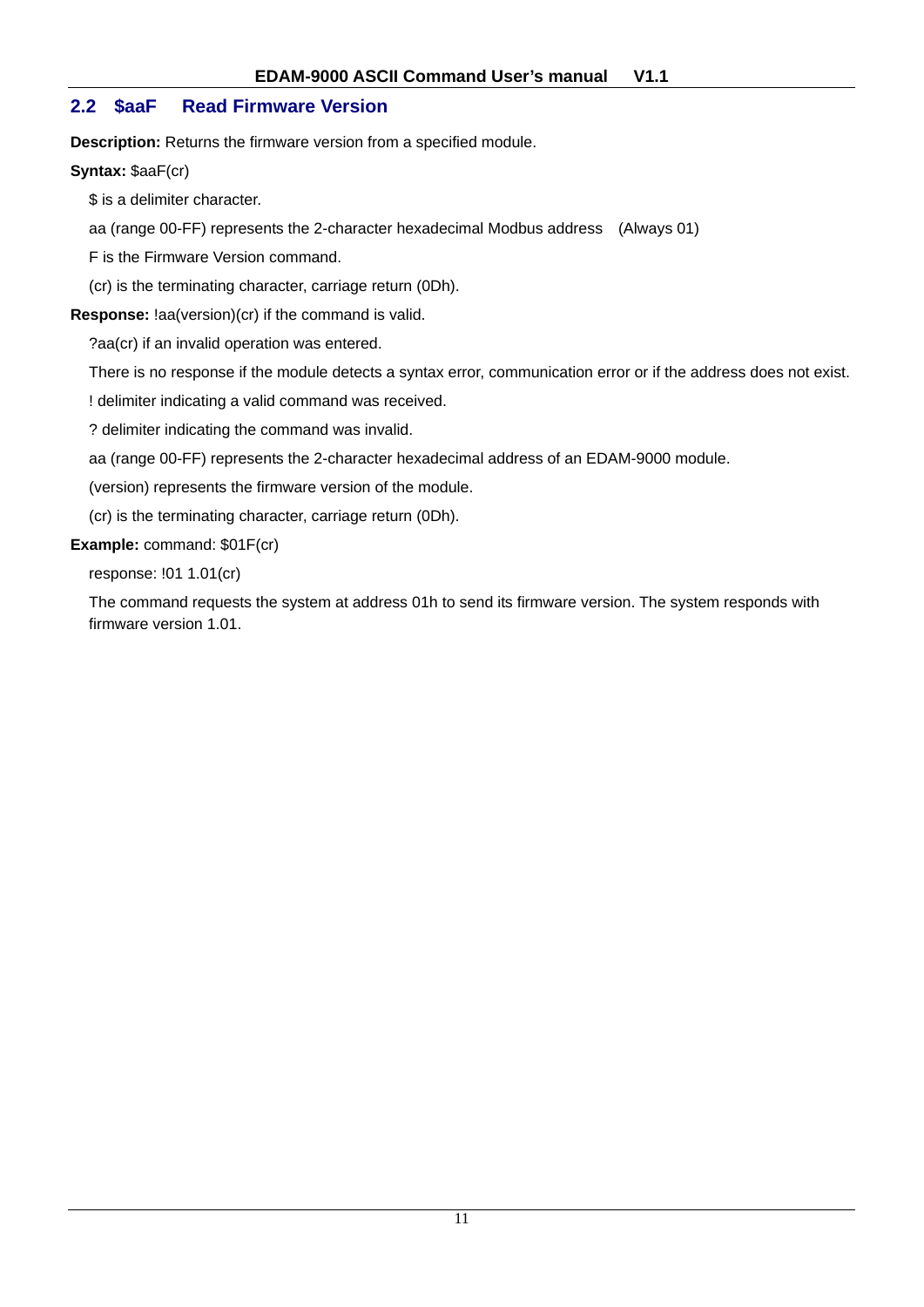## **2.2 \$aaF Read Firmware Version**

**Description:** Returns the firmware version from a specified module.

#### **Syntax:** \$aaF(cr)

\$ is a delimiter character.

aa (range 00-FF) represents the 2-character hexadecimal Modbus address (Always 01)

F is the Firmware Version command.

(cr) is the terminating character, carriage return (0Dh).

**Response:** !aa(version)(cr) if the command is valid.

?aa(cr) if an invalid operation was entered.

There is no response if the module detects a syntax error, communication error or if the address does not exist.

! delimiter indicating a valid command was received.

? delimiter indicating the command was invalid.

aa (range 00-FF) represents the 2-character hexadecimal address of an EDAM-9000 module.

(version) represents the firmware version of the module.

(cr) is the terminating character, carriage return (0Dh).

#### **Example:** command: \$01F(cr)

response: !01 1.01(cr)

The command requests the system at address 01h to send its firmware version. The system responds with firmware version 1.01.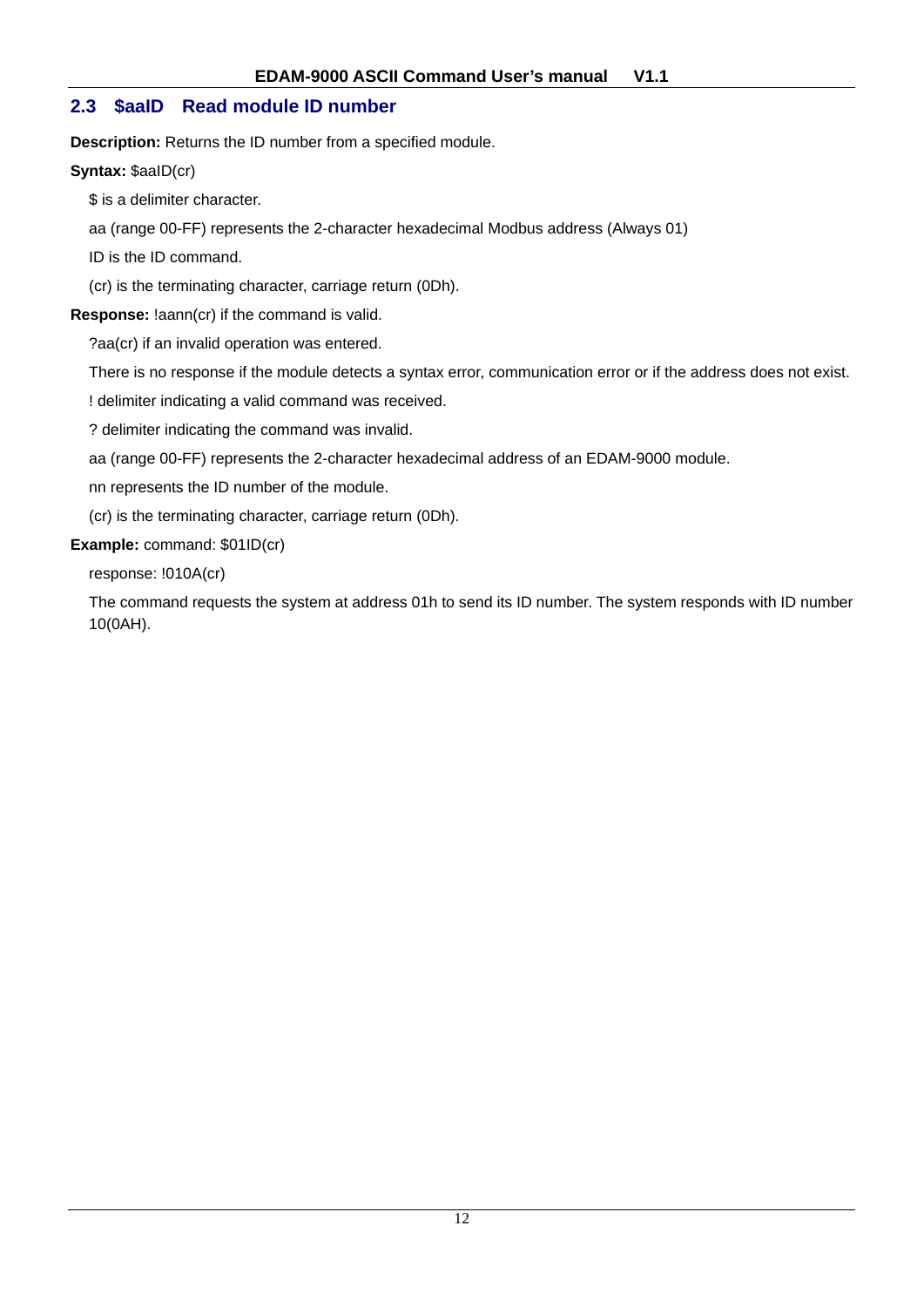## **2.3 \$aaID Read module ID number**

**Description:** Returns the ID number from a specified module.

**Syntax:** \$aaID(cr)

\$ is a delimiter character.

aa (range 00-FF) represents the 2-character hexadecimal Modbus address (Always 01)

ID is the ID command.

(cr) is the terminating character, carriage return (0Dh).

**Response:** !aann(cr) if the command is valid.

?aa(cr) if an invalid operation was entered.

There is no response if the module detects a syntax error, communication error or if the address does not exist.

! delimiter indicating a valid command was received.

? delimiter indicating the command was invalid.

aa (range 00-FF) represents the 2-character hexadecimal address of an EDAM-9000 module.

nn represents the ID number of the module.

(cr) is the terminating character, carriage return (0Dh).

#### **Example:** command: \$01ID(cr)

response: !010A(cr)

The command requests the system at address 01h to send its ID number. The system responds with ID number 10(0AH).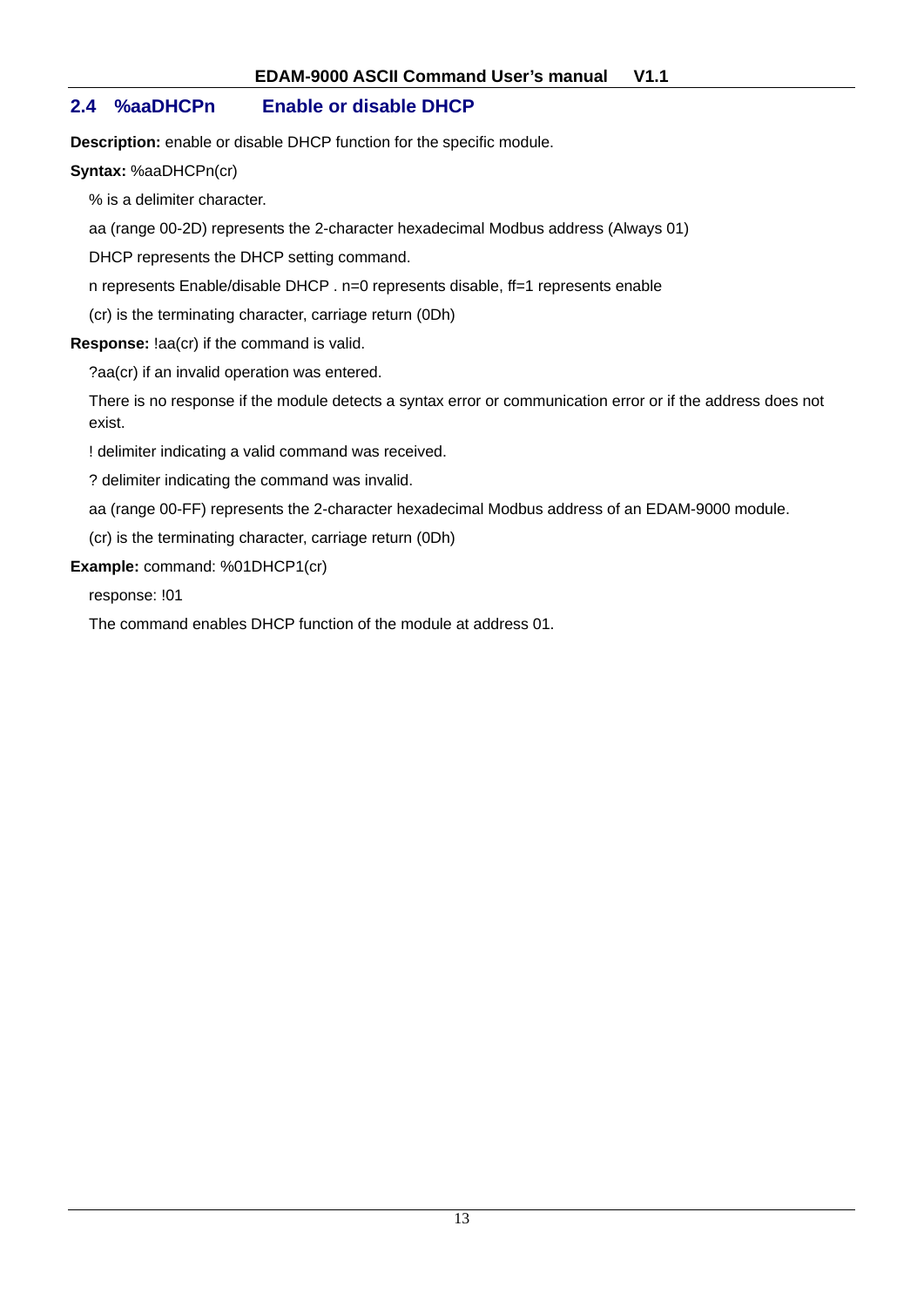## **2.4 %aaDHCPn Enable or disable DHCP**

**Description:** enable or disable DHCP function for the specific module.

**Syntax:** %aaDHCPn(cr)

% is a delimiter character.

aa (range 00-2D) represents the 2-character hexadecimal Modbus address (Always 01)

DHCP represents the DHCP setting command.

n represents Enable/disable DHCP . n=0 represents disable, ff=1 represents enable

(cr) is the terminating character, carriage return (0Dh)

**Response:** !aa(cr) if the command is valid.

?aa(cr) if an invalid operation was entered.

There is no response if the module detects a syntax error or communication error or if the address does not exist.

! delimiter indicating a valid command was received.

? delimiter indicating the command was invalid.

aa (range 00-FF) represents the 2-character hexadecimal Modbus address of an EDAM-9000 module.

(cr) is the terminating character, carriage return (0Dh)

**Example:** command: %01DHCP1(cr)

response: !01

The command enables DHCP function of the module at address 01.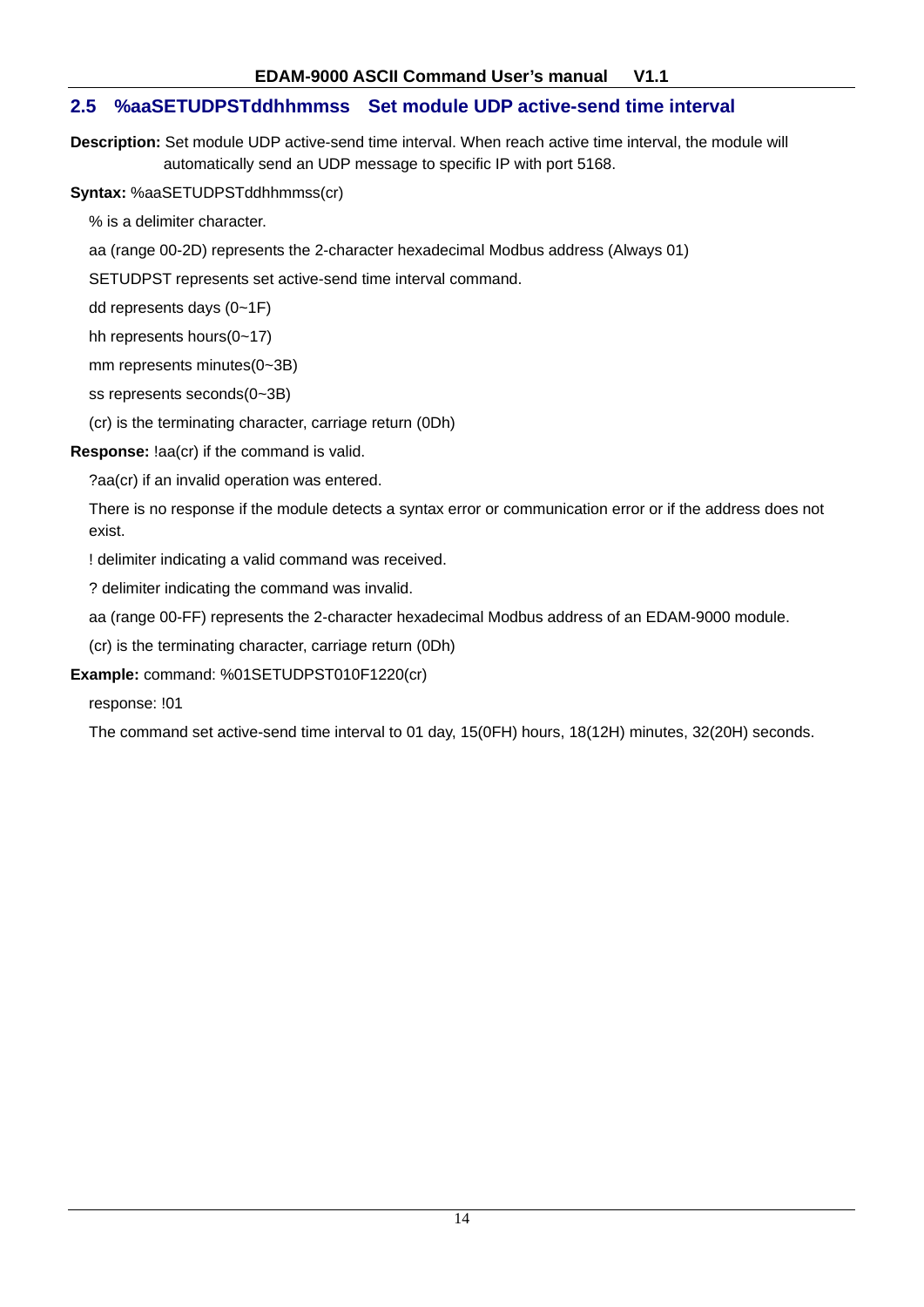## **2.5 %aaSETUDPSTddhhmmss Set module UDP active-send time interval**

**Description:** Set module UDP active-send time interval. When reach active time interval, the module will automatically send an UDP message to specific IP with port 5168.

**Syntax:** %aaSETUDPSTddhhmmss(cr)

% is a delimiter character.

aa (range 00-2D) represents the 2-character hexadecimal Modbus address (Always 01)

SETUDPST represents set active-send time interval command.

dd represents days (0~1F)

hh represents hours(0~17)

mm represents minutes(0~3B)

ss represents seconds(0~3B)

(cr) is the terminating character, carriage return (0Dh)

**Response:** !aa(cr) if the command is valid.

?aa(cr) if an invalid operation was entered.

There is no response if the module detects a syntax error or communication error or if the address does not exist.

! delimiter indicating a valid command was received.

? delimiter indicating the command was invalid.

aa (range 00-FF) represents the 2-character hexadecimal Modbus address of an EDAM-9000 module.

(cr) is the terminating character, carriage return (0Dh)

**Example:** command: %01SETUDPST010F1220(cr)

response: !01

The command set active-send time interval to 01 day, 15(0FH) hours, 18(12H) minutes, 32(20H) seconds.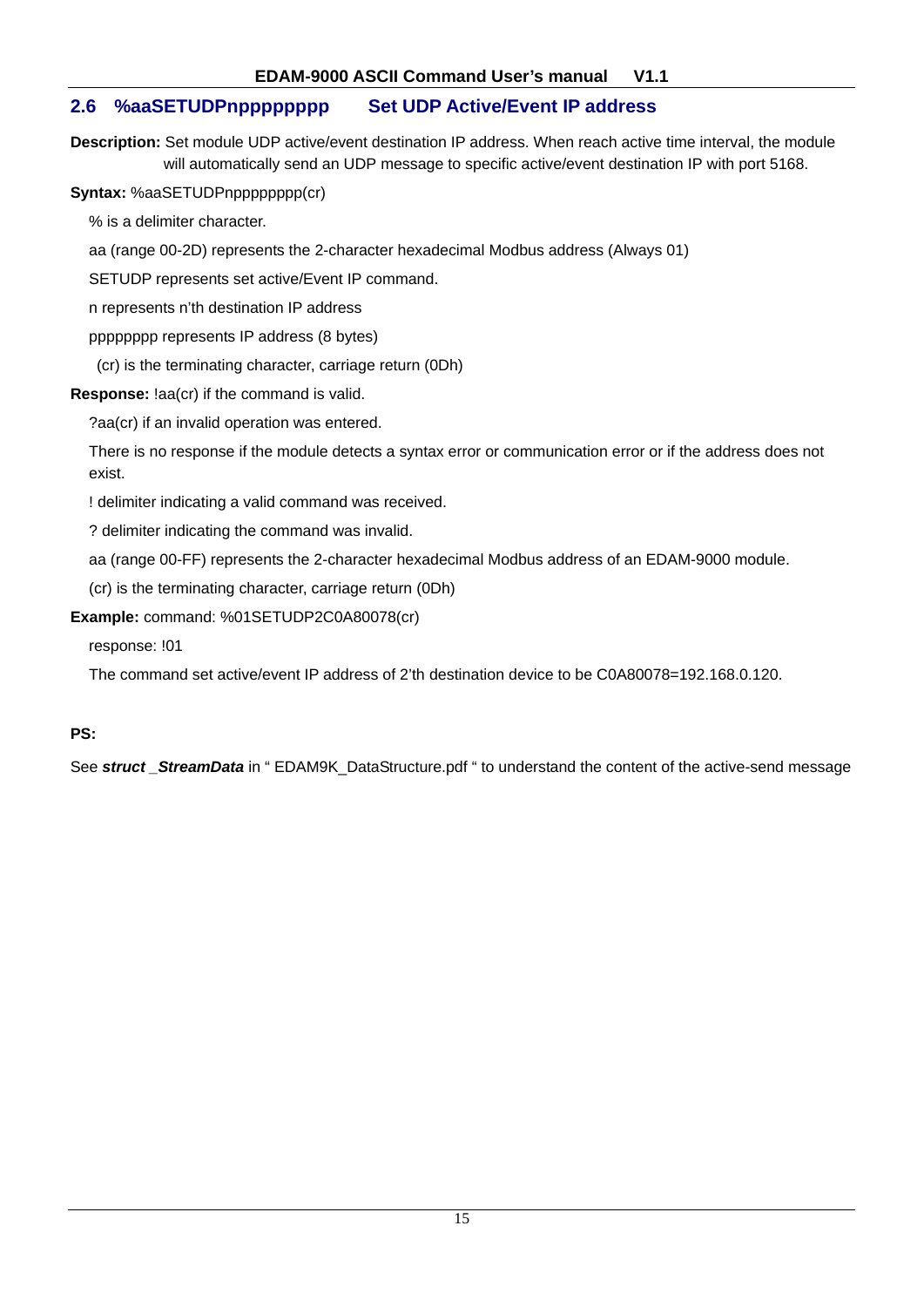## **2.6 %aaSETUDPnpppppppp Set UDP Active/Event IP address**

**Description:** Set module UDP active/event destination IP address. When reach active time interval, the module will automatically send an UDP message to specific active/event destination IP with port 5168.

**Syntax:** %aaSETUDPnpppppppp(cr)

% is a delimiter character.

aa (range 00-2D) represents the 2-character hexadecimal Modbus address (Always 01)

SETUDP represents set active/Event IP command.

n represents n'th destination IP address

pppppppp represents IP address (8 bytes)

(cr) is the terminating character, carriage return (0Dh)

**Response:** !aa(cr) if the command is valid.

?aa(cr) if an invalid operation was entered.

There is no response if the module detects a syntax error or communication error or if the address does not exist.

! delimiter indicating a valid command was received.

? delimiter indicating the command was invalid.

aa (range 00-FF) represents the 2-character hexadecimal Modbus address of an EDAM-9000 module.

(cr) is the terminating character, carriage return (0Dh)

**Example:** command: %01SETUDP2C0A80078(cr)

response: !01

The command set active/event IP address of 2'th destination device to be C0A80078=192.168.0.120.

## **PS:**

See *struct* StreamData in " EDAM9K DataStructure.pdf " to understand the content of the active-send message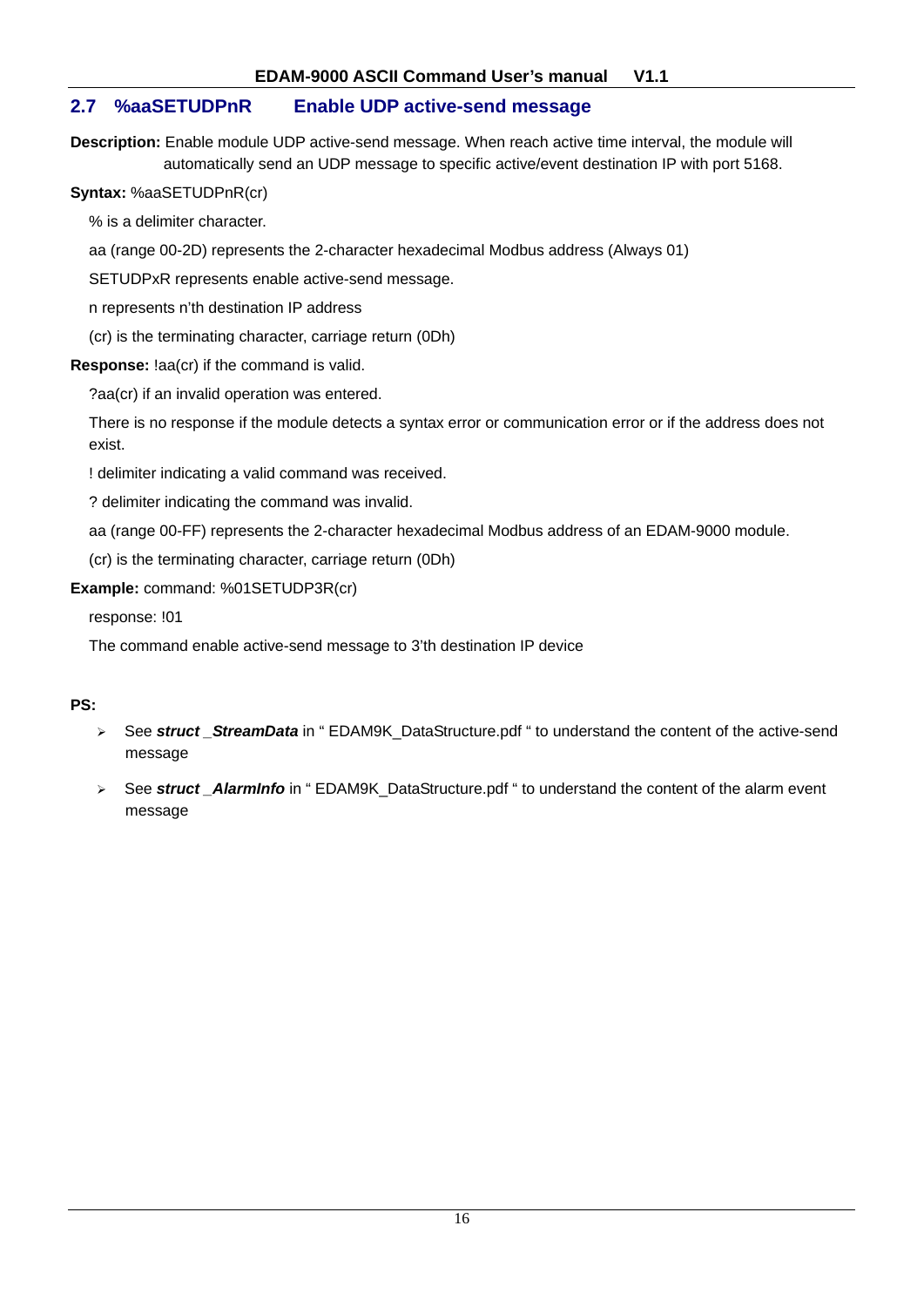## **2.7 %aaSETUDPnR Enable UDP active-send message**

**Description:** Enable module UDP active-send message. When reach active time interval, the module will automatically send an UDP message to specific active/event destination IP with port 5168.

**Syntax:** %aaSETUDPnR(cr)

% is a delimiter character.

aa (range 00-2D) represents the 2-character hexadecimal Modbus address (Always 01)

SETUDPxR represents enable active-send message.

n represents n'th destination IP address

(cr) is the terminating character, carriage return (0Dh)

#### **Response:** !aa(cr) if the command is valid.

?aa(cr) if an invalid operation was entered.

There is no response if the module detects a syntax error or communication error or if the address does not exist.

! delimiter indicating a valid command was received.

? delimiter indicating the command was invalid.

aa (range 00-FF) represents the 2-character hexadecimal Modbus address of an EDAM-9000 module.

(cr) is the terminating character, carriage return (0Dh)

**Example:** command: %01SETUDP3R(cr)

response: !01

The command enable active-send message to 3'th destination IP device

## **PS:**

- ¾ See *struct \_StreamData* in " EDAM9K\_DataStructure.pdf " to understand the content of the active-send message
- ¾ See *struct \_AlarmInfo* in " EDAM9K\_DataStructure.pdf " to understand the content of the alarm event message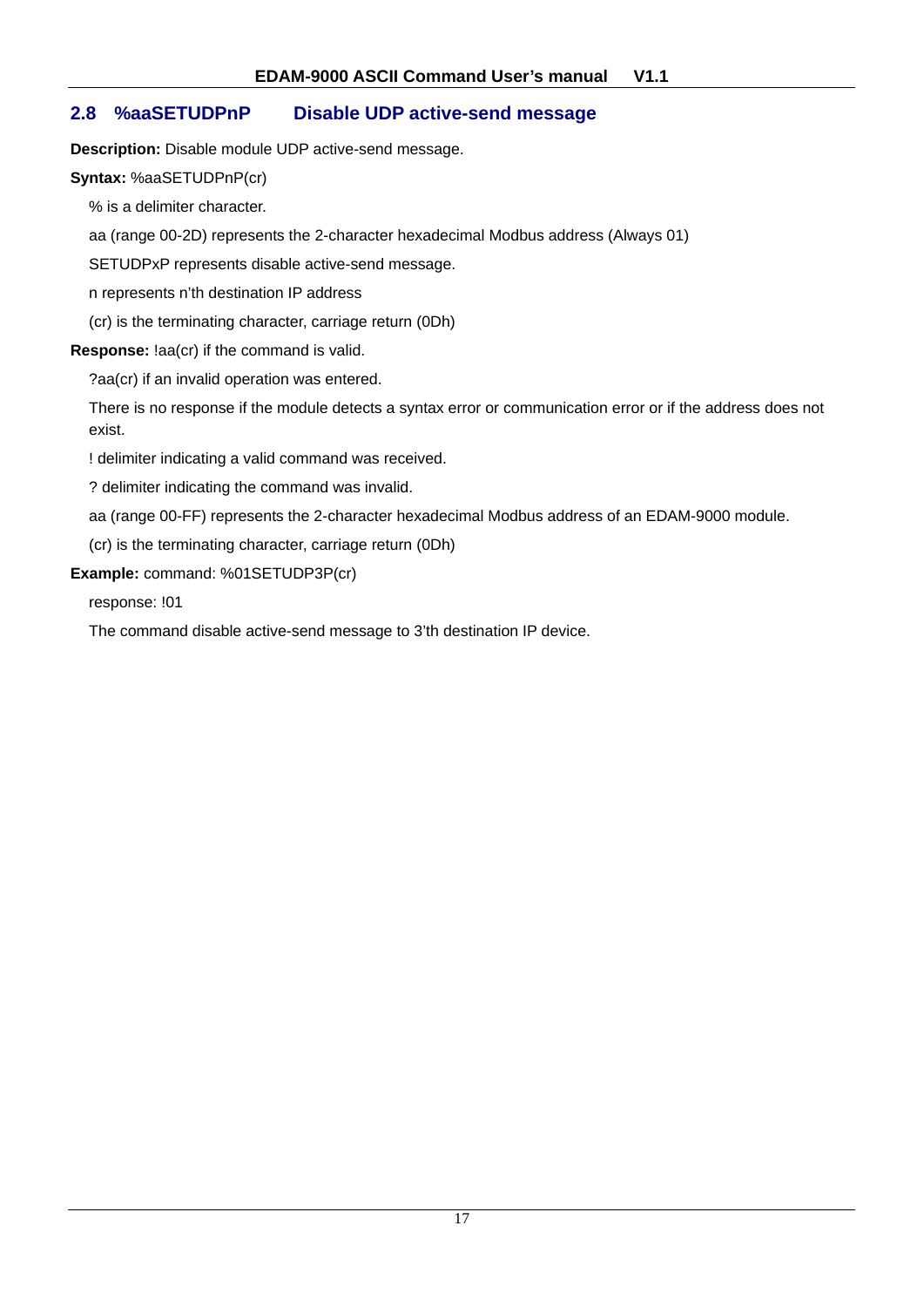## **2.8 %aaSETUDPnP Disable UDP active-send message**

**Description:** Disable module UDP active-send message.

#### **Syntax:** %aaSETUDPnP(cr)

% is a delimiter character.

aa (range 00-2D) represents the 2-character hexadecimal Modbus address (Always 01)

SETUDPxP represents disable active-send message.

n represents n'th destination IP address

(cr) is the terminating character, carriage return (0Dh)

#### **Response:** !aa(cr) if the command is valid.

?aa(cr) if an invalid operation was entered.

There is no response if the module detects a syntax error or communication error or if the address does not exist.

! delimiter indicating a valid command was received.

? delimiter indicating the command was invalid.

aa (range 00-FF) represents the 2-character hexadecimal Modbus address of an EDAM-9000 module.

(cr) is the terminating character, carriage return (0Dh)

**Example:** command: %01SETUDP3P(cr)

response: !01

The command disable active-send message to 3'th destination IP device.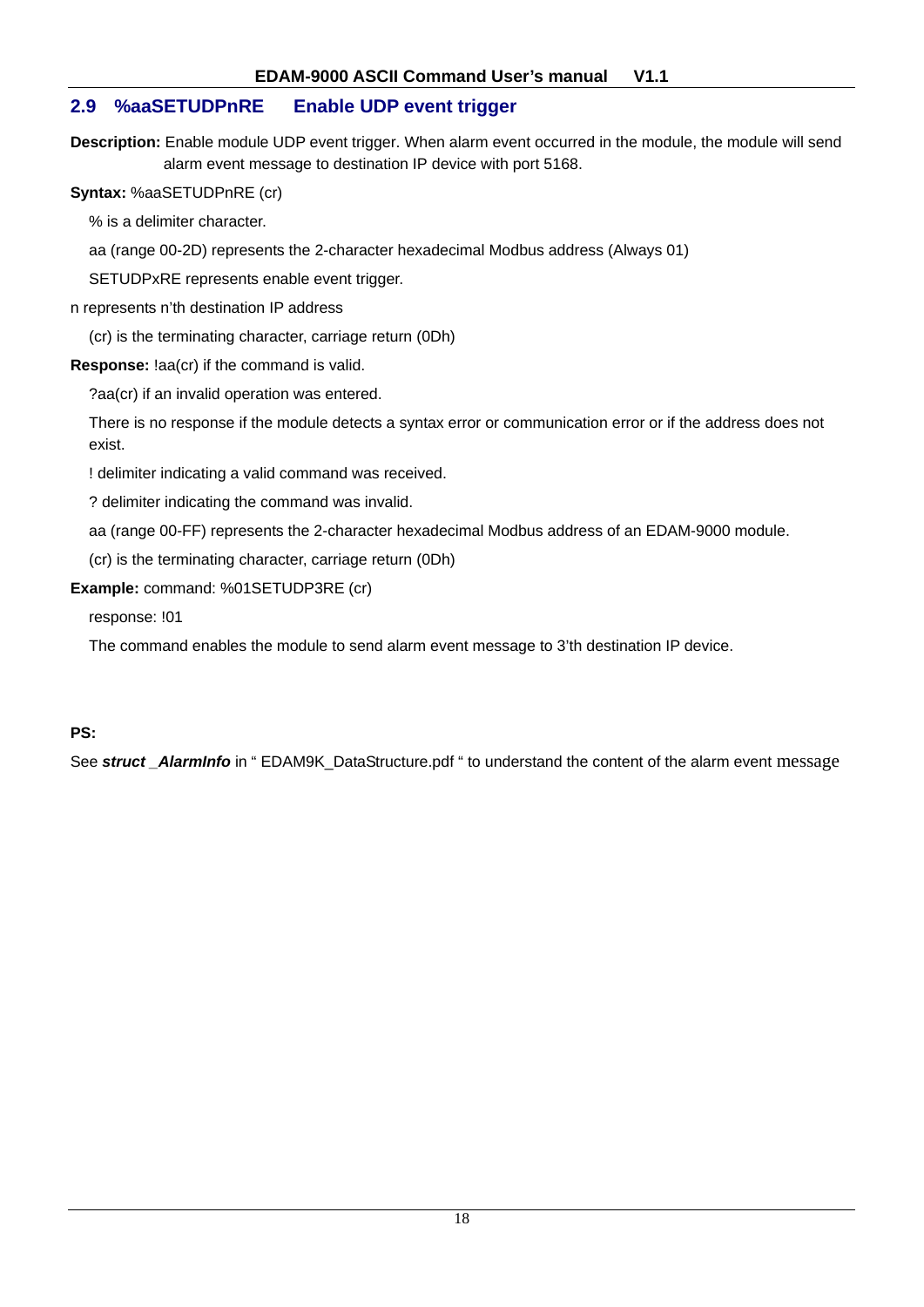## **2.9 %aaSETUDPnRE Enable UDP event trigger**

**Description:** Enable module UDP event trigger. When alarm event occurred in the module, the module will send alarm event message to destination IP device with port 5168.

**Syntax:** %aaSETUDPnRE (cr)

% is a delimiter character.

aa (range 00-2D) represents the 2-character hexadecimal Modbus address (Always 01)

SETUDPxRE represents enable event trigger.

n represents n'th destination IP address

(cr) is the terminating character, carriage return (0Dh)

**Response:** !aa(cr) if the command is valid.

?aa(cr) if an invalid operation was entered.

There is no response if the module detects a syntax error or communication error or if the address does not exist.

! delimiter indicating a valid command was received.

? delimiter indicating the command was invalid.

aa (range 00-FF) represents the 2-character hexadecimal Modbus address of an EDAM-9000 module.

(cr) is the terminating character, carriage return (0Dh)

**Example:** command: %01SETUDP3RE (cr)

response: !01

The command enables the module to send alarm event message to 3'th destination IP device.

#### **PS:**

See *struct \_AlarmInfo* in " EDAM9K\_DataStructure.pdf " to understand the content of the alarm event message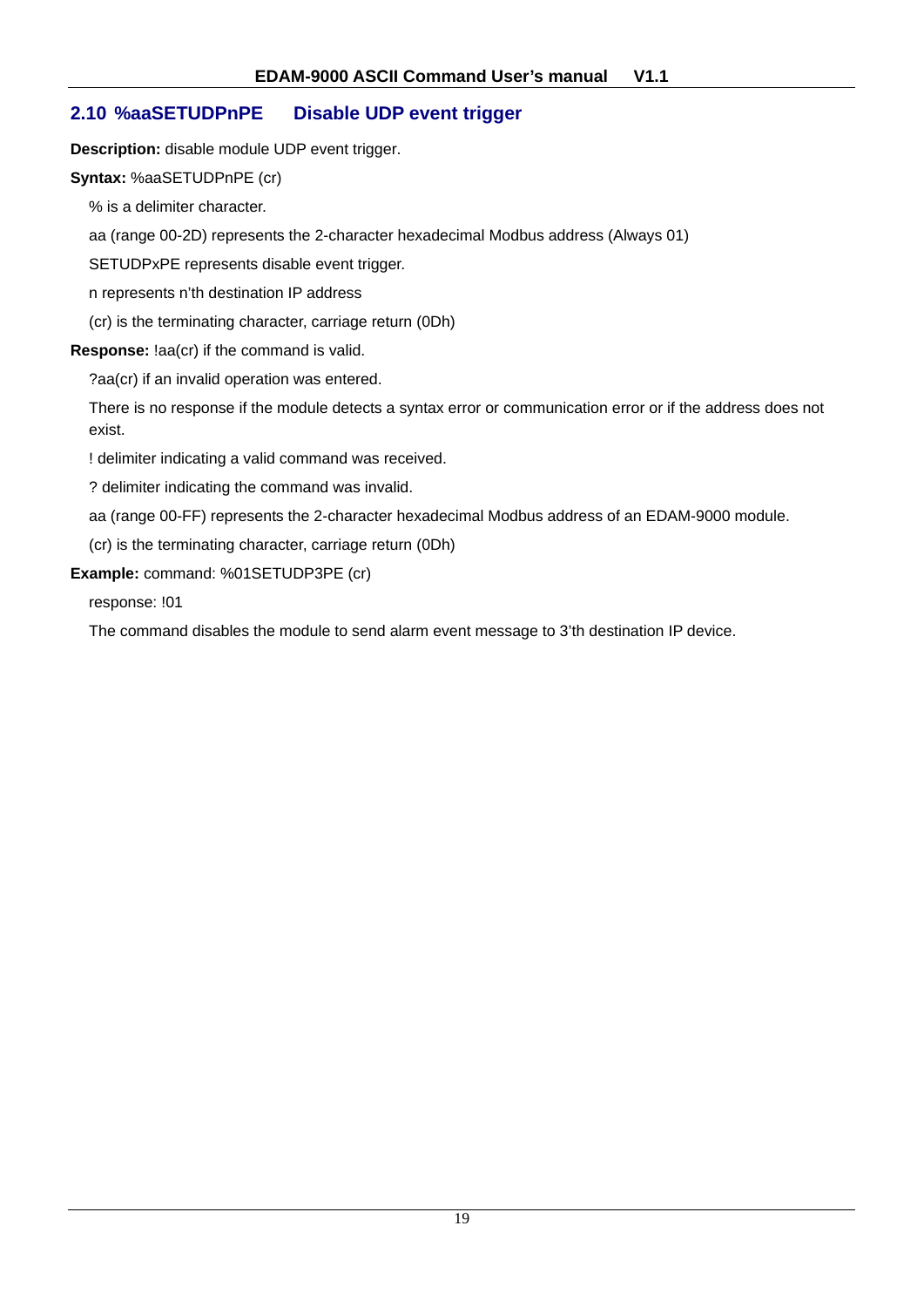## **2.10 %aaSETUDPnPE Disable UDP event trigger**

**Description:** disable module UDP event trigger.

#### **Syntax:** %aaSETUDPnPE (cr)

% is a delimiter character.

aa (range 00-2D) represents the 2-character hexadecimal Modbus address (Always 01)

SETUDPxPE represents disable event trigger.

n represents n'th destination IP address

(cr) is the terminating character, carriage return (0Dh)

#### **Response:** !aa(cr) if the command is valid.

?aa(cr) if an invalid operation was entered.

There is no response if the module detects a syntax error or communication error or if the address does not exist.

! delimiter indicating a valid command was received.

? delimiter indicating the command was invalid.

aa (range 00-FF) represents the 2-character hexadecimal Modbus address of an EDAM-9000 module.

(cr) is the terminating character, carriage return (0Dh)

**Example:** command: %01SETUDP3PE (cr)

response: !01

The command disables the module to send alarm event message to 3'th destination IP device.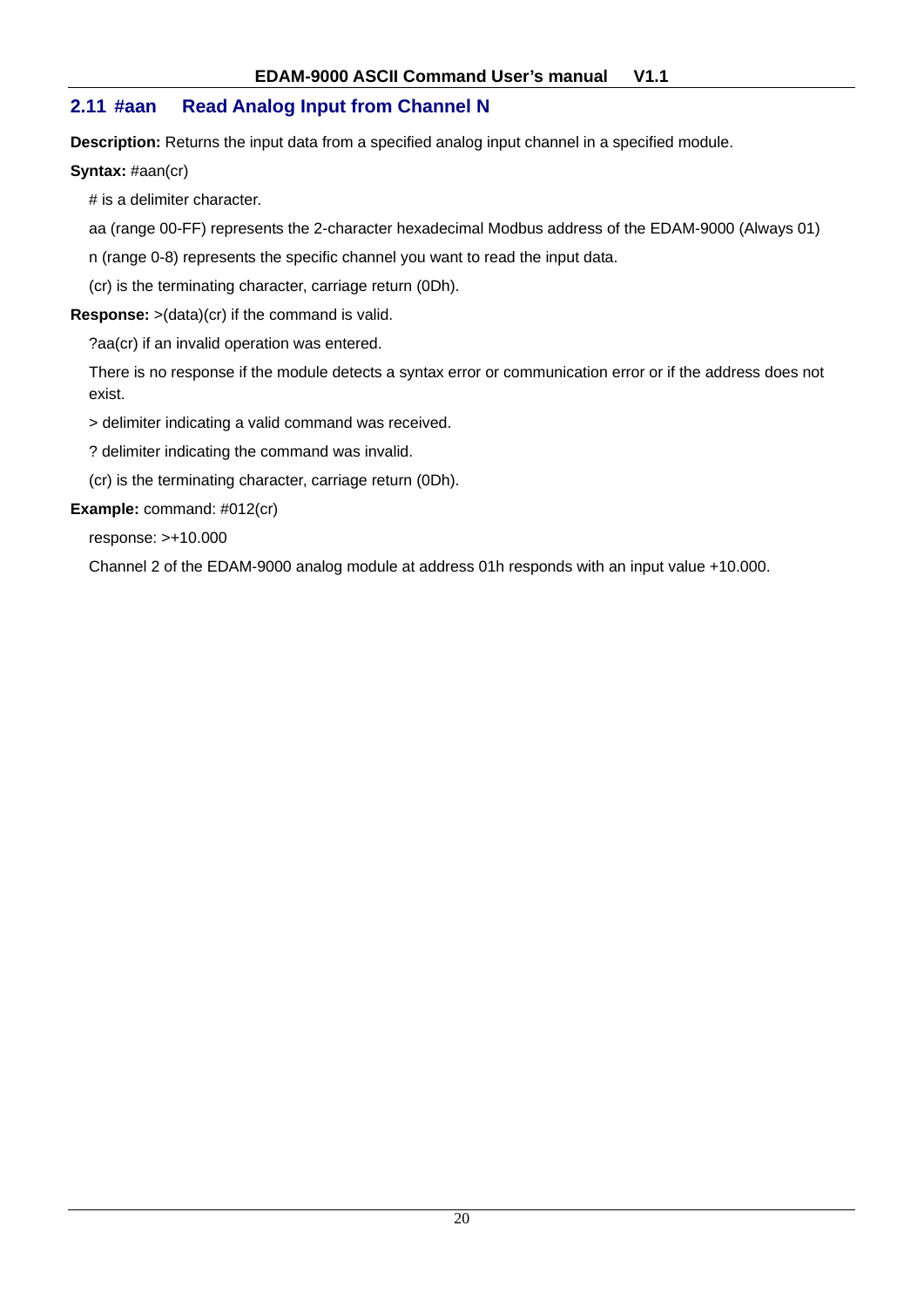## **2.11 #aan Read Analog Input from Channel N**

**Description:** Returns the input data from a specified analog input channel in a specified module.

**Syntax:** #aan(cr)

# is a delimiter character.

aa (range 00-FF) represents the 2-character hexadecimal Modbus address of the EDAM-9000 (Always 01)

n (range 0-8) represents the specific channel you want to read the input data.

(cr) is the terminating character, carriage return (0Dh).

**Response:** >(data)(cr) if the command is valid.

?aa(cr) if an invalid operation was entered.

There is no response if the module detects a syntax error or communication error or if the address does not exist.

> delimiter indicating a valid command was received.

? delimiter indicating the command was invalid.

(cr) is the terminating character, carriage return (0Dh).

**Example:** command: #012(cr)

response: >+10.000

Channel 2 of the EDAM-9000 analog module at address 01h responds with an input value +10.000.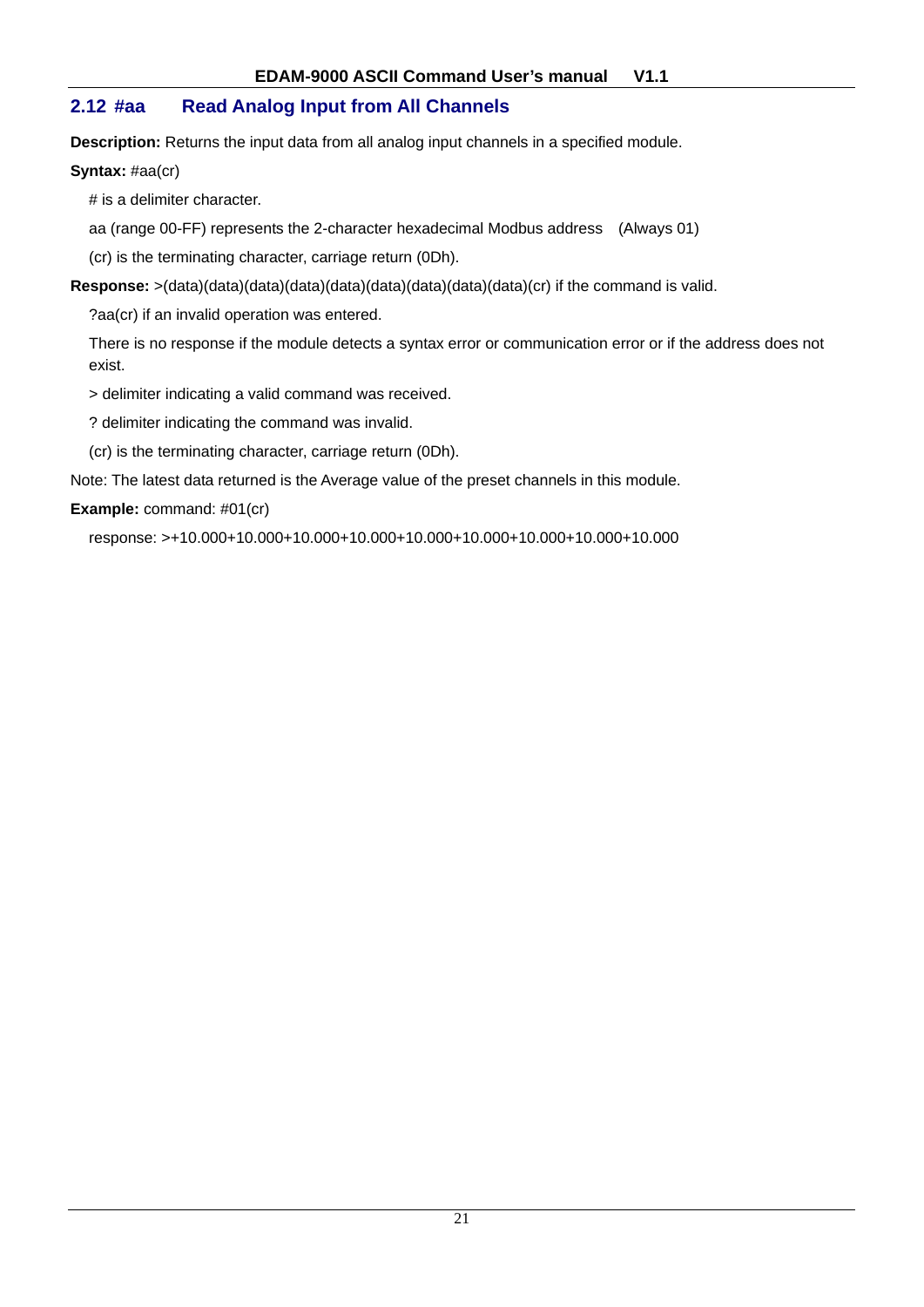## **2.12 #aa Read Analog Input from All Channels**

**Description:** Returns the input data from all analog input channels in a specified module.

#### **Syntax:** #aa(cr)

# is a delimiter character.

aa (range 00-FF) represents the 2-character hexadecimal Modbus address (Always 01)

(cr) is the terminating character, carriage return (0Dh).

**Response:** >(data)(data)(data)(data)(data)(data)(data)(data)(data)(cr) if the command is valid.

?aa(cr) if an invalid operation was entered.

There is no response if the module detects a syntax error or communication error or if the address does not exist.

> delimiter indicating a valid command was received.

? delimiter indicating the command was invalid.

(cr) is the terminating character, carriage return (0Dh).

Note: The latest data returned is the Average value of the preset channels in this module.

#### **Example:** command: #01(cr)

response: >+10.000+10.000+10.000+10.000+10.000+10.000+10.000+10.000+10.000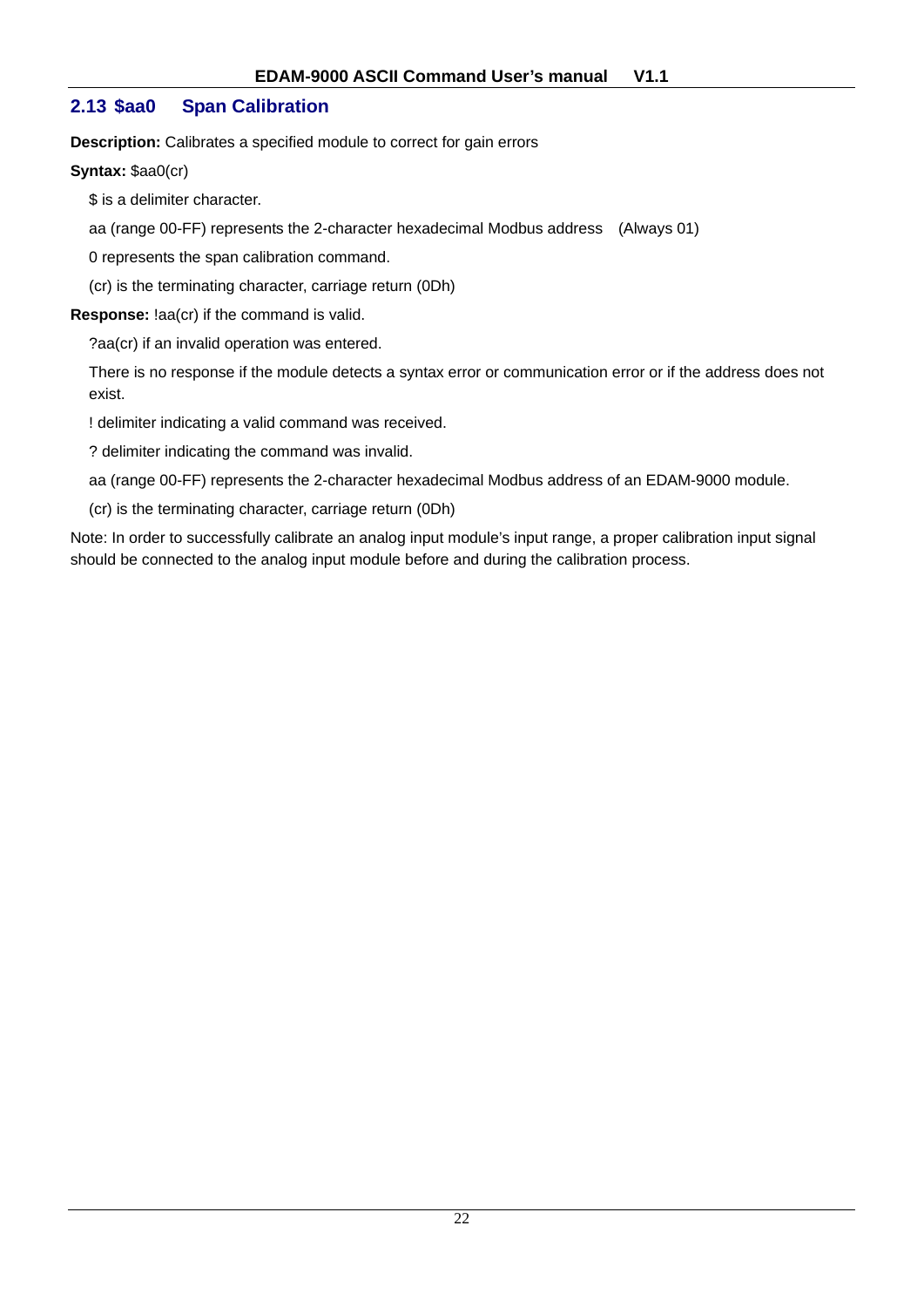## **2.13 \$aa0 Span Calibration**

**Description:** Calibrates a specified module to correct for gain errors

**Syntax:** \$aa0(cr)

\$ is a delimiter character.

aa (range 00-FF) represents the 2-character hexadecimal Modbus address (Always 01)

0 represents the span calibration command.

(cr) is the terminating character, carriage return (0Dh)

**Response:** !aa(cr) if the command is valid.

?aa(cr) if an invalid operation was entered.

There is no response if the module detects a syntax error or communication error or if the address does not exist.

! delimiter indicating a valid command was received.

? delimiter indicating the command was invalid.

aa (range 00-FF) represents the 2-character hexadecimal Modbus address of an EDAM-9000 module.

(cr) is the terminating character, carriage return (0Dh)

Note: In order to successfully calibrate an analog input module's input range, a proper calibration input signal should be connected to the analog input module before and during the calibration process.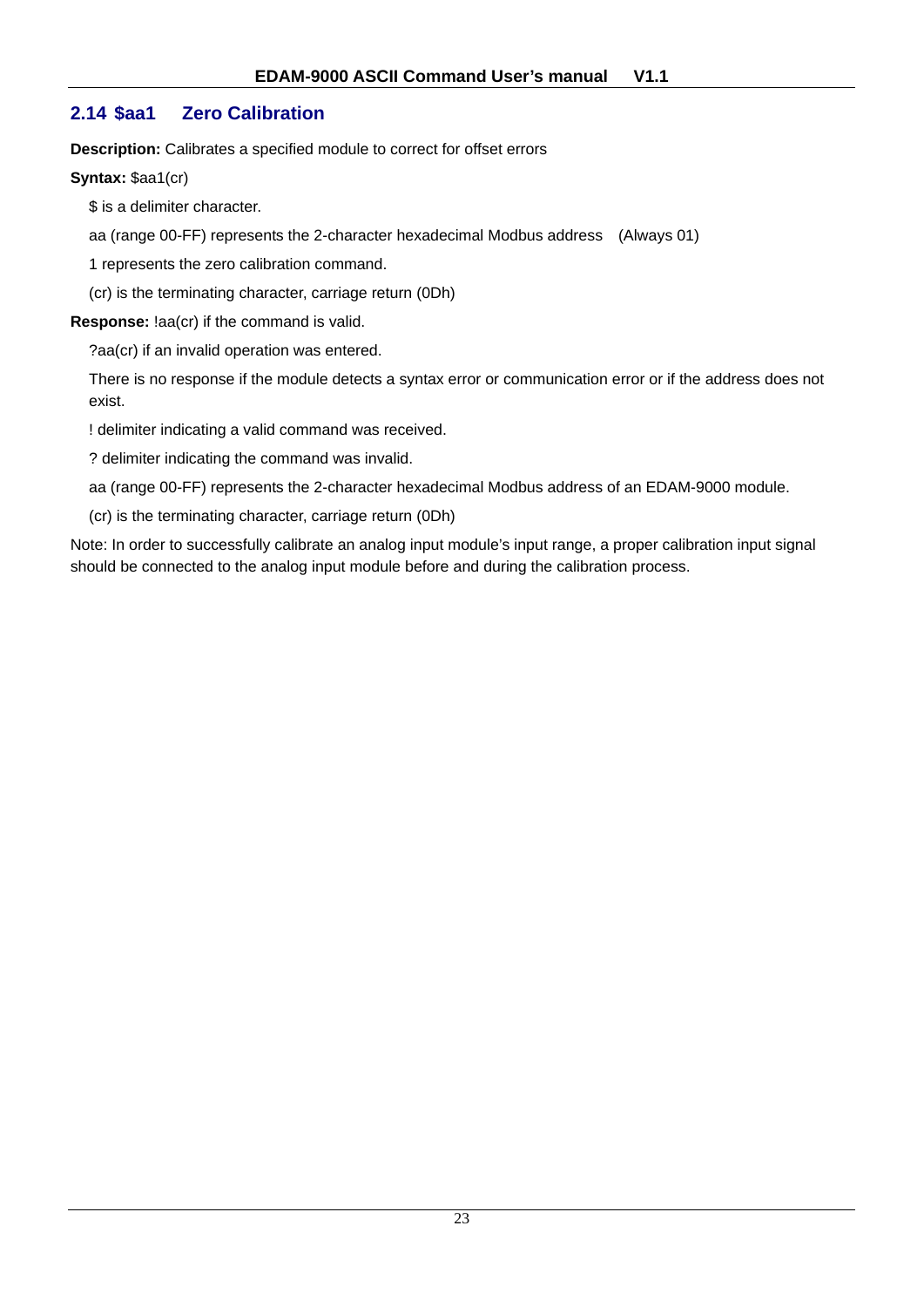## **2.14 \$aa1 Zero Calibration**

**Description:** Calibrates a specified module to correct for offset errors

**Syntax:** \$aa1(cr)

\$ is a delimiter character.

aa (range 00-FF) represents the 2-character hexadecimal Modbus address (Always 01)

1 represents the zero calibration command.

(cr) is the terminating character, carriage return (0Dh)

**Response:** !aa(cr) if the command is valid.

?aa(cr) if an invalid operation was entered.

There is no response if the module detects a syntax error or communication error or if the address does not exist.

! delimiter indicating a valid command was received.

? delimiter indicating the command was invalid.

aa (range 00-FF) represents the 2-character hexadecimal Modbus address of an EDAM-9000 module.

(cr) is the terminating character, carriage return (0Dh)

Note: In order to successfully calibrate an analog input module's input range, a proper calibration input signal should be connected to the analog input module before and during the calibration process.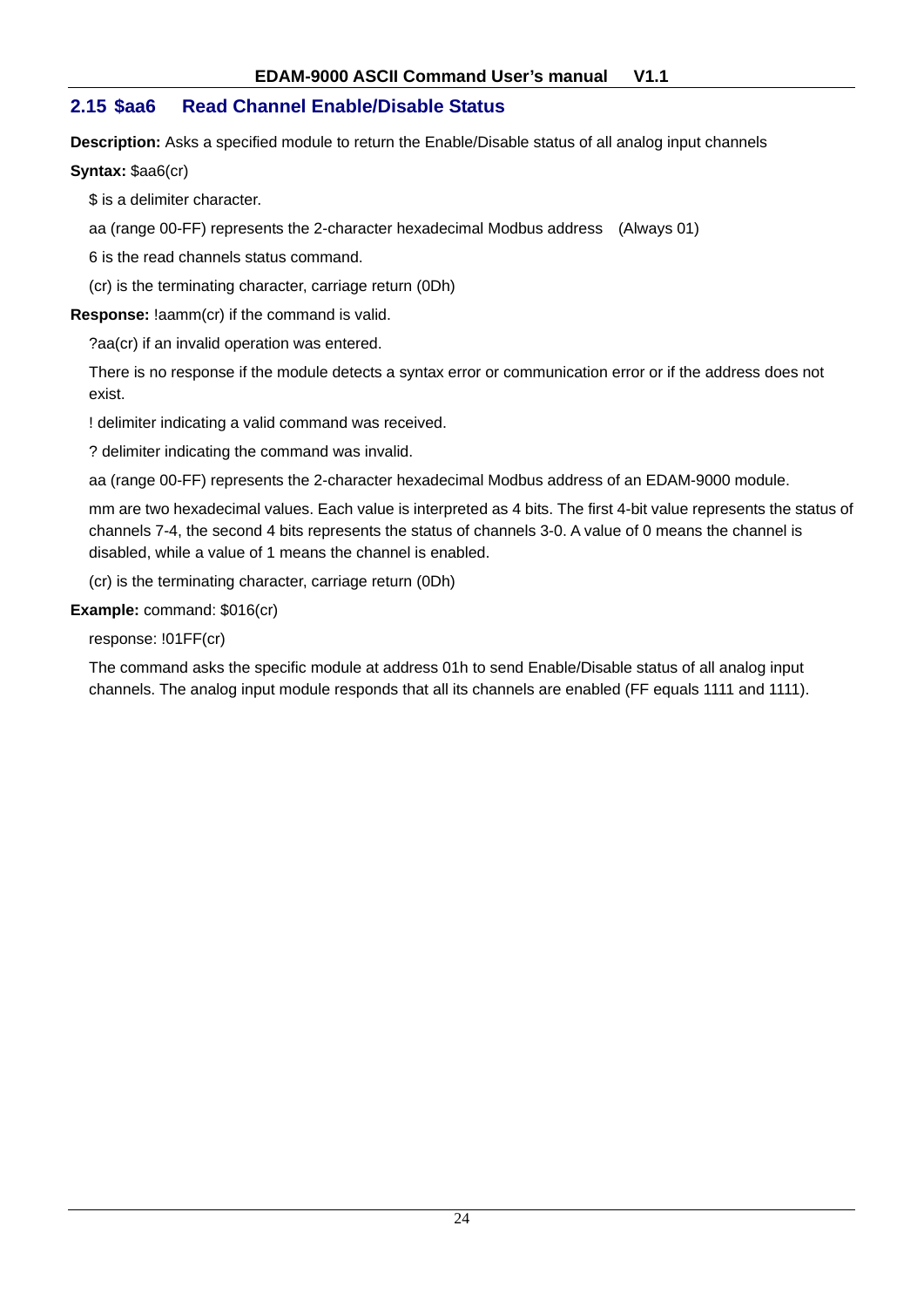## **2.15 \$aa6 Read Channel Enable/Disable Status**

**Description:** Asks a specified module to return the Enable/Disable status of all analog input channels

#### **Syntax: \$aa6(cr)**

\$ is a delimiter character.

aa (range 00-FF) represents the 2-character hexadecimal Modbus address (Always 01)

6 is the read channels status command.

(cr) is the terminating character, carriage return (0Dh)

**Response:** !aamm(cr) if the command is valid.

?aa(cr) if an invalid operation was entered.

There is no response if the module detects a syntax error or communication error or if the address does not exist.

! delimiter indicating a valid command was received.

? delimiter indicating the command was invalid.

aa (range 00-FF) represents the 2-character hexadecimal Modbus address of an EDAM-9000 module.

mm are two hexadecimal values. Each value is interpreted as 4 bits. The first 4-bit value represents the status of channels 7-4, the second 4 bits represents the status of channels 3-0. A value of 0 means the channel is disabled, while a value of 1 means the channel is enabled.

(cr) is the terminating character, carriage return (0Dh)

#### **Example:** command: \$016(cr)

response: !01FF(cr)

The command asks the specific module at address 01h to send Enable/Disable status of all analog input channels. The analog input module responds that all its channels are enabled (FF equals 1111 and 1111).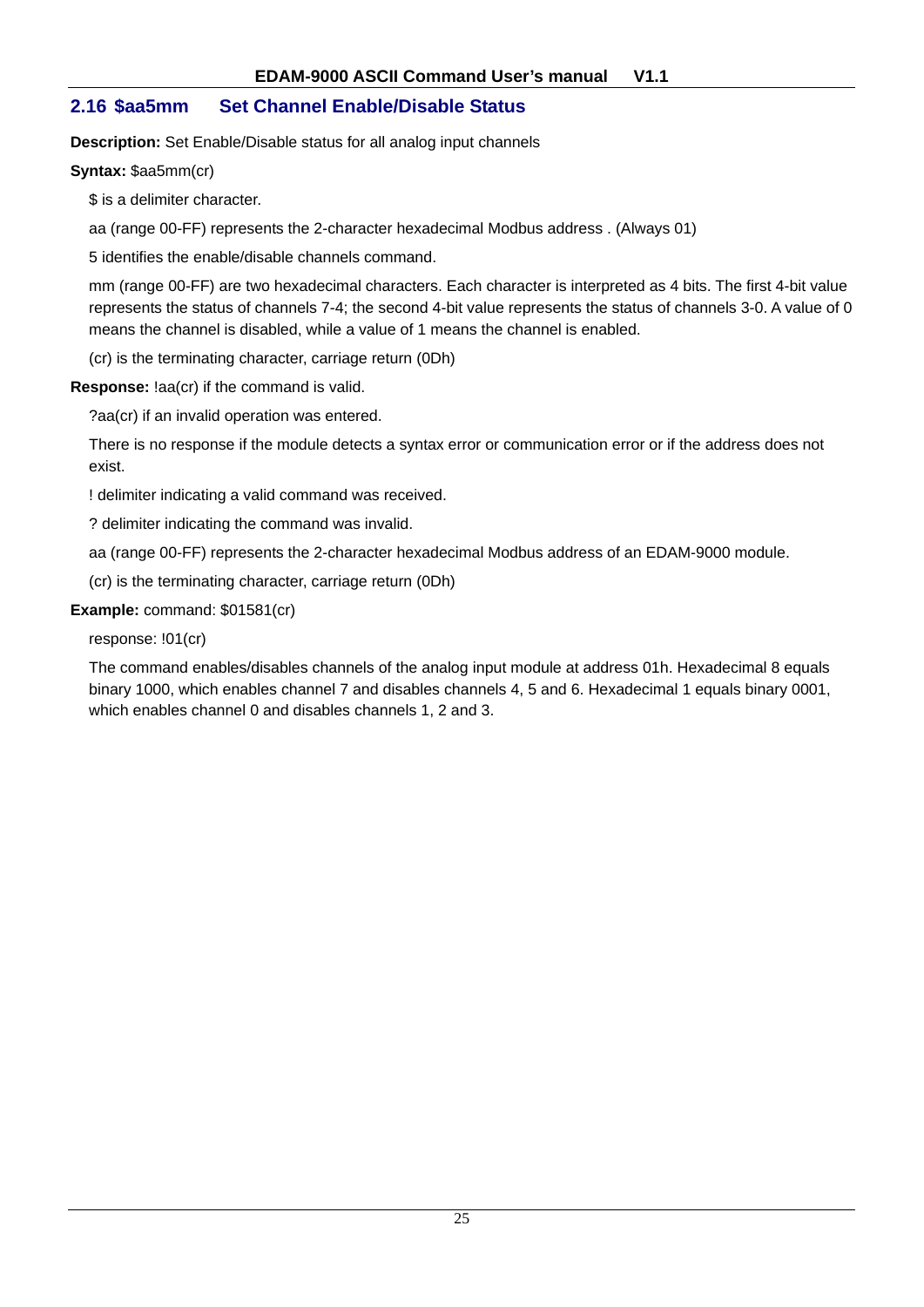## **2.16 \$aa5mm Set Channel Enable/Disable Status**

**Description:** Set Enable/Disable status for all analog input channels

**Syntax:** \$aa5mm(cr)

\$ is a delimiter character.

aa (range 00-FF) represents the 2-character hexadecimal Modbus address . (Always 01)

5 identifies the enable/disable channels command.

mm (range 00-FF) are two hexadecimal characters. Each character is interpreted as 4 bits. The first 4-bit value represents the status of channels 7-4; the second 4-bit value represents the status of channels 3-0. A value of 0 means the channel is disabled, while a value of 1 means the channel is enabled.

(cr) is the terminating character, carriage return (0Dh)

**Response:** !aa(cr) if the command is valid.

?aa(cr) if an invalid operation was entered.

There is no response if the module detects a syntax error or communication error or if the address does not exist.

! delimiter indicating a valid command was received.

? delimiter indicating the command was invalid.

aa (range 00-FF) represents the 2-character hexadecimal Modbus address of an EDAM-9000 module.

(cr) is the terminating character, carriage return (0Dh)

#### **Example:** command: \$01581(cr)

response: !01(cr)

The command enables/disables channels of the analog input module at address 01h. Hexadecimal 8 equals binary 1000, which enables channel 7 and disables channels 4, 5 and 6. Hexadecimal 1 equals binary 0001, which enables channel 0 and disables channels 1, 2 and 3.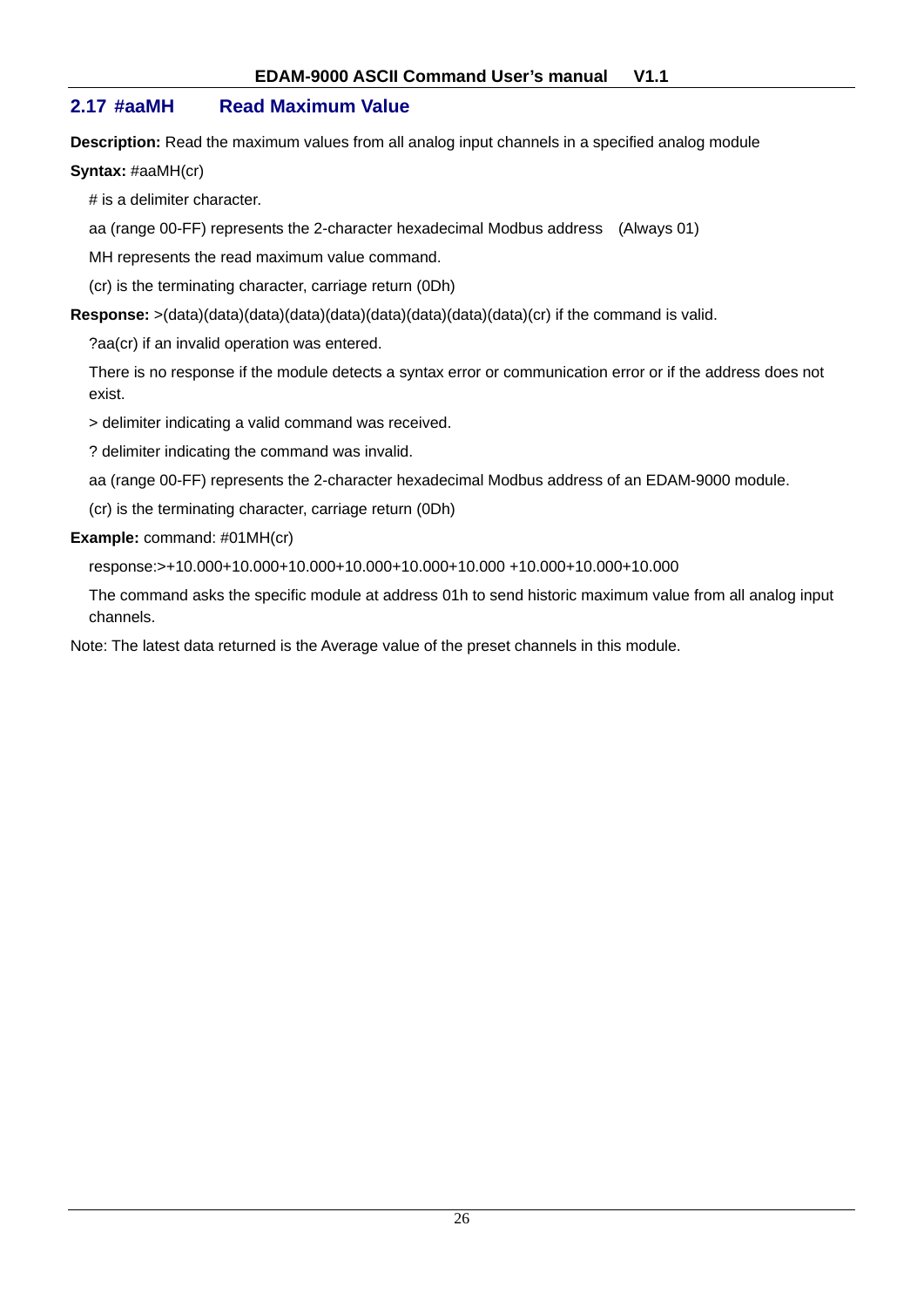## **2.17 #aaMH Read Maximum Value**

**Description:** Read the maximum values from all analog input channels in a specified analog module

#### **Syntax:** #aaMH(cr)

# is a delimiter character.

aa (range 00-FF) represents the 2-character hexadecimal Modbus address (Always 01)

MH represents the read maximum value command.

(cr) is the terminating character, carriage return (0Dh)

**Response:** >(data)(data)(data)(data)(data)(data)(data)(data)(data)(cr) if the command is valid.

?aa(cr) if an invalid operation was entered.

There is no response if the module detects a syntax error or communication error or if the address does not exist.

> delimiter indicating a valid command was received.

? delimiter indicating the command was invalid.

aa (range 00-FF) represents the 2-character hexadecimal Modbus address of an EDAM-9000 module.

(cr) is the terminating character, carriage return (0Dh)

#### **Example:** command: #01MH(cr)

response:>+10.000+10.000+10.000+10.000+10.000+10.000 +10.000+10.000+10.000

The command asks the specific module at address 01h to send historic maximum value from all analog input channels.

Note: The latest data returned is the Average value of the preset channels in this module.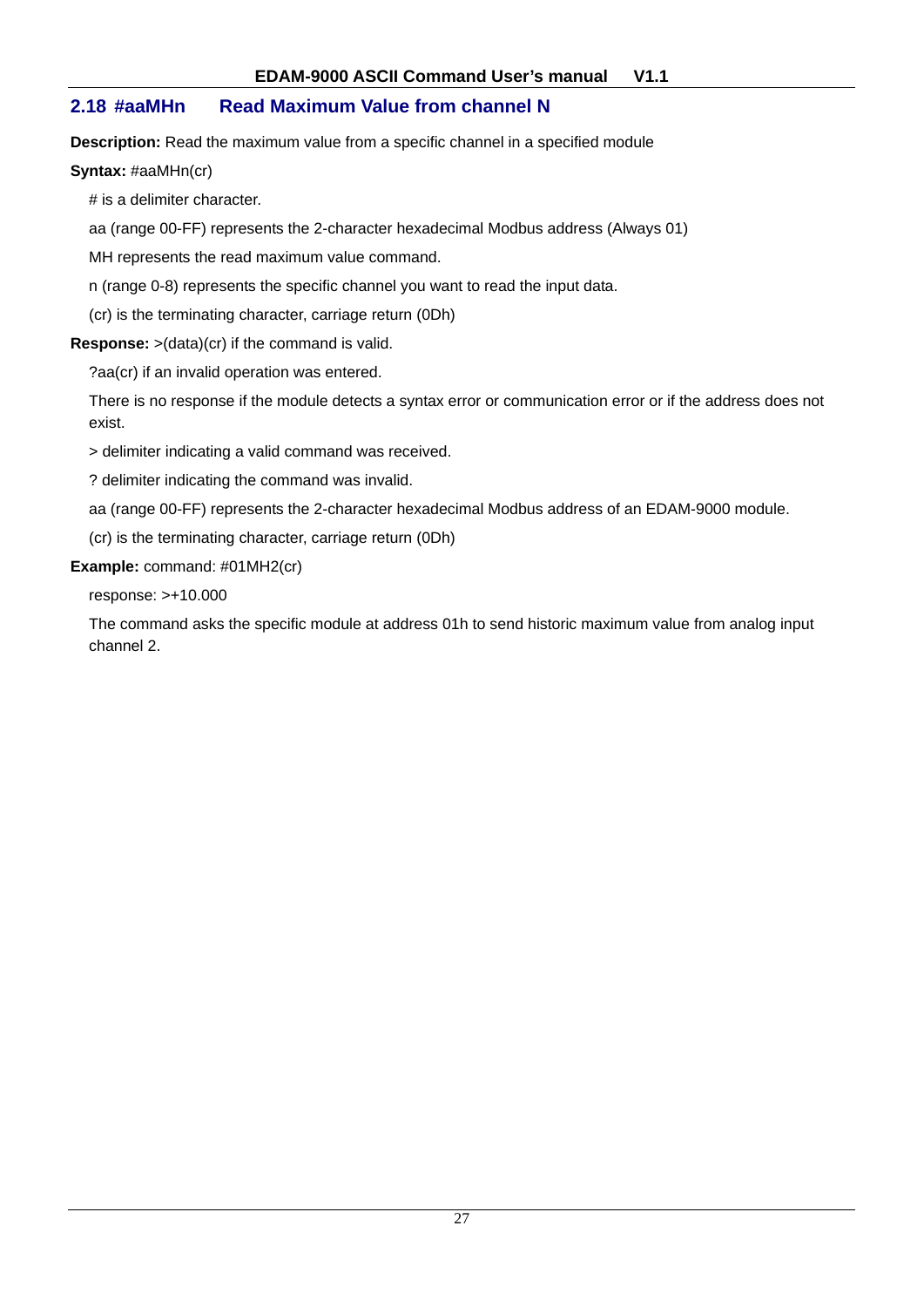## **2.18 #aaMHn Read Maximum Value from channel N**

**Description:** Read the maximum value from a specific channel in a specified module

#### **Syntax:** #aaMHn(cr)

# is a delimiter character.

aa (range 00-FF) represents the 2-character hexadecimal Modbus address (Always 01)

MH represents the read maximum value command.

n (range 0-8) represents the specific channel you want to read the input data.

(cr) is the terminating character, carriage return (0Dh)

**Response:** >(data)(cr) if the command is valid.

?aa(cr) if an invalid operation was entered.

There is no response if the module detects a syntax error or communication error or if the address does not exist.

> delimiter indicating a valid command was received.

? delimiter indicating the command was invalid.

aa (range 00-FF) represents the 2-character hexadecimal Modbus address of an EDAM-9000 module.

(cr) is the terminating character, carriage return (0Dh)

#### **Example:** command: #01MH2(cr)

response: >+10.000

The command asks the specific module at address 01h to send historic maximum value from analog input channel 2.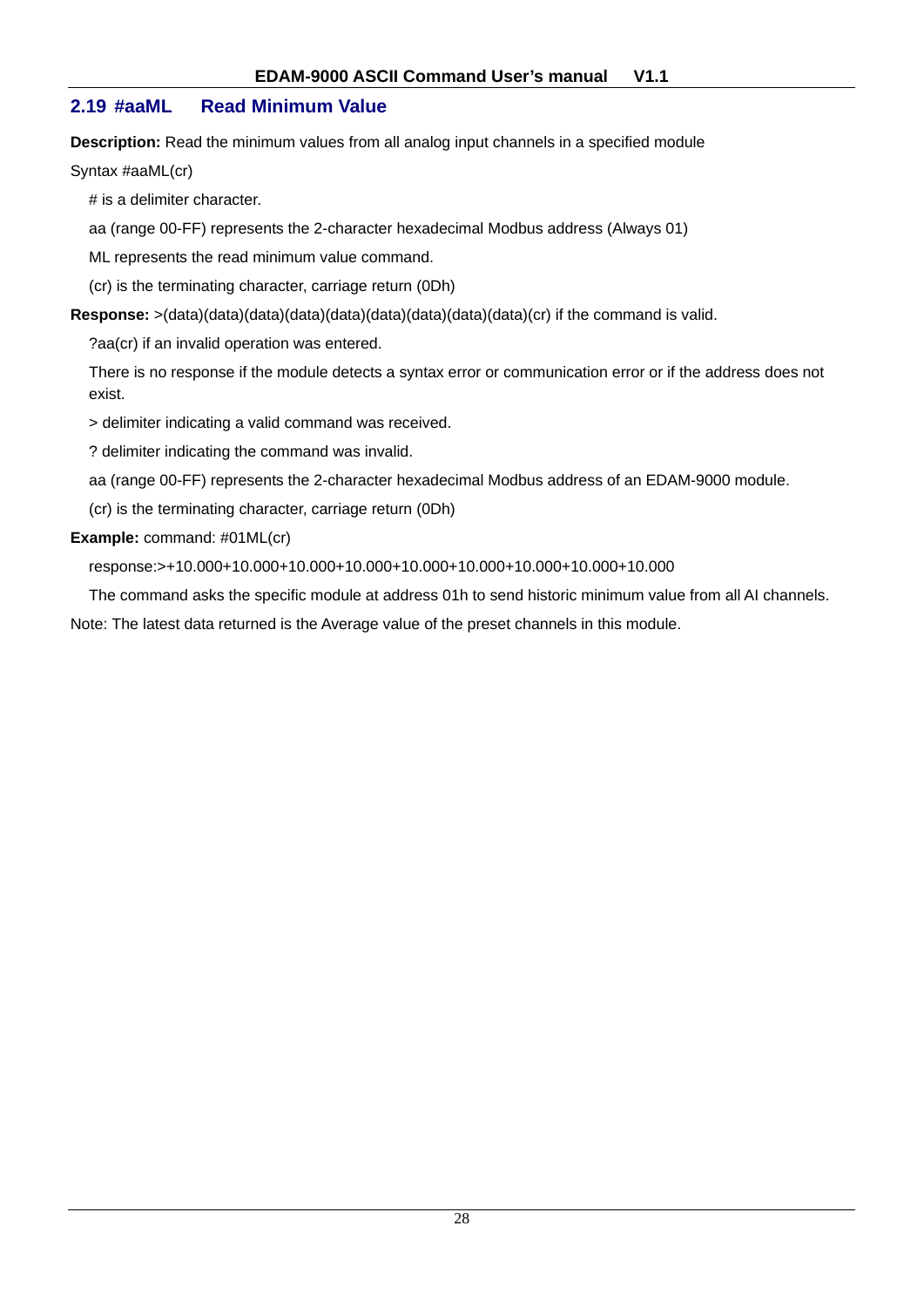## **2.19 #aaML Read Minimum Value**

**Description:** Read the minimum values from all analog input channels in a specified module

Syntax #aaML(cr)

# is a delimiter character.

aa (range 00-FF) represents the 2-character hexadecimal Modbus address (Always 01)

ML represents the read minimum value command.

(cr) is the terminating character, carriage return (0Dh)

**Response:** >(data)(data)(data)(data)(data)(data)(data)(data)(data)(cr) if the command is valid.

?aa(cr) if an invalid operation was entered.

There is no response if the module detects a syntax error or communication error or if the address does not exist.

> delimiter indicating a valid command was received.

? delimiter indicating the command was invalid.

aa (range 00-FF) represents the 2-character hexadecimal Modbus address of an EDAM-9000 module.

(cr) is the terminating character, carriage return (0Dh)

#### **Example:** command: #01ML(cr)

response:>+10.000+10.000+10.000+10.000+10.000+10.000+10.000+10.000+10.000

The command asks the specific module at address 01h to send historic minimum value from all AI channels.

Note: The latest data returned is the Average value of the preset channels in this module.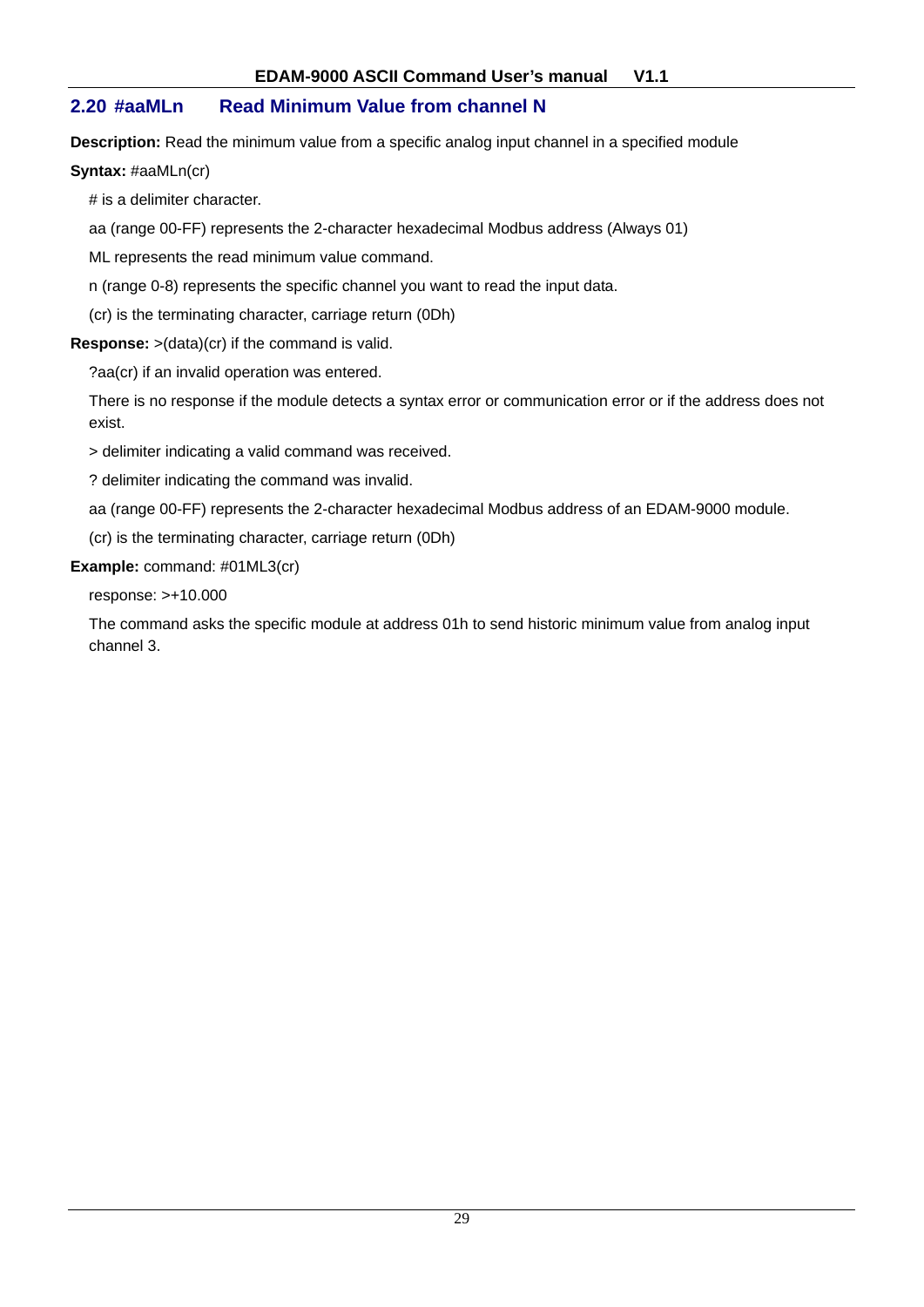## **2.20 #aaMLn Read Minimum Value from channel N**

**Description:** Read the minimum value from a specific analog input channel in a specified module

**Syntax:** #aaMLn(cr)

# is a delimiter character.

aa (range 00-FF) represents the 2-character hexadecimal Modbus address (Always 01)

ML represents the read minimum value command.

n (range 0-8) represents the specific channel you want to read the input data.

(cr) is the terminating character, carriage return (0Dh)

**Response:** >(data)(cr) if the command is valid.

?aa(cr) if an invalid operation was entered.

There is no response if the module detects a syntax error or communication error or if the address does not exist.

> delimiter indicating a valid command was received.

? delimiter indicating the command was invalid.

aa (range 00-FF) represents the 2-character hexadecimal Modbus address of an EDAM-9000 module.

(cr) is the terminating character, carriage return (0Dh)

#### **Example:** command: #01ML3(cr)

response: >+10.000

The command asks the specific module at address 01h to send historic minimum value from analog input channel 3.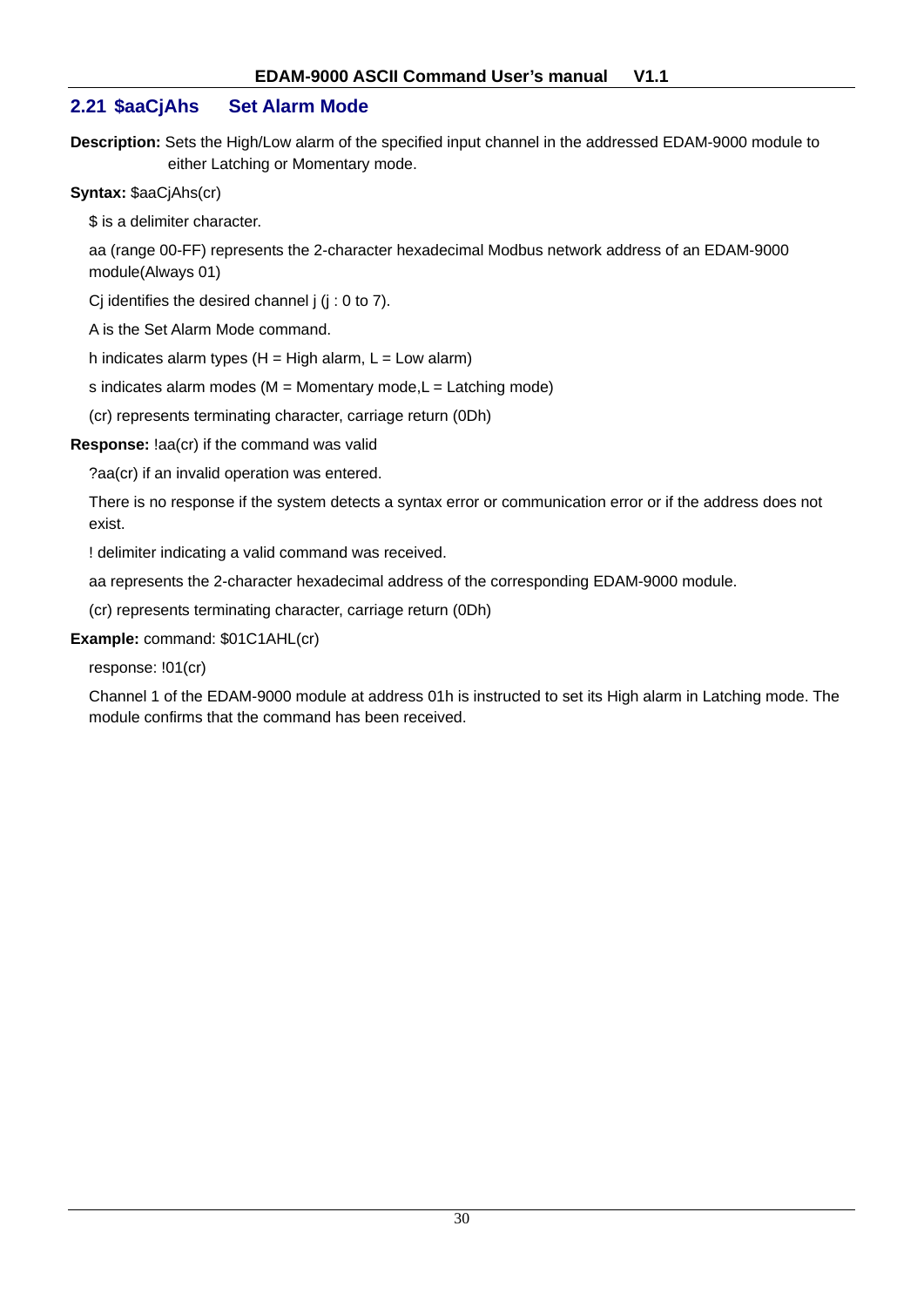## **2.21 \$aaCjAhs Set Alarm Mode**

**Description:** Sets the High/Low alarm of the specified input channel in the addressed EDAM-9000 module to either Latching or Momentary mode.

#### **Syntax:** \$aaCjAhs(cr)

\$ is a delimiter character.

aa (range 00-FF) represents the 2-character hexadecimal Modbus network address of an EDAM-9000 module(Always 01)

Ci identifies the desired channel  $j$  ( $j$  : 0 to 7).

A is the Set Alarm Mode command.

h indicates alarm types  $(H = High alarm, L = Low alarm)$ 

s indicates alarm modes ( $M =$  Momentary mode, $L =$  Latching mode)

(cr) represents terminating character, carriage return (0Dh)

#### **Response:** !aa(cr) if the command was valid

?aa(cr) if an invalid operation was entered.

There is no response if the system detects a syntax error or communication error or if the address does not exist.

! delimiter indicating a valid command was received.

aa represents the 2-character hexadecimal address of the corresponding EDAM-9000 module.

(cr) represents terminating character, carriage return (0Dh)

## **Example:** command: \$01C1AHL(cr)

response: !01(cr)

Channel 1 of the EDAM-9000 module at address 01h is instructed to set its High alarm in Latching mode. The module confirms that the command has been received.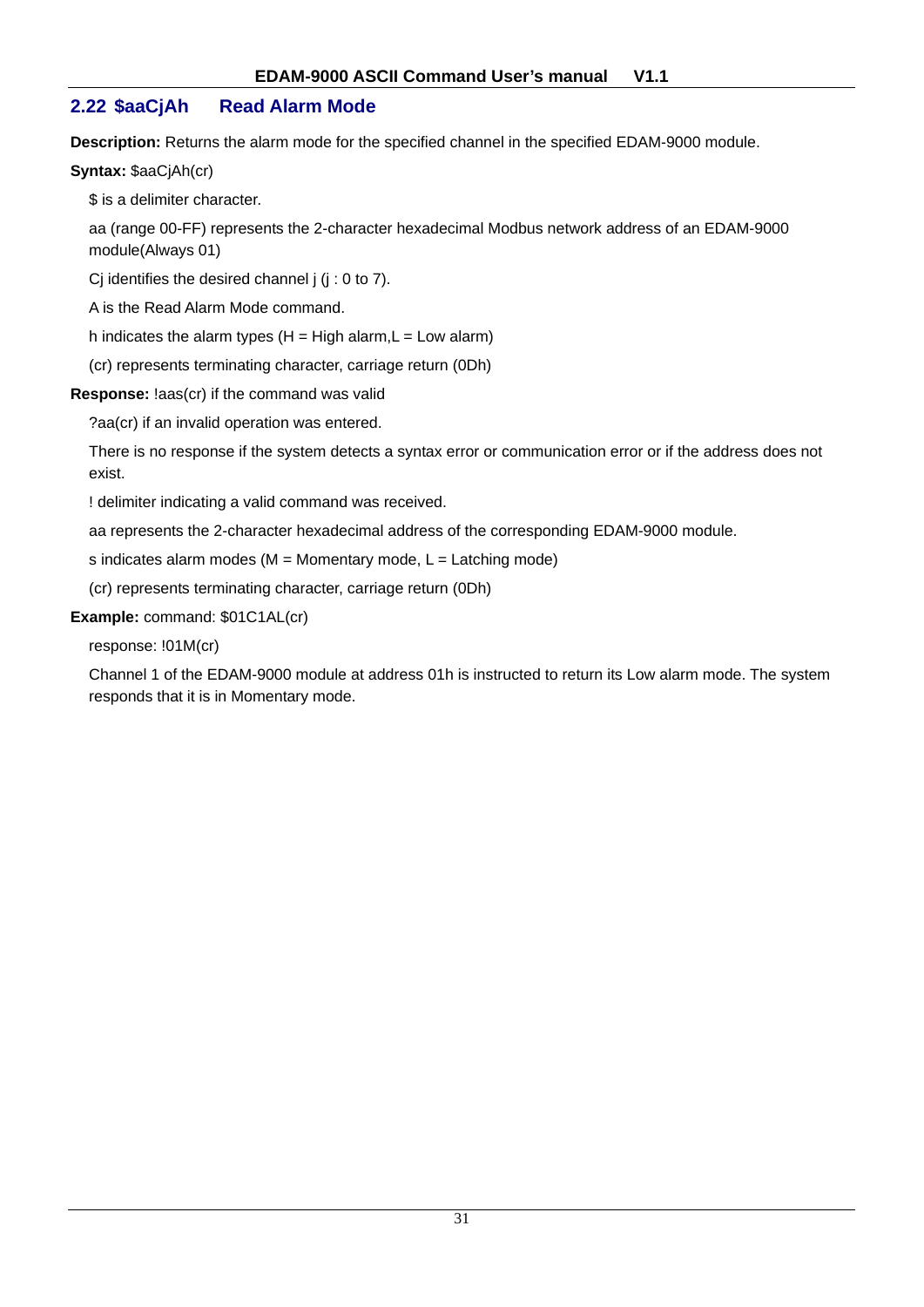## **2.22 \$aaCjAh Read Alarm Mode**

**Description:** Returns the alarm mode for the specified channel in the specified EDAM-9000 module.

#### **Syntax:** \$aaCjAh(cr)

\$ is a delimiter character.

aa (range 00-FF) represents the 2-character hexadecimal Modbus network address of an EDAM-9000 module(Always 01)

Cj identifies the desired channel  $j$  ( $j : 0$  to  $7$ ).

A is the Read Alarm Mode command.

h indicates the alarm types  $(H = High alarm, L = Low alarm)$ 

(cr) represents terminating character, carriage return (0Dh)

#### **Response:** !aas(cr) if the command was valid

?aa(cr) if an invalid operation was entered.

There is no response if the system detects a syntax error or communication error or if the address does not exist.

! delimiter indicating a valid command was received.

aa represents the 2-character hexadecimal address of the corresponding EDAM-9000 module.

s indicates alarm modes ( $M =$  Momentary mode,  $L =$  Latching mode)

(cr) represents terminating character, carriage return (0Dh)

## **Example:** command: \$01C1AL(cr)

response: !01M(cr)

Channel 1 of the EDAM-9000 module at address 01h is instructed to return its Low alarm mode. The system responds that it is in Momentary mode.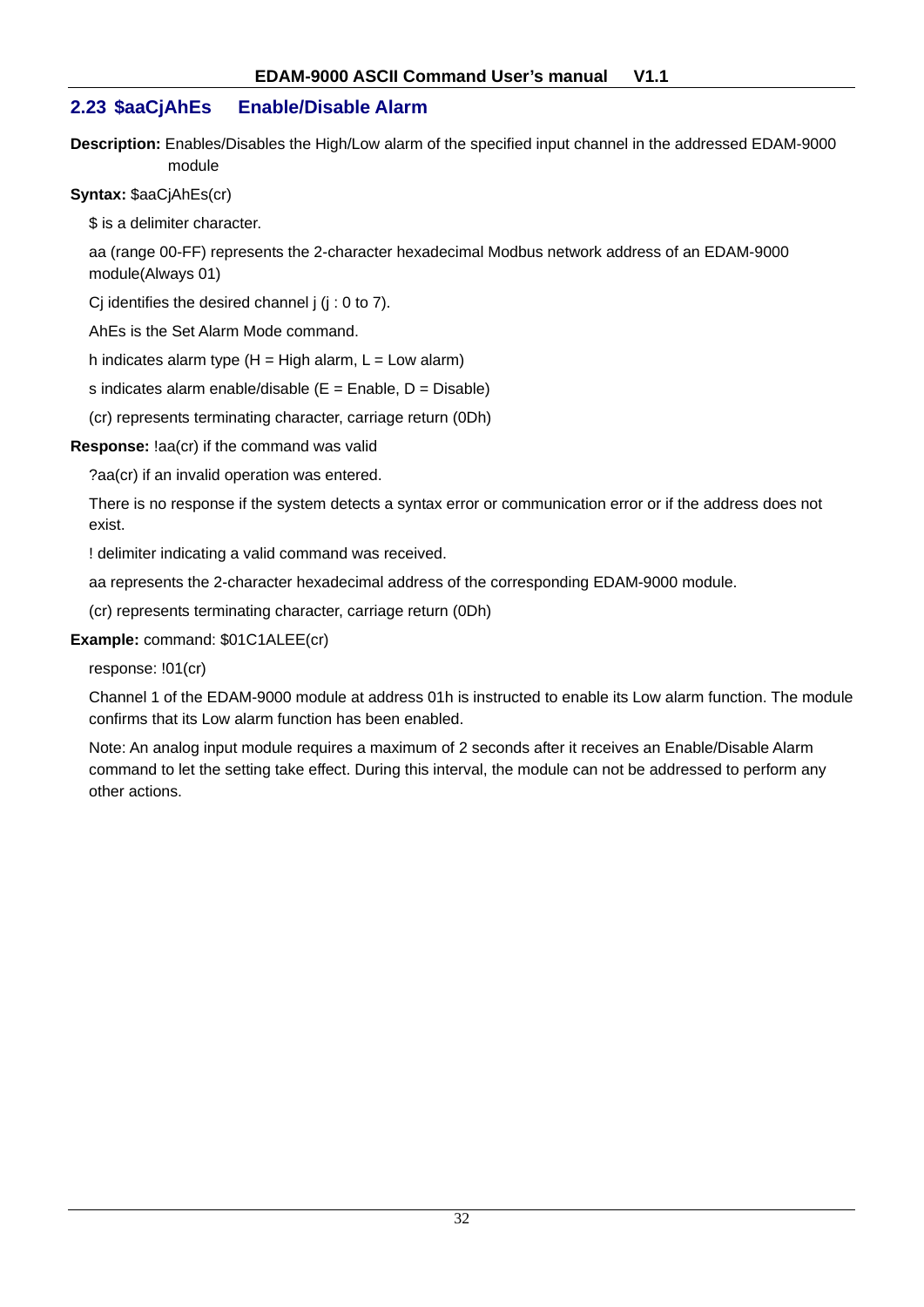## **2.23 \$aaCjAhEs Enable/Disable Alarm**

**Description:** Enables/Disables the High/Low alarm of the specified input channel in the addressed EDAM-9000 module

**Syntax:** \$aaCjAhEs(cr)

\$ is a delimiter character.

aa (range 00-FF) represents the 2-character hexadecimal Modbus network address of an EDAM-9000 module(Always 01)

Cj identifies the desired channel  $j$  ( $j : 0$  to 7).

AhEs is the Set Alarm Mode command.

h indicates alarm type  $(H = High alarm, L = Low alarm)$ 

s indicates alarm enable/disable  $(E =$  Enable,  $D =$  Disable)

(cr) represents terminating character, carriage return (0Dh)

**Response:** !aa(cr) if the command was valid

?aa(cr) if an invalid operation was entered.

There is no response if the system detects a syntax error or communication error or if the address does not exist.

! delimiter indicating a valid command was received.

aa represents the 2-character hexadecimal address of the corresponding EDAM-9000 module.

(cr) represents terminating character, carriage return (0Dh)

#### **Example:** command: \$01C1ALEE(cr)

response: !01(cr)

Channel 1 of the EDAM-9000 module at address 01h is instructed to enable its Low alarm function. The module confirms that its Low alarm function has been enabled.

Note: An analog input module requires a maximum of 2 seconds after it receives an Enable/Disable Alarm command to let the setting take effect. During this interval, the module can not be addressed to perform any other actions.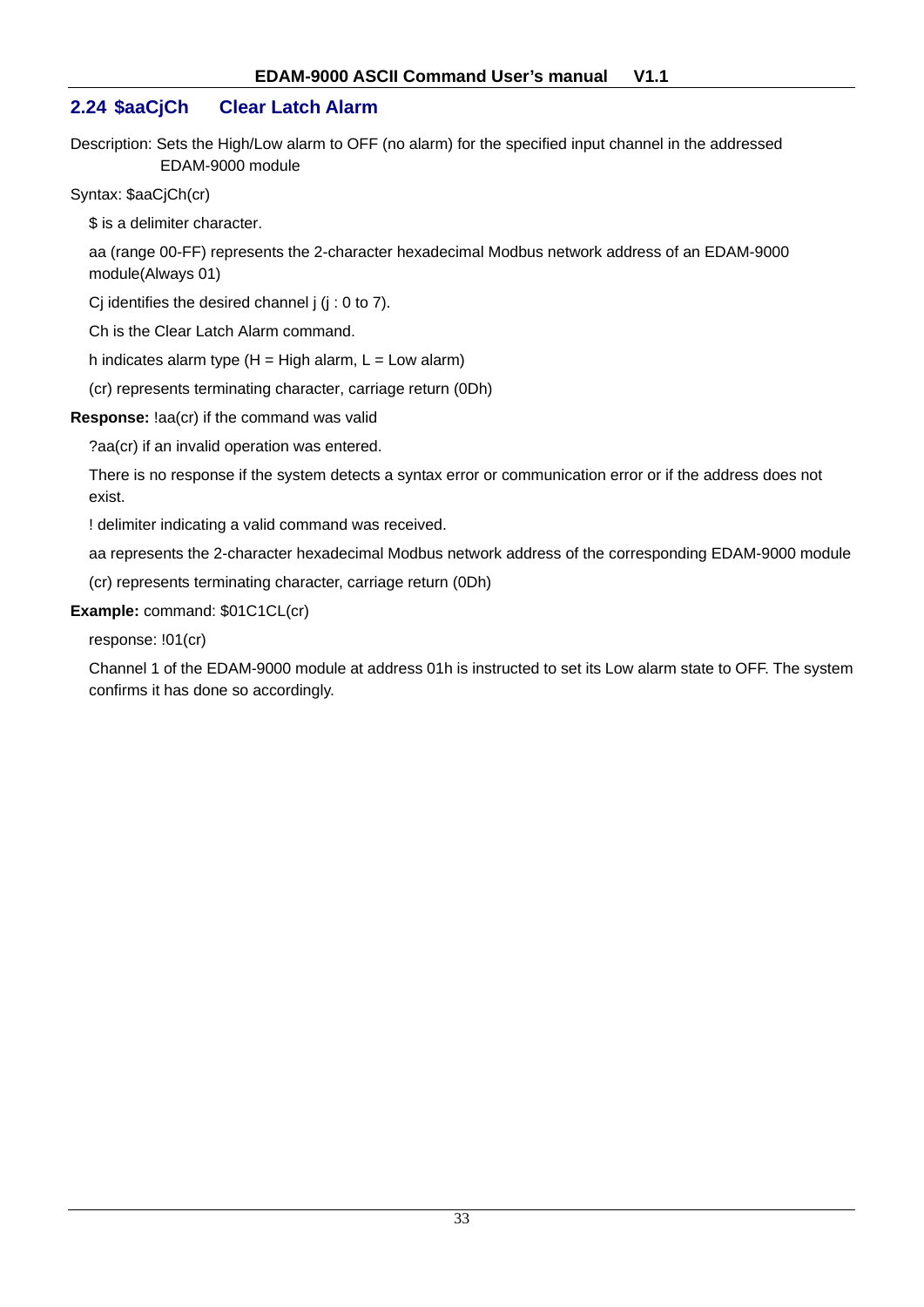## **2.24 \$aaCjCh Clear Latch Alarm**

Description: Sets the High/Low alarm to OFF (no alarm) for the specified input channel in the addressed EDAM-9000 module

Syntax: \$aaCjCh(cr)

\$ is a delimiter character.

aa (range 00-FF) represents the 2-character hexadecimal Modbus network address of an EDAM-9000 module(Always 01)

Ci identifies the desired channel  $j$  ( $j : 0$  to  $7$ ).

Ch is the Clear Latch Alarm command.

h indicates alarm type  $(H = High alarm, L = Low alarm)$ 

(cr) represents terminating character, carriage return (0Dh)

#### **Response:** !aa(cr) if the command was valid

?aa(cr) if an invalid operation was entered.

There is no response if the system detects a syntax error or communication error or if the address does not exist.

! delimiter indicating a valid command was received.

aa represents the 2-character hexadecimal Modbus network address of the corresponding EDAM-9000 module

(cr) represents terminating character, carriage return (0Dh)

## **Example:** command: \$01C1CL(cr)

response: !01(cr)

Channel 1 of the EDAM-9000 module at address 01h is instructed to set its Low alarm state to OFF. The system confirms it has done so accordingly.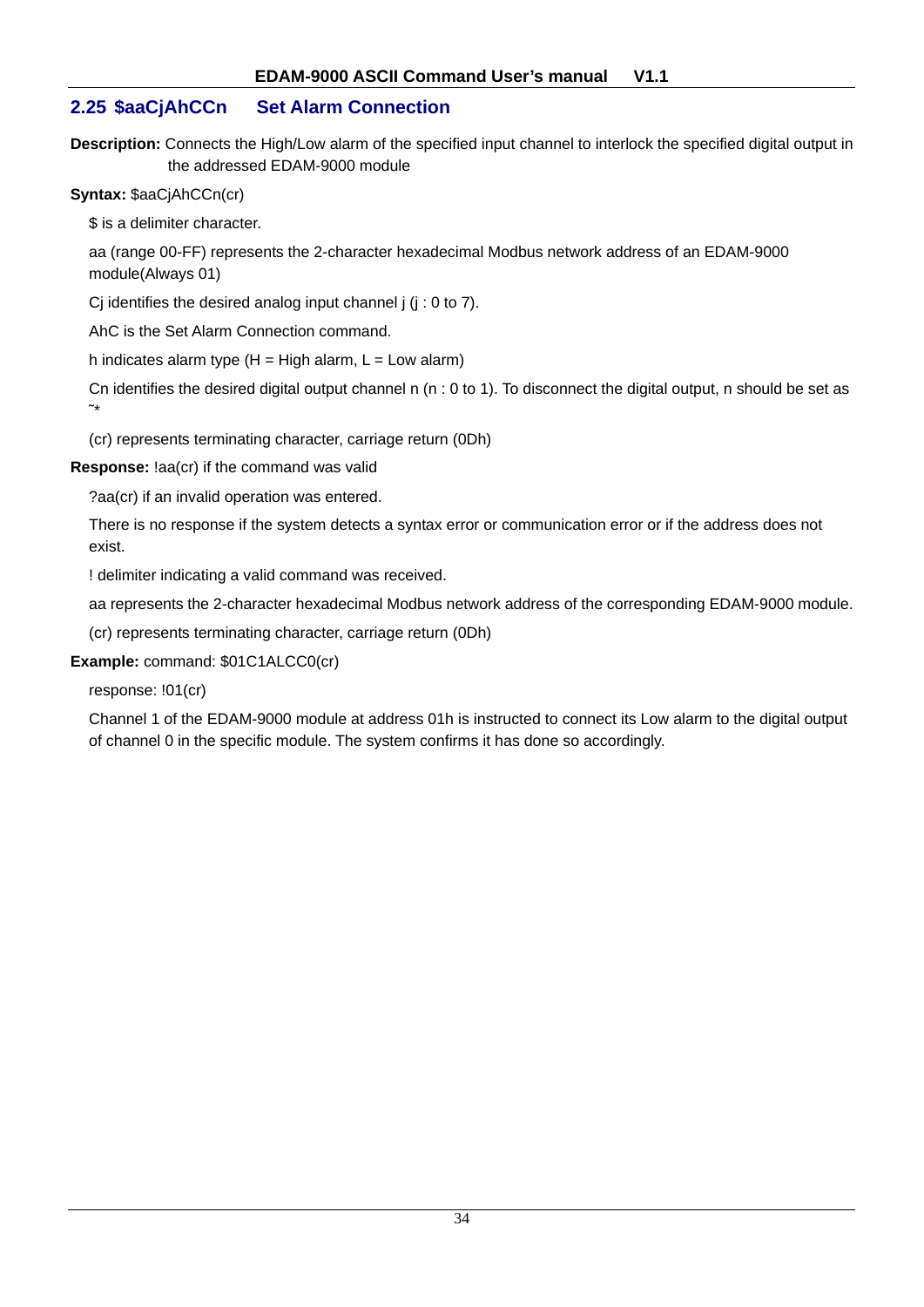## **2.25 \$aaCjAhCCn Set Alarm Connection**

**Description:** Connects the High/Low alarm of the specified input channel to interlock the specified digital output in the addressed EDAM-9000 module

**Syntax:** \$aaCjAhCCn(cr)

\$ is a delimiter character.

aa (range 00-FF) represents the 2-character hexadecimal Modbus network address of an EDAM-9000 module(Always 01)

Cj identifies the desired analog input channel  $j$  ( $j$  : 0 to 7).

AhC is the Set Alarm Connection command.

h indicates alarm type  $(H = High alarm, L = Low alarm)$ 

Cn identifies the desired digital output channel n  $(n: 0$  to 1). To disconnect the digital output, n should be set as  $\sim$ 

(cr) represents terminating character, carriage return (0Dh)

**Response:** !aa(cr) if the command was valid

?aa(cr) if an invalid operation was entered.

There is no response if the system detects a syntax error or communication error or if the address does not exist.

! delimiter indicating a valid command was received.

aa represents the 2-character hexadecimal Modbus network address of the corresponding EDAM-9000 module.

(cr) represents terminating character, carriage return (0Dh)

**Example:** command: \$01C1ALCC0(cr)

response: !01(cr)

Channel 1 of the EDAM-9000 module at address 01h is instructed to connect its Low alarm to the digital output of channel 0 in the specific module. The system confirms it has done so accordingly.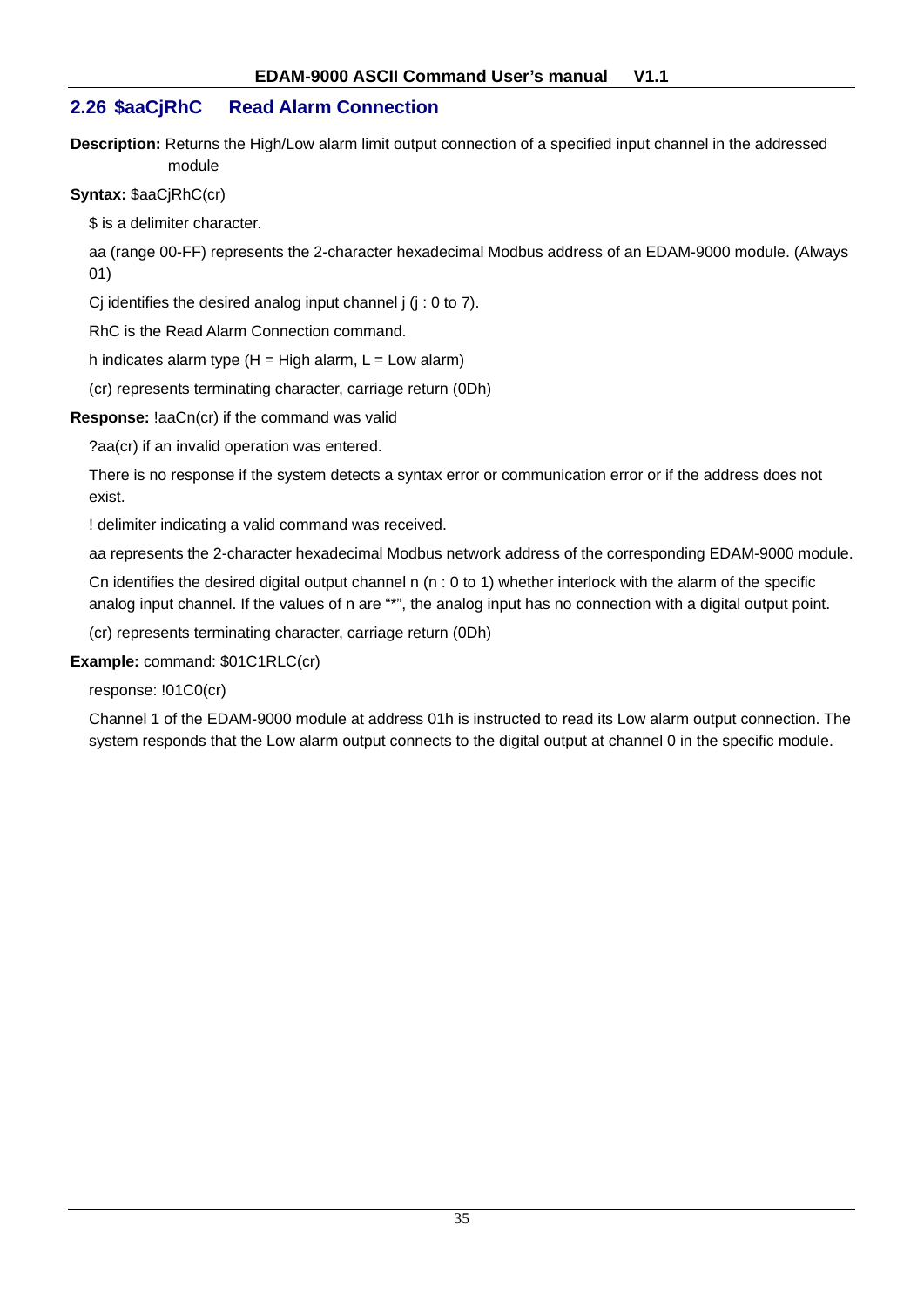## **2.26 \$aaCjRhC Read Alarm Connection**

**Description:** Returns the High/Low alarm limit output connection of a specified input channel in the addressed module

**Syntax:** \$aaCjRhC(cr)

\$ is a delimiter character.

aa (range 00-FF) represents the 2-character hexadecimal Modbus address of an EDAM-9000 module. (Always 01)

Cj identifies the desired analog input channel  $j$  ( $j$  : 0 to 7).

RhC is the Read Alarm Connection command.

h indicates alarm type  $(H = High$  alarm,  $L = Low$  alarm)

(cr) represents terminating character, carriage return (0Dh)

**Response:** !aaCn(cr) if the command was valid

?aa(cr) if an invalid operation was entered.

There is no response if the system detects a syntax error or communication error or if the address does not exist.

! delimiter indicating a valid command was received.

aa represents the 2-character hexadecimal Modbus network address of the corresponding EDAM-9000 module.

Cn identifies the desired digital output channel n (n : 0 to 1) whether interlock with the alarm of the specific analog input channel. If the values of n are "\*", the analog input has no connection with a digital output point.

(cr) represents terminating character, carriage return (0Dh)

**Example:** command: \$01C1RLC(cr)

response: !01C0(cr)

Channel 1 of the EDAM-9000 module at address 01h is instructed to read its Low alarm output connection. The system responds that the Low alarm output connects to the digital output at channel 0 in the specific module.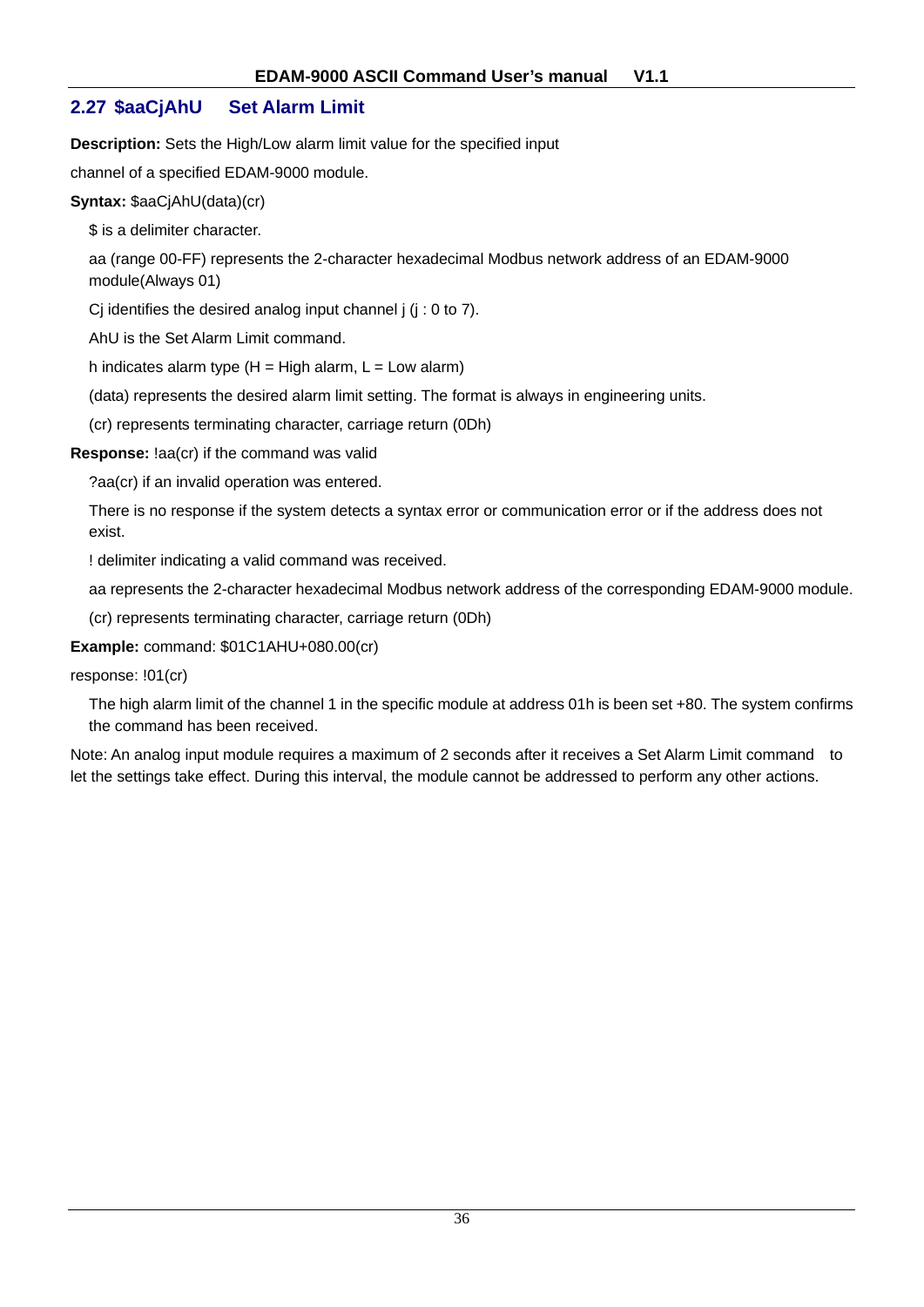# **2.27 \$aaCjAhU Set Alarm Limit**

**Description:** Sets the High/Low alarm limit value for the specified input

channel of a specified EDAM-9000 module.

#### **Syntax:** \$aaCjAhU(data)(cr)

\$ is a delimiter character.

aa (range 00-FF) represents the 2-character hexadecimal Modbus network address of an EDAM-9000 module(Always 01)

Cj identifies the desired analog input channel j (j : 0 to 7).

AhU is the Set Alarm Limit command.

h indicates alarm type  $(H = High$  alarm,  $L = Low$  alarm)

(data) represents the desired alarm limit setting. The format is always in engineering units.

(cr) represents terminating character, carriage return (0Dh)

#### **Response:** !aa(cr) if the command was valid

?aa(cr) if an invalid operation was entered.

There is no response if the system detects a syntax error or communication error or if the address does not exist.

! delimiter indicating a valid command was received.

aa represents the 2-character hexadecimal Modbus network address of the corresponding EDAM-9000 module.

(cr) represents terminating character, carriage return (0Dh)

#### **Example:** command: \$01C1AHU+080.00(cr)

response: !01(cr)

The high alarm limit of the channel 1 in the specific module at address 01h is been set +80. The system confirms the command has been received.

Note: An analog input module requires a maximum of 2 seconds after it receives a Set Alarm Limit command to let the settings take effect. During this interval, the module cannot be addressed to perform any other actions.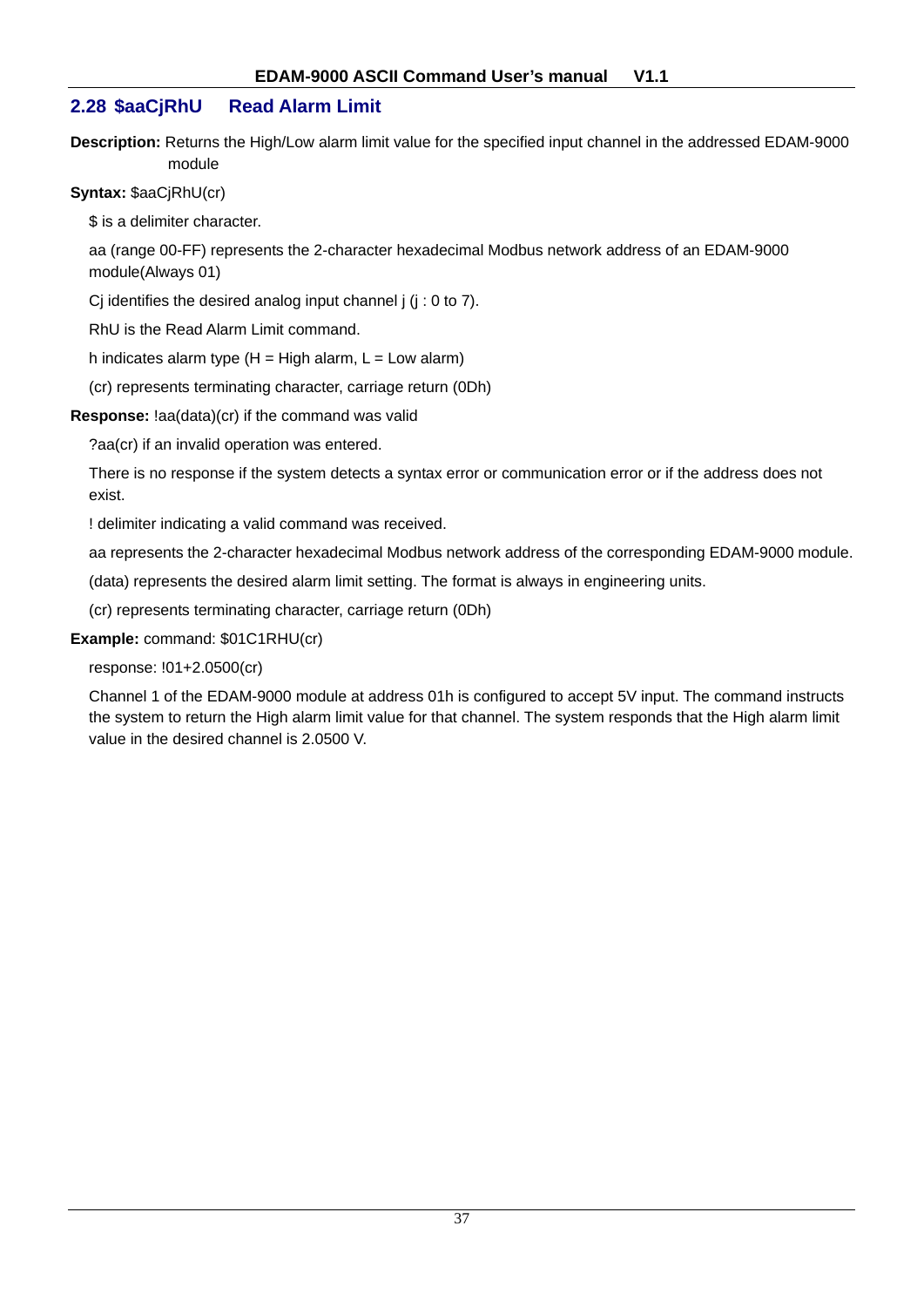## **2.28 \$aaCjRhU Read Alarm Limit**

**Description:** Returns the High/Low alarm limit value for the specified input channel in the addressed EDAM-9000 module

#### **Syntax:** \$aaCjRhU(cr)

\$ is a delimiter character.

aa (range 00-FF) represents the 2-character hexadecimal Modbus network address of an EDAM-9000 module(Always 01)

Cj identifies the desired analog input channel j (j : 0 to 7).

RhU is the Read Alarm Limit command.

h indicates alarm type  $(H = High alarm, L = Low alarm)$ 

(cr) represents terminating character, carriage return (0Dh)

#### **Response:** !aa(data)(cr) if the command was valid

?aa(cr) if an invalid operation was entered.

There is no response if the system detects a syntax error or communication error or if the address does not exist.

! delimiter indicating a valid command was received.

aa represents the 2-character hexadecimal Modbus network address of the corresponding EDAM-9000 module.

(data) represents the desired alarm limit setting. The format is always in engineering units.

(cr) represents terminating character, carriage return (0Dh)

#### **Example:** command: \$01C1RHU(cr)

response: !01+2.0500(cr)

Channel 1 of the EDAM-9000 module at address 01h is configured to accept 5V input. The command instructs the system to return the High alarm limit value for that channel. The system responds that the High alarm limit value in the desired channel is 2.0500 V.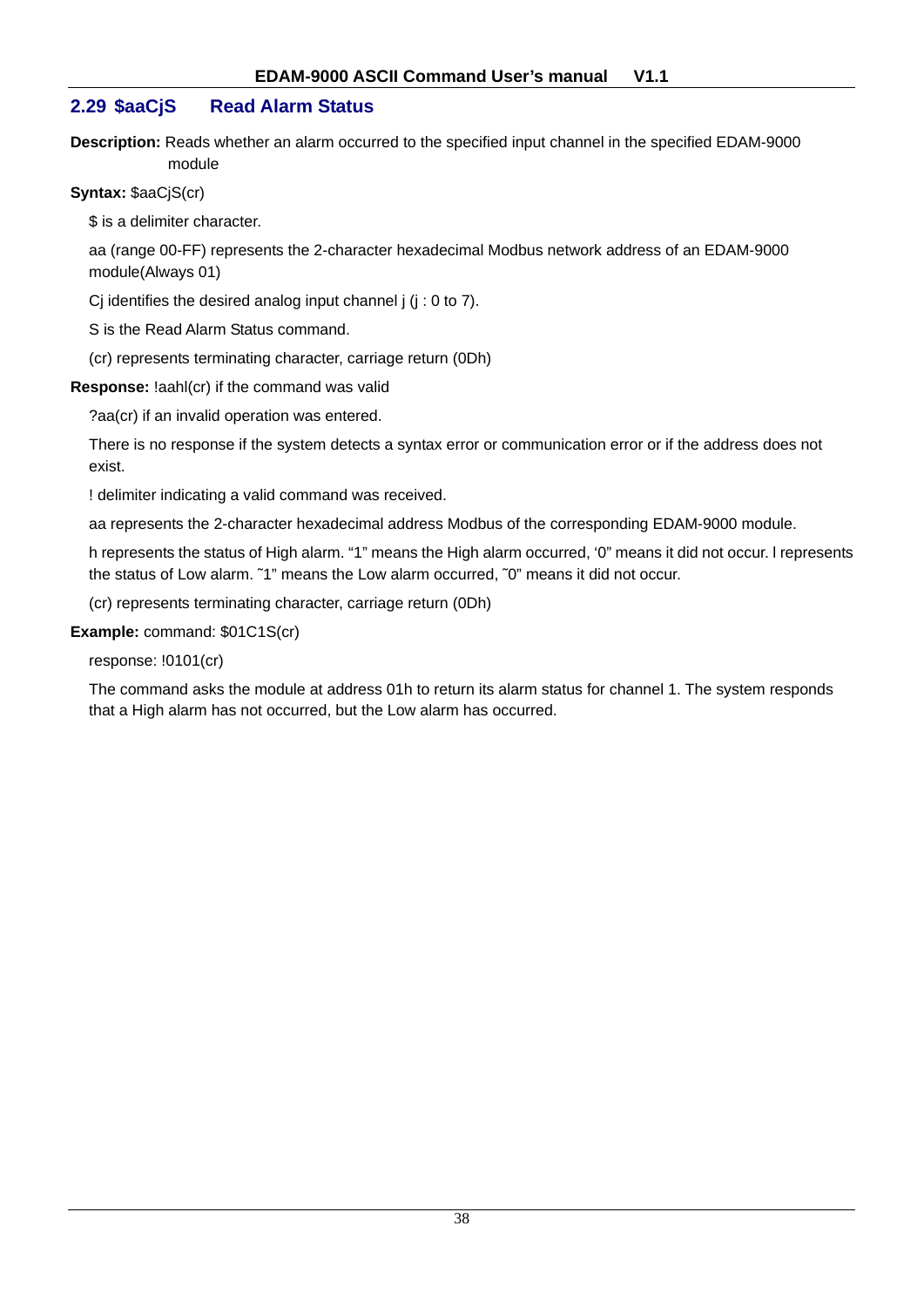## **2.29 \$aaCjS Read Alarm Status**

**Description:** Reads whether an alarm occurred to the specified input channel in the specified EDAM-9000 module

#### **Syntax:** \$aaCjS(cr)

\$ is a delimiter character.

aa (range 00-FF) represents the 2-character hexadecimal Modbus network address of an EDAM-9000 module(Always 01)

Cj identifies the desired analog input channel j (j : 0 to 7).

S is the Read Alarm Status command.

(cr) represents terminating character, carriage return (0Dh)

**Response:** !aahl(cr) if the command was valid

?aa(cr) if an invalid operation was entered.

There is no response if the system detects a syntax error or communication error or if the address does not exist.

! delimiter indicating a valid command was received.

aa represents the 2-character hexadecimal address Modbus of the corresponding EDAM-9000 module.

h represents the status of High alarm. "1" means the High alarm occurred, '0" means it did not occur. l represents the status of Low alarm. ~1" means the Low alarm occurred, ~0" means it did not occur.

(cr) represents terminating character, carriage return (0Dh)

#### **Example:** command: \$01C1S(cr)

response: !0101(cr)

The command asks the module at address 01h to return its alarm status for channel 1. The system responds that a High alarm has not occurred, but the Low alarm has occurred.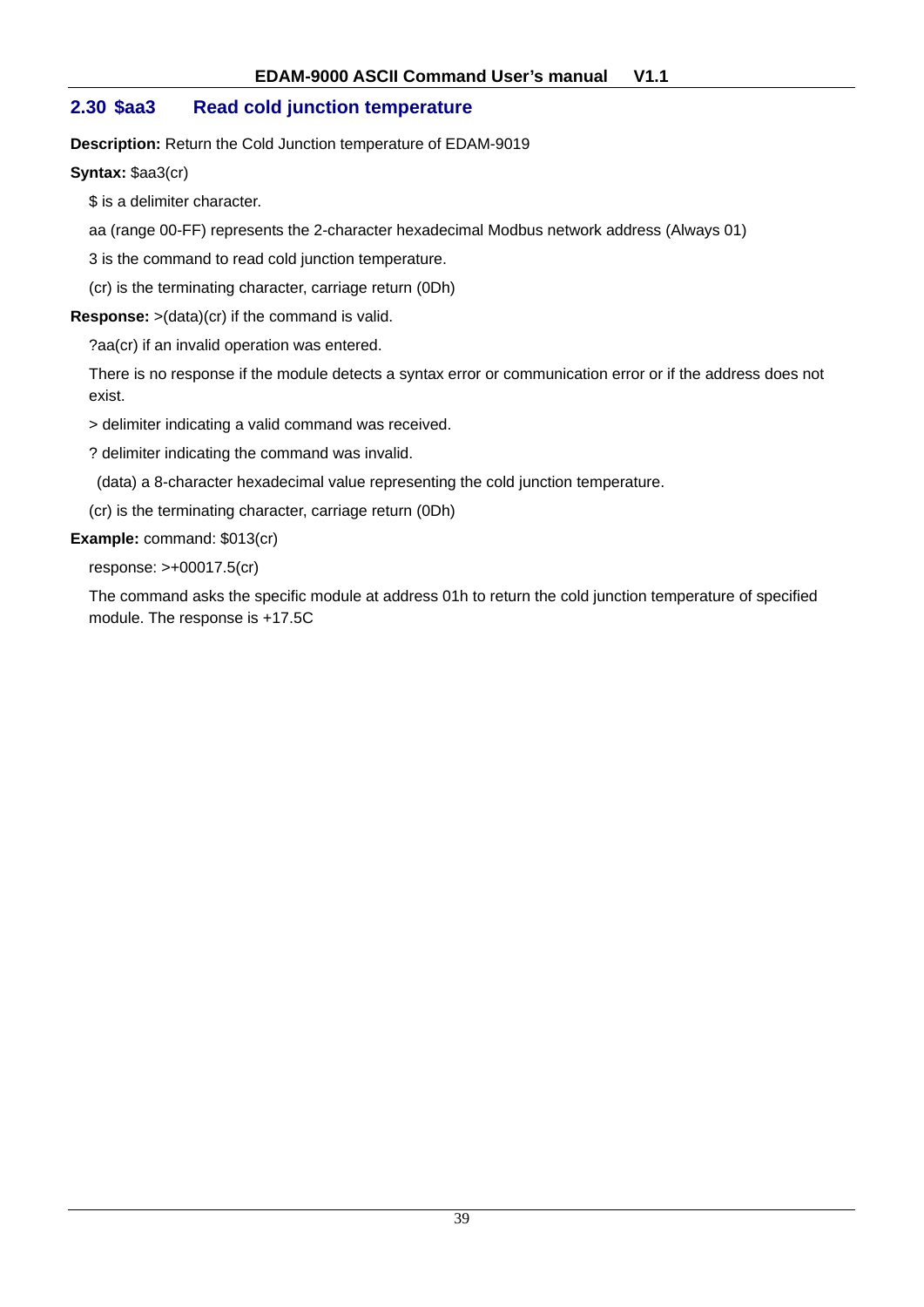## **2.30 \$aa3 Read cold junction temperature**

**Description:** Return the Cold Junction temperature of EDAM-9019

**Syntax:** \$aa3(cr)

\$ is a delimiter character.

aa (range 00-FF) represents the 2-character hexadecimal Modbus network address (Always 01)

3 is the command to read cold junction temperature.

(cr) is the terminating character, carriage return (0Dh)

**Response:** >(data)(cr) if the command is valid.

?aa(cr) if an invalid operation was entered.

There is no response if the module detects a syntax error or communication error or if the address does not exist.

> delimiter indicating a valid command was received.

? delimiter indicating the command was invalid.

(data) a 8-character hexadecimal value representing the cold junction temperature.

(cr) is the terminating character, carriage return (0Dh)

#### **Example:** command: \$013(cr)

response: >+00017.5(cr)

The command asks the specific module at address 01h to return the cold junction temperature of specified module. The response is +17.5C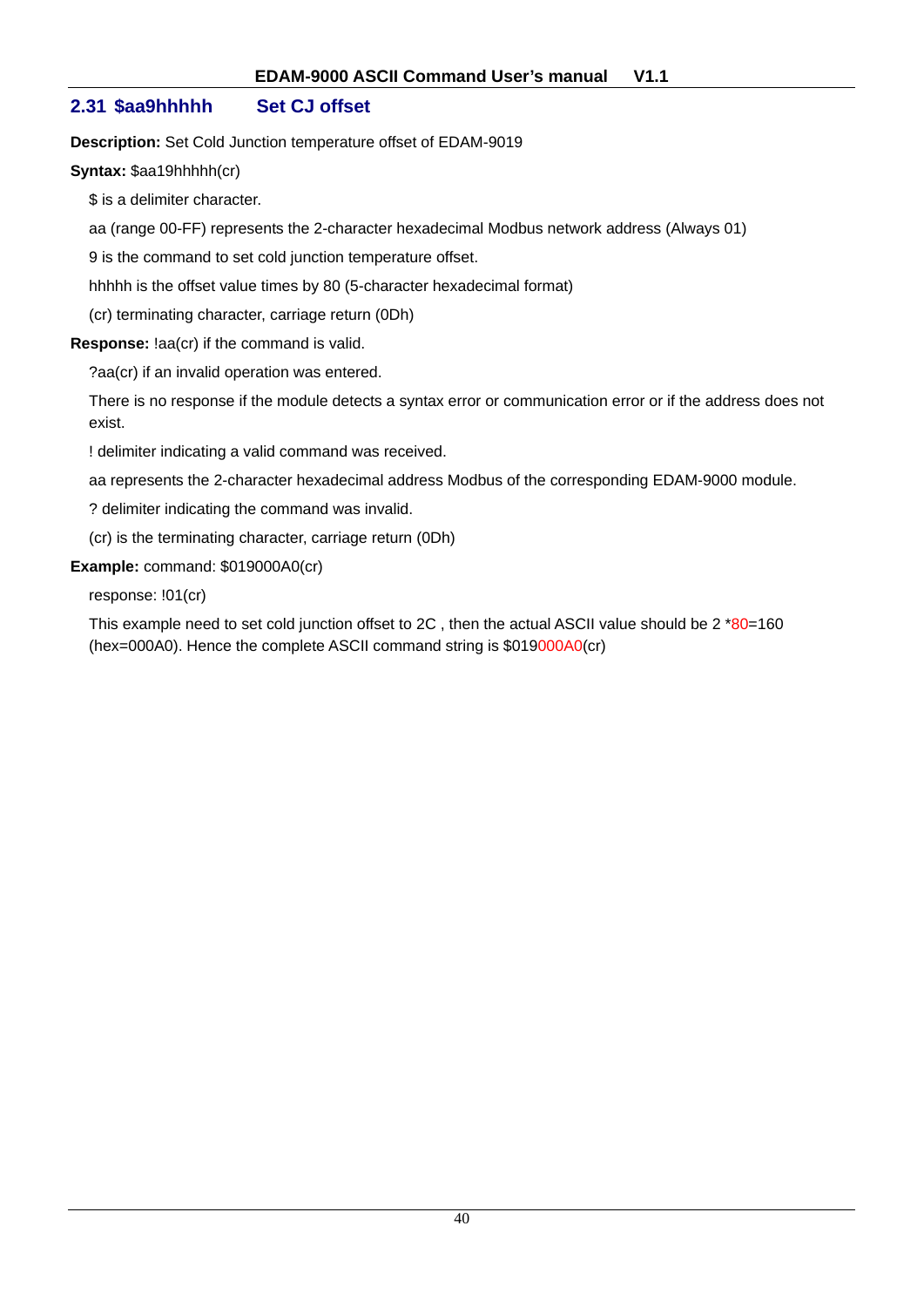## **2.31 \$aa9hhhhh Set CJ offset**

**Description:** Set Cold Junction temperature offset of EDAM-9019

**Syntax:** \$aa19hhhhh(cr)

\$ is a delimiter character.

aa (range 00-FF) represents the 2-character hexadecimal Modbus network address (Always 01)

9 is the command to set cold junction temperature offset.

hhhhh is the offset value times by 80 (5-character hexadecimal format)

(cr) terminating character, carriage return (0Dh)

**Response:** !aa(cr) if the command is valid.

?aa(cr) if an invalid operation was entered.

There is no response if the module detects a syntax error or communication error or if the address does not exist.

! delimiter indicating a valid command was received.

aa represents the 2-character hexadecimal address Modbus of the corresponding EDAM-9000 module.

? delimiter indicating the command was invalid.

(cr) is the terminating character, carriage return (0Dh)

**Example:** command: \$019000A0(cr)

response: !01(cr)

This example need to set cold junction offset to 2C, then the actual ASCII value should be 2 \*80=160 (hex=000A0). Hence the complete ASCII command string is \$019000A0(cr)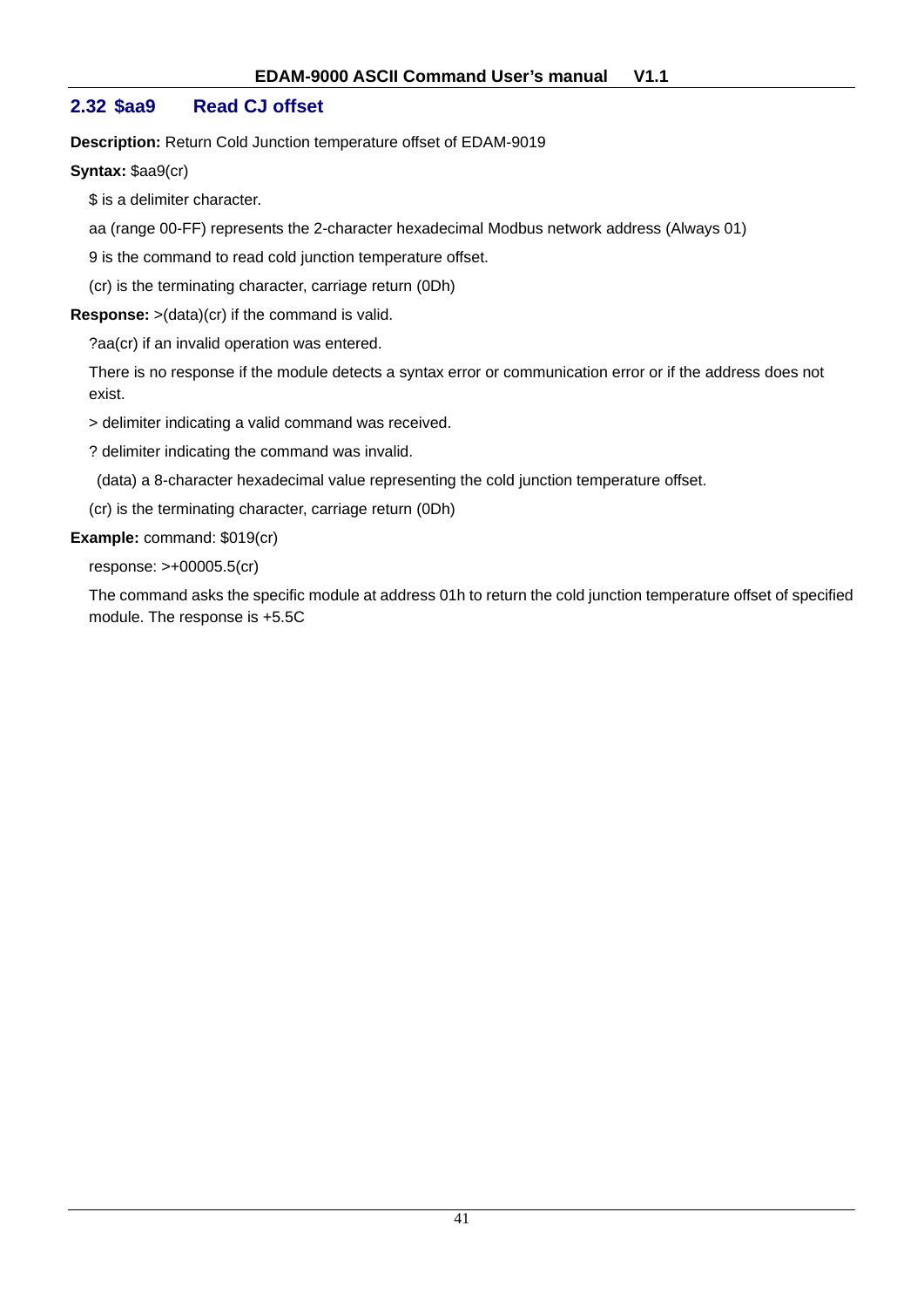## **2.32 \$aa9 Read CJ offset**

**Description:** Return Cold Junction temperature offset of EDAM-9019

**Syntax:** \$aa9(cr)

\$ is a delimiter character.

aa (range 00-FF) represents the 2-character hexadecimal Modbus network address (Always 01)

9 is the command to read cold junction temperature offset.

(cr) is the terminating character, carriage return (0Dh)

**Response:** >(data)(cr) if the command is valid.

?aa(cr) if an invalid operation was entered.

There is no response if the module detects a syntax error or communication error or if the address does not exist.

> delimiter indicating a valid command was received.

? delimiter indicating the command was invalid.

(data) a 8-character hexadecimal value representing the cold junction temperature offset.

(cr) is the terminating character, carriage return (0Dh)

**Example:** command: \$019(cr)

response: >+00005.5(cr)

The command asks the specific module at address 01h to return the cold junction temperature offset of specified module. The response is +5.5C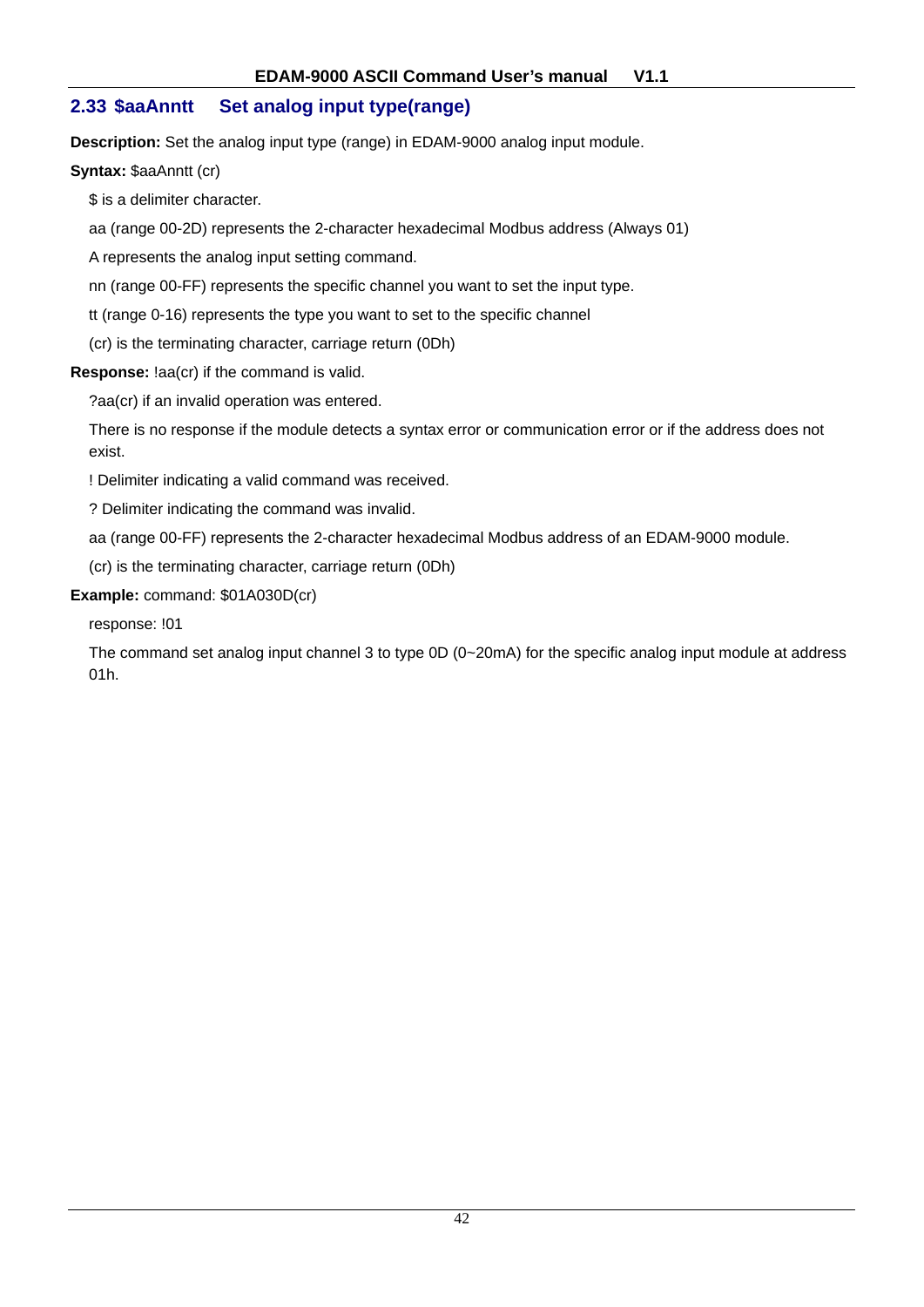## **2.33 \$aaAnntt Set analog input type(range)**

**Description:** Set the analog input type (range) in EDAM-9000 analog input module.

**Syntax: \$aaAnntt (cr)** 

\$ is a delimiter character.

aa (range 00-2D) represents the 2-character hexadecimal Modbus address (Always 01)

A represents the analog input setting command.

nn (range 00-FF) represents the specific channel you want to set the input type.

tt (range 0-16) represents the type you want to set to the specific channel

(cr) is the terminating character, carriage return (0Dh)

**Response:** !aa(cr) if the command is valid.

?aa(cr) if an invalid operation was entered.

There is no response if the module detects a syntax error or communication error or if the address does not exist.

! Delimiter indicating a valid command was received.

? Delimiter indicating the command was invalid.

aa (range 00-FF) represents the 2-character hexadecimal Modbus address of an EDAM-9000 module.

(cr) is the terminating character, carriage return (0Dh)

**Example:** command: \$01A030D(cr)

response: !01

The command set analog input channel 3 to type 0D (0~20mA) for the specific analog input module at address 01h.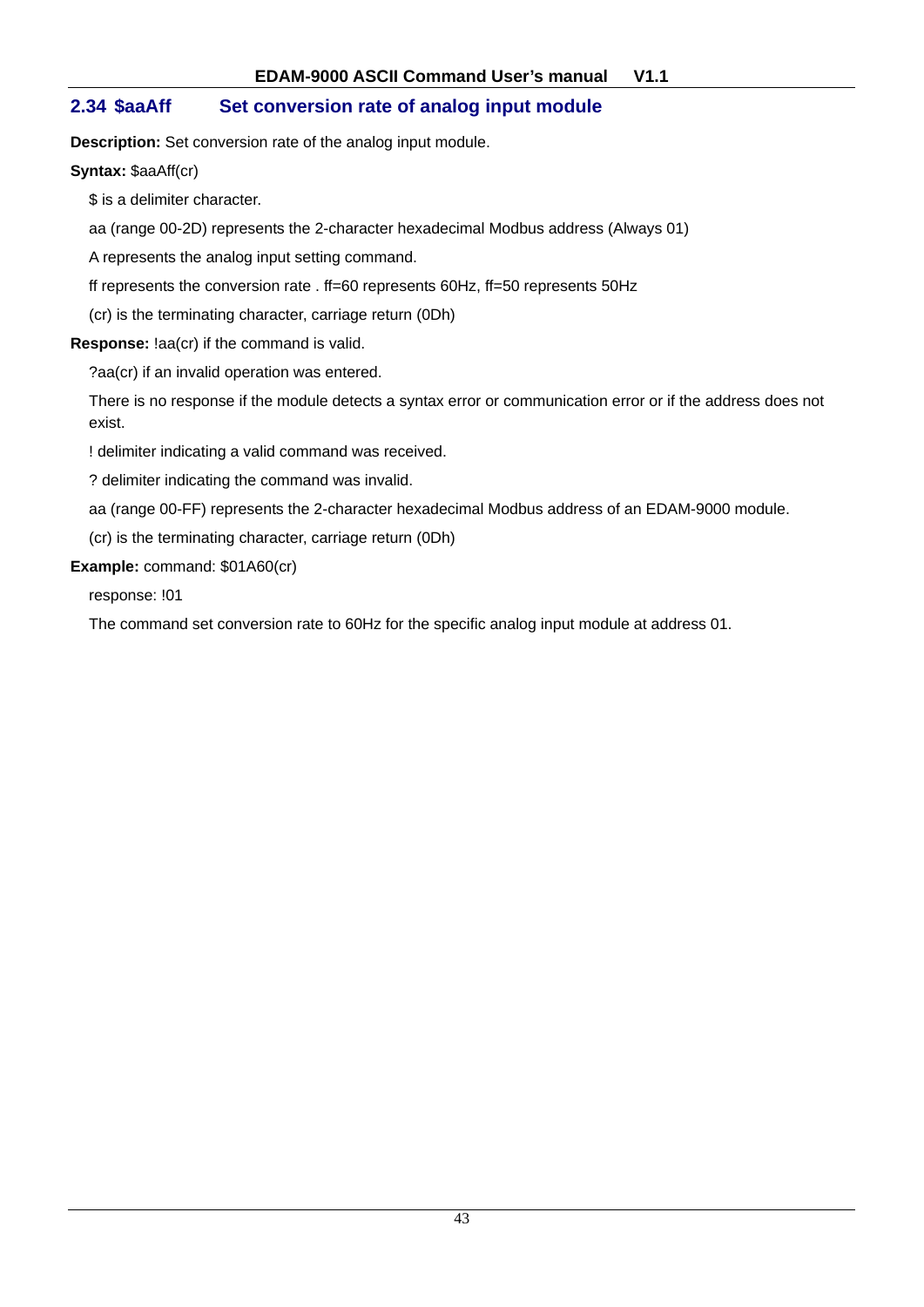## **2.34 \$aaAff Set conversion rate of analog input module**

**Description:** Set conversion rate of the analog input module.

**Syntax:** \$aaAff(cr)

\$ is a delimiter character.

aa (range 00-2D) represents the 2-character hexadecimal Modbus address (Always 01)

A represents the analog input setting command.

ff represents the conversion rate . ff=60 represents 60Hz, ff=50 represents 50Hz

(cr) is the terminating character, carriage return (0Dh)

**Response:** !aa(cr) if the command is valid.

?aa(cr) if an invalid operation was entered.

There is no response if the module detects a syntax error or communication error or if the address does not exist.

! delimiter indicating a valid command was received.

? delimiter indicating the command was invalid.

aa (range 00-FF) represents the 2-character hexadecimal Modbus address of an EDAM-9000 module.

(cr) is the terminating character, carriage return (0Dh)

#### **Example:** command: \$01A60(cr)

response: !01

The command set conversion rate to 60Hz for the specific analog input module at address 01.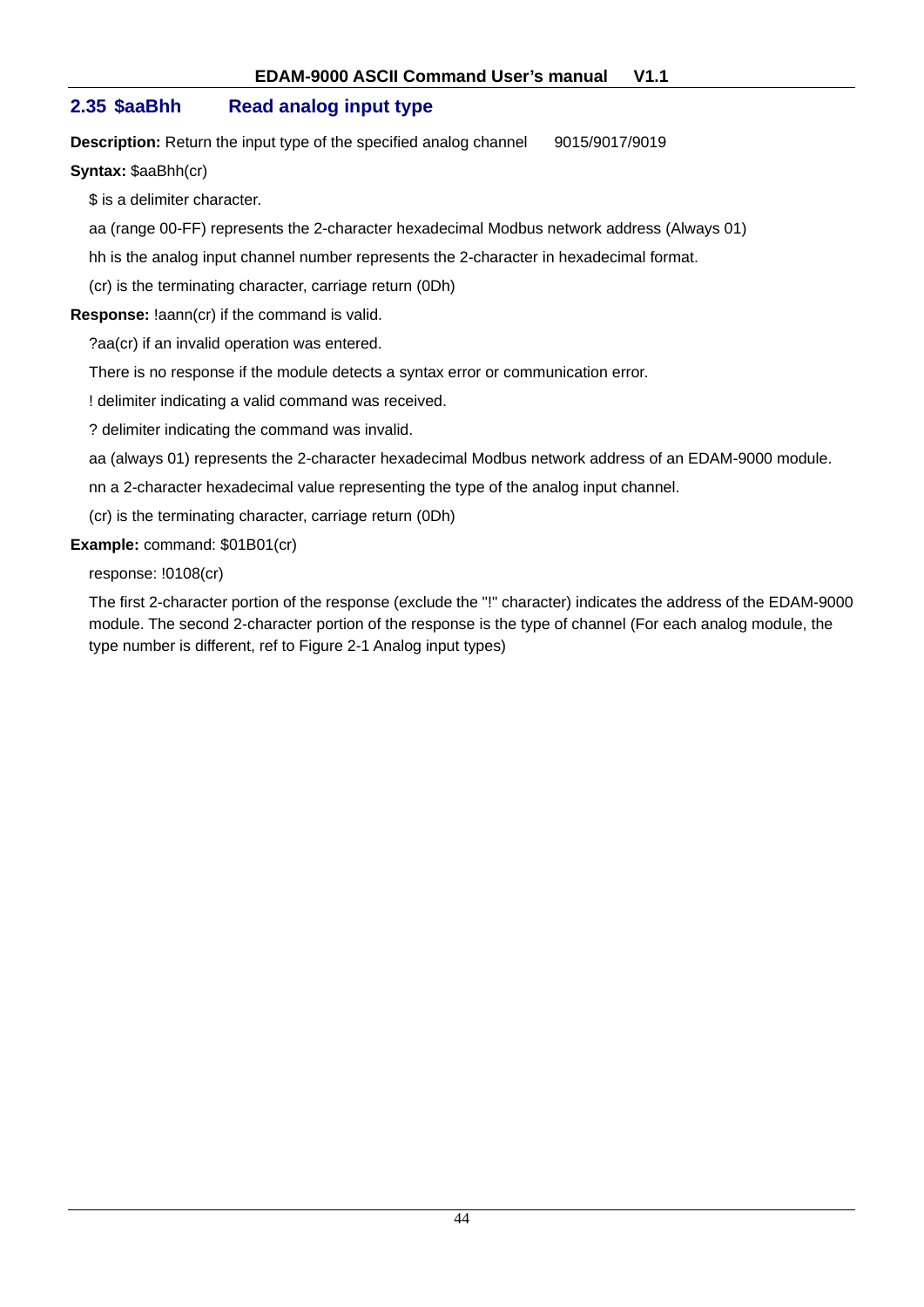## **2.35 \$aaBhh Read analog input type**

**Description:** Return the input type of the specified analog channel 9015/9017/9019

#### **Syntax:** \$aaBhh(cr)

\$ is a delimiter character.

aa (range 00-FF) represents the 2-character hexadecimal Modbus network address (Always 01)

hh is the analog input channel number represents the 2-character in hexadecimal format.

(cr) is the terminating character, carriage return (0Dh)

**Response:** !aann(cr) if the command is valid.

?aa(cr) if an invalid operation was entered.

There is no response if the module detects a syntax error or communication error.

! delimiter indicating a valid command was received.

? delimiter indicating the command was invalid.

aa (always 01) represents the 2-character hexadecimal Modbus network address of an EDAM-9000 module.

nn a 2-character hexadecimal value representing the type of the analog input channel.

(cr) is the terminating character, carriage return (0Dh)

**Example:** command: \$01B01(cr)

response: !0108(cr)

The first 2-character portion of the response (exclude the "!" character) indicates the address of the EDAM-9000 module. The second 2-character portion of the response is the type of channel (For each analog module, the type number is different, ref to Figure 2-1 Analog input types)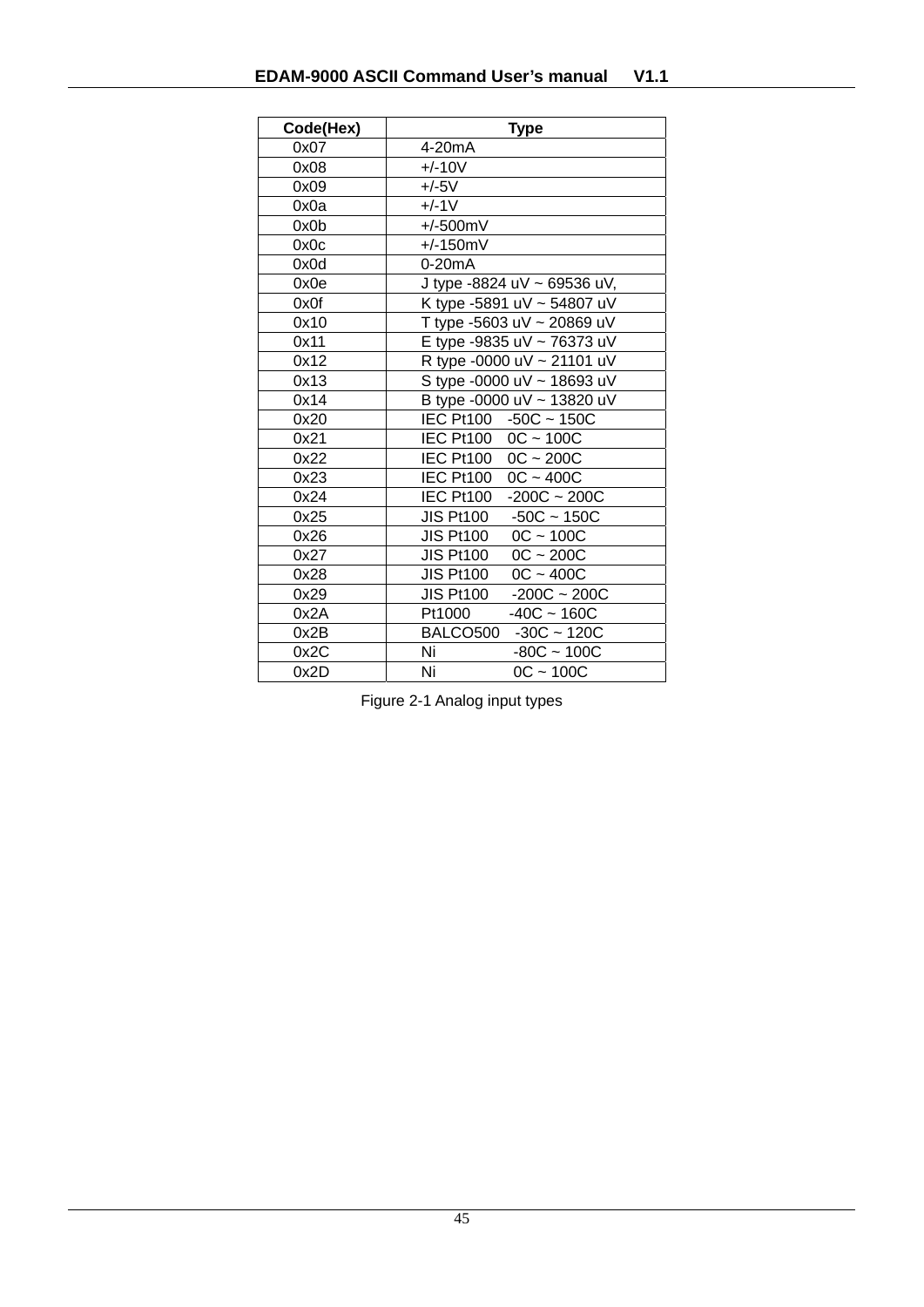| Code(Hex) | <b>Type</b>                        |
|-----------|------------------------------------|
| 0x07      | 4-20mA                             |
| 0x08      | $+/-10V$                           |
| 0x09      | $+/-5V$                            |
| 0x0a      | $+/-1V$                            |
| 0x0b      | $+/-500mV$                         |
| 0x0c      | $+/-150mV$                         |
| 0x0d      | 0-20mA                             |
| 0x0e      | J type -8824 uV ~ 69536 uV,        |
| 0x0f      | K type -5891 uV ~ 54807 uV         |
| 0x10      | T type -5603 uV ~ 20869 uV         |
| 0x11      | E type -9835 uV ~ 76373 uV         |
| 0x12      | R type -0000 uV ~ 21101 uV         |
| 0x13      | S type -0000 uV ~ 18693 uV         |
| 0x14      | B type -0000 uV ~ 13820 uV         |
| 0x20      | IEC Pt100 -50C ~ 150C              |
| 0x21      | IEC Pt100 0C ~ 100C                |
| 0x22      | IEC Pt100 0C ~ 200C                |
| 0x23      | IEC Pt100 0C ~ 400C                |
| 0x24      | IEC Pt100<br>$-200C - 200C$        |
| 0x25      | <b>JIS Pt100</b><br>$-50C - 150C$  |
| 0x26      | $OC - 100C$<br><b>JIS Pt100</b>    |
| 0x27      | $OC - 200C$<br><b>JIS Pt100</b>    |
| 0x28      | $OC - 400C$<br><b>JIS Pt100</b>    |
| 0x29      | $-200C - 200C$<br><b>JIS Pt100</b> |
| 0x2A      | Pt1000<br>$-40C - 160C$            |
| 0x2B      | $-30C - 120C$<br>BALCO500          |
| 0x2C      | Ni<br>$-80C - 100C$                |
| 0x2D      | Ni<br>$0C - 100C$                  |

Figure 2-1 Analog input types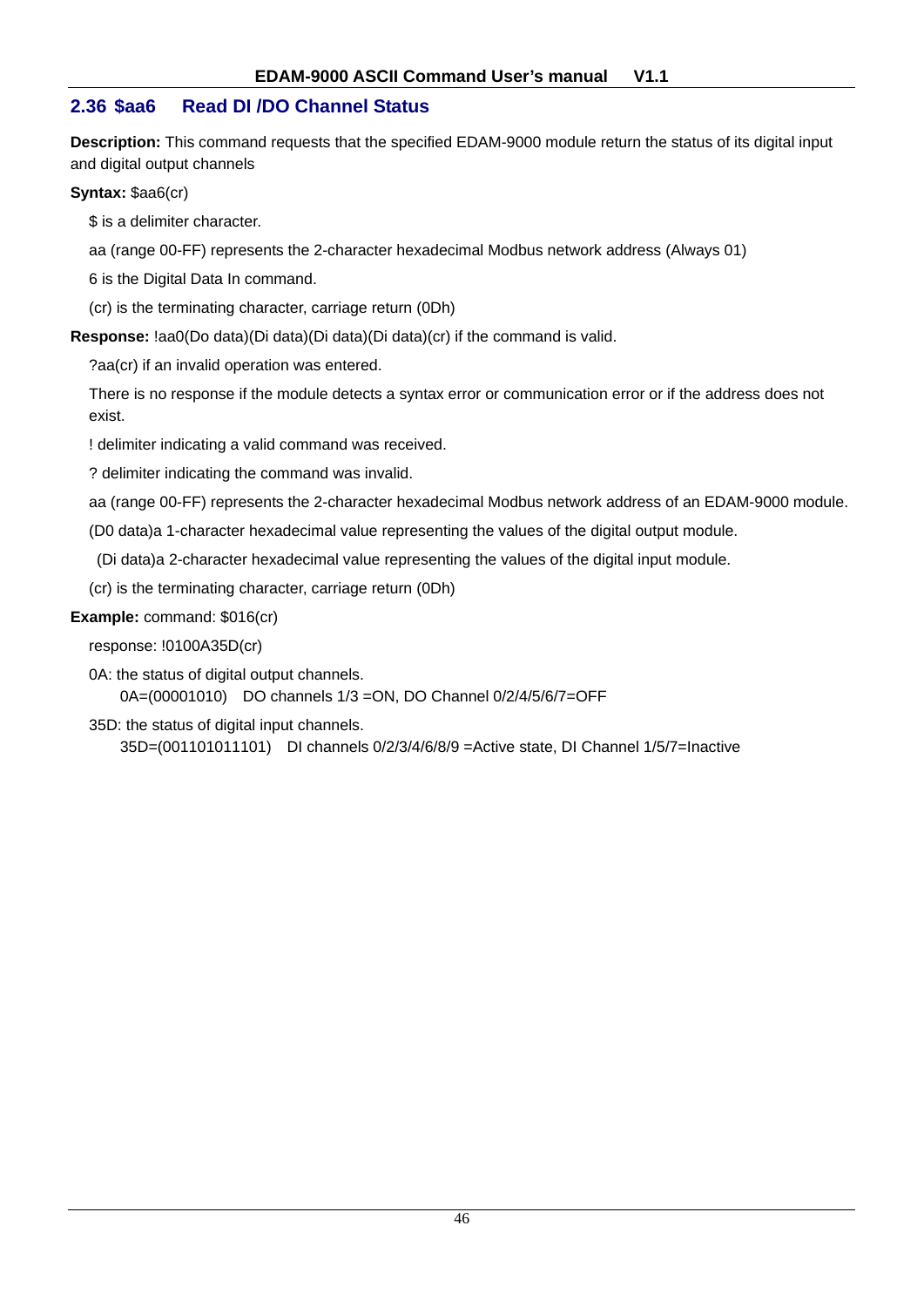## **2.36 \$aa6 Read DI /DO Channel Status**

**Description:** This command requests that the specified EDAM-9000 module return the status of its digital input and digital output channels

**Syntax:** \$aa6(cr)

\$ is a delimiter character.

aa (range 00-FF) represents the 2-character hexadecimal Modbus network address (Always 01)

6 is the Digital Data In command.

(cr) is the terminating character, carriage return (0Dh)

**Response:** !aa0(Do data)(Di data)(Di data)(Di data)(cr) if the command is valid.

?aa(cr) if an invalid operation was entered.

There is no response if the module detects a syntax error or communication error or if the address does not exist.

! delimiter indicating a valid command was received.

? delimiter indicating the command was invalid.

aa (range 00-FF) represents the 2-character hexadecimal Modbus network address of an EDAM-9000 module.

(D0 data)a 1-character hexadecimal value representing the values of the digital output module.

(Di data)a 2-character hexadecimal value representing the values of the digital input module.

(cr) is the terminating character, carriage return (0Dh)

#### **Example:** command: \$016(cr)

response: !0100A35D(cr)

0A: the status of digital output channels. 0A=(00001010) DO channels 1/3 =ON, DO Channel 0/2/4/5/6/7=OFF

35D: the status of digital input channels.

35D=(001101011101) DI channels 0/2/3/4/6/8/9 =Active state, DI Channel 1/5/7=Inactive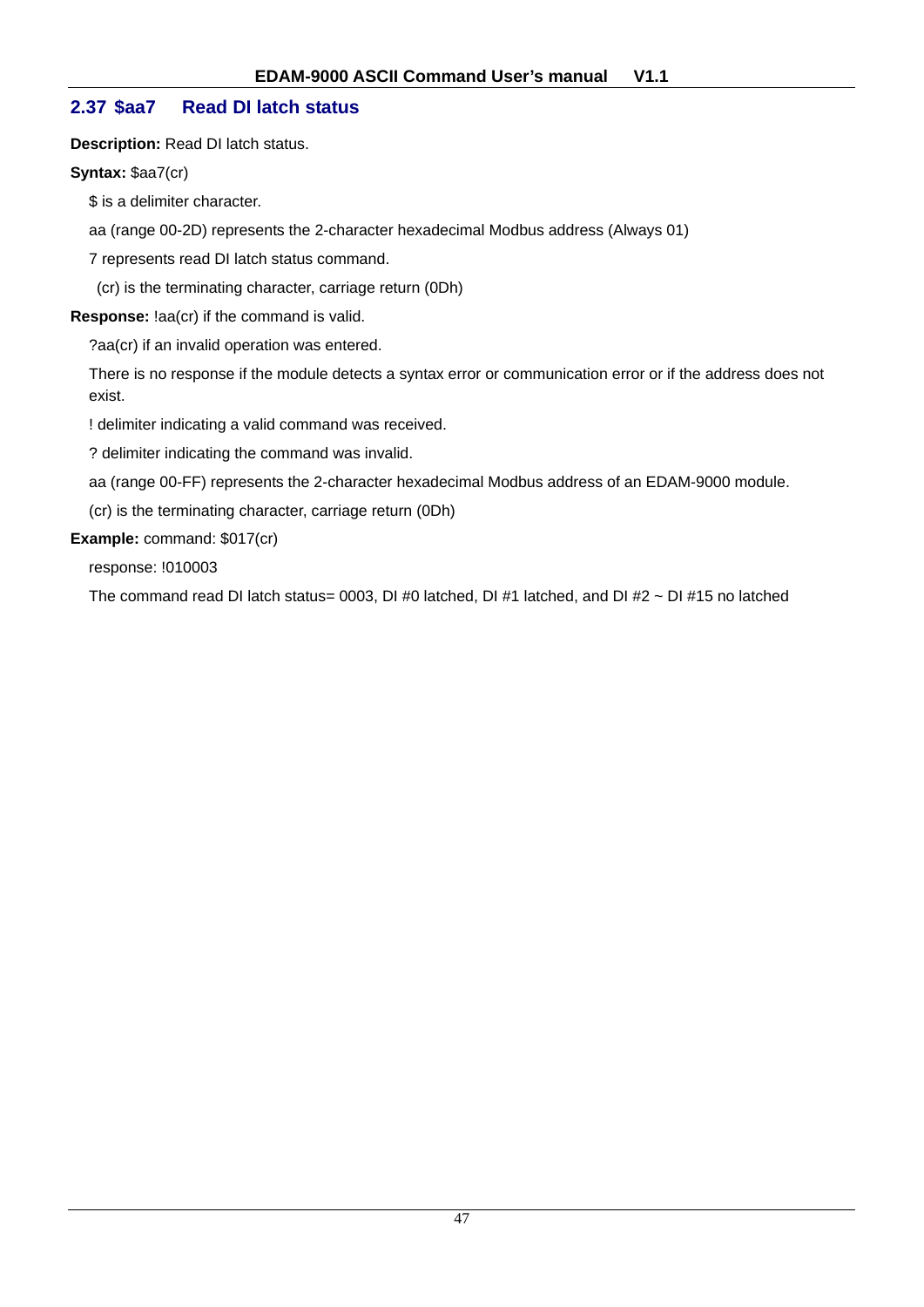## **2.37 \$aa7 Read DI latch status**

**Description:** Read DI latch status.

**Syntax:** \$aa7(cr)

\$ is a delimiter character.

aa (range 00-2D) represents the 2-character hexadecimal Modbus address (Always 01)

7 represents read DI latch status command.

(cr) is the terminating character, carriage return (0Dh)

**Response:** !aa(cr) if the command is valid.

?aa(cr) if an invalid operation was entered.

There is no response if the module detects a syntax error or communication error or if the address does not exist.

! delimiter indicating a valid command was received.

? delimiter indicating the command was invalid.

aa (range 00-FF) represents the 2-character hexadecimal Modbus address of an EDAM-9000 module.

(cr) is the terminating character, carriage return (0Dh)

**Example:** command: \$017(cr)

response: !010003

The command read DI latch status= 0003, DI #0 latched, DI #1 latched, and DI #2  $\sim$  DI #15 no latched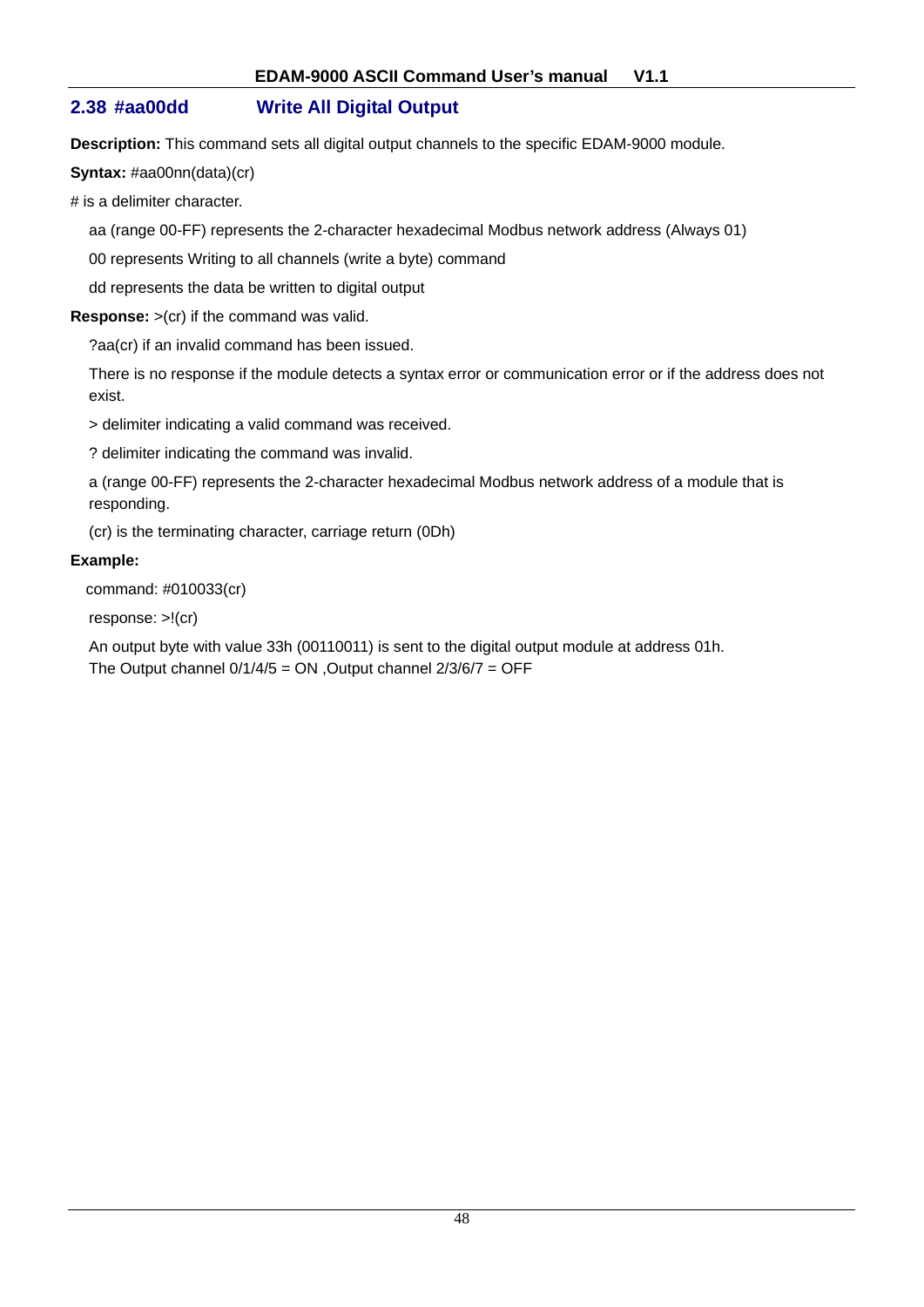## **2.38 #aa00dd Write All Digital Output**

**Description:** This command sets all digital output channels to the specific EDAM-9000 module.

**Syntax:** #aa00nn(data)(cr)

# is a delimiter character.

aa (range 00-FF) represents the 2-character hexadecimal Modbus network address (Always 01)

00 represents Writing to all channels (write a byte) command

dd represents the data be written to digital output

**Response:** >(cr) if the command was valid.

?aa(cr) if an invalid command has been issued.

There is no response if the module detects a syntax error or communication error or if the address does not exist.

> delimiter indicating a valid command was received.

? delimiter indicating the command was invalid.

a (range 00-FF) represents the 2-character hexadecimal Modbus network address of a module that is responding.

(cr) is the terminating character, carriage return (0Dh)

#### **Example:**

command: #010033(cr)

response: >!(cr)

An output byte with value 33h (00110011) is sent to the digital output module at address 01h. The Output channel  $0/1/4/5 = ON$ , Output channel  $2/3/6/7 = OFF$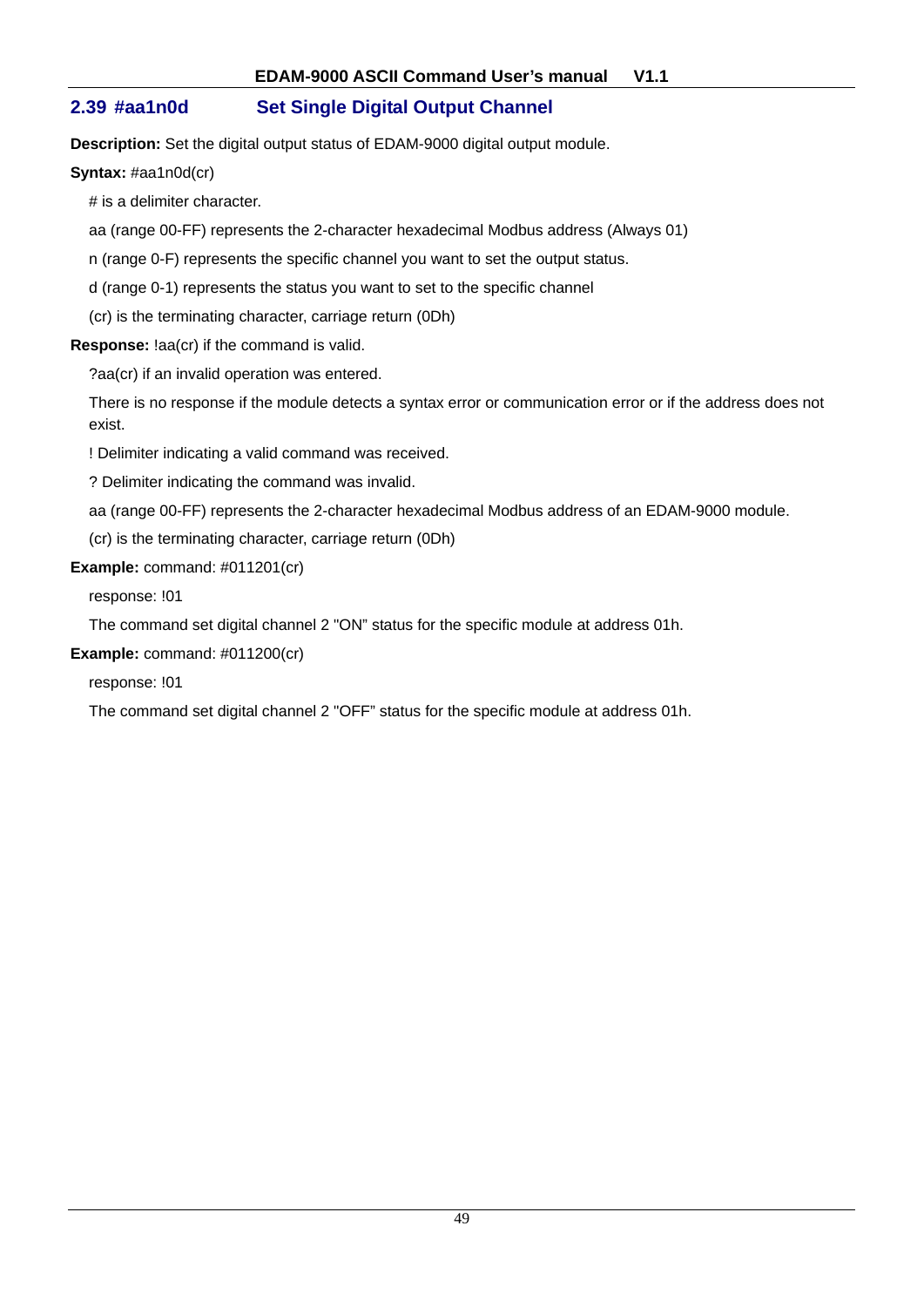## **2.39 #aa1n0d Set Single Digital Output Channel**

**Description:** Set the digital output status of EDAM-9000 digital output module.

**Syntax:** #aa1n0d(cr)

# is a delimiter character.

aa (range 00-FF) represents the 2-character hexadecimal Modbus address (Always 01)

n (range 0-F) represents the specific channel you want to set the output status.

d (range 0-1) represents the status you want to set to the specific channel

(cr) is the terminating character, carriage return (0Dh)

**Response:** !aa(cr) if the command is valid.

?aa(cr) if an invalid operation was entered.

There is no response if the module detects a syntax error or communication error or if the address does not exist.

! Delimiter indicating a valid command was received.

? Delimiter indicating the command was invalid.

aa (range 00-FF) represents the 2-character hexadecimal Modbus address of an EDAM-9000 module.

(cr) is the terminating character, carriage return (0Dh)

#### **Example:** command: #011201(cr)

response: !01

The command set digital channel 2 "ON" status for the specific module at address 01h.

**Example:** command: #011200(cr)

response: !01

The command set digital channel 2 "OFF" status for the specific module at address 01h.